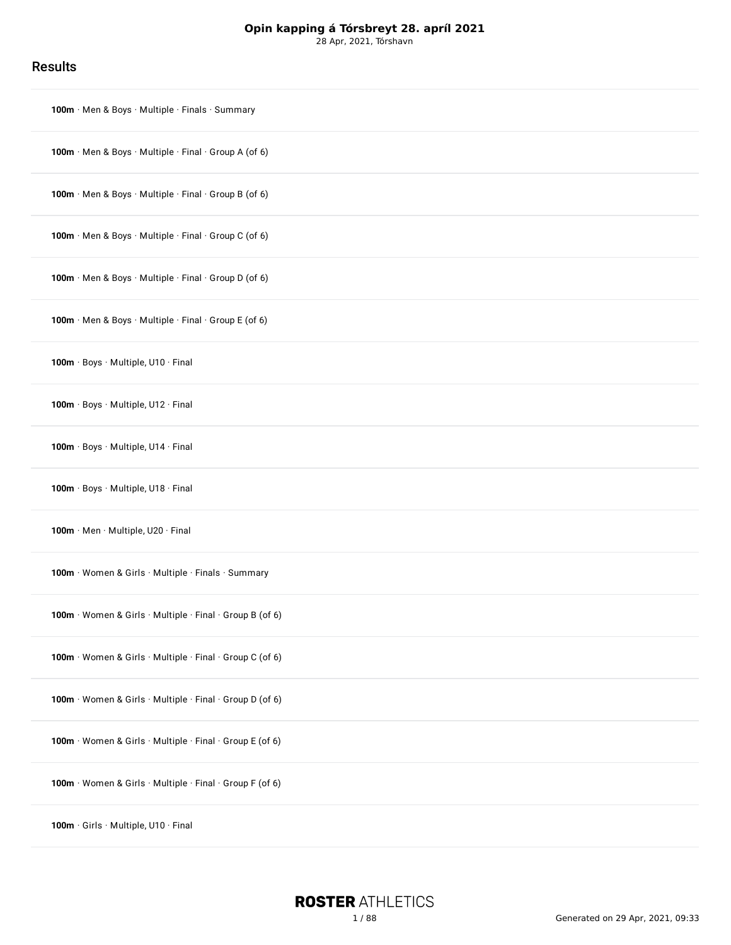28 Apr, 2021, Tórshavn

### Results

| 100m Men & Boys Multiple Finals Summary                  |
|----------------------------------------------------------|
| 100m · Men & Boys · Multiple · Final · Group A (of 6)    |
| 100m · Men & Boys · Multiple · Final · Group B (of 6)    |
| 100m · Men & Boys · Multiple · Final · Group C (of 6)    |
| 100m · Men & Boys · Multiple · Final · Group D (of 6)    |
| 100m · Men & Boys · Multiple · Final · Group E (of 6)    |
| 100m · Boys · Multiple, U10 · Final                      |
| 100m · Boys · Multiple, U12 · Final                      |
| 100m · Boys · Multiple, U14 · Final                      |
| 100m · Boys · Multiple, U18 · Final                      |
| 100m · Men · Multiple, U20 · Final                       |
| 100m · Women & Girls · Multiple · Finals · Summary       |
| 100m · Women & Girls · Multiple · Final · Group B (of 6) |
| 100m · Women & Girls · Multiple · Final · Group C (of 6) |
| 100m · Women & Girls · Multiple · Final · Group D (of 6) |
| 100m · Women & Girls · Multiple · Final · Group E (of 6) |
| 100m · Women & Girls · Multiple · Final · Group F (of 6) |
| 100m · Girls · Multiple, U10 · Final                     |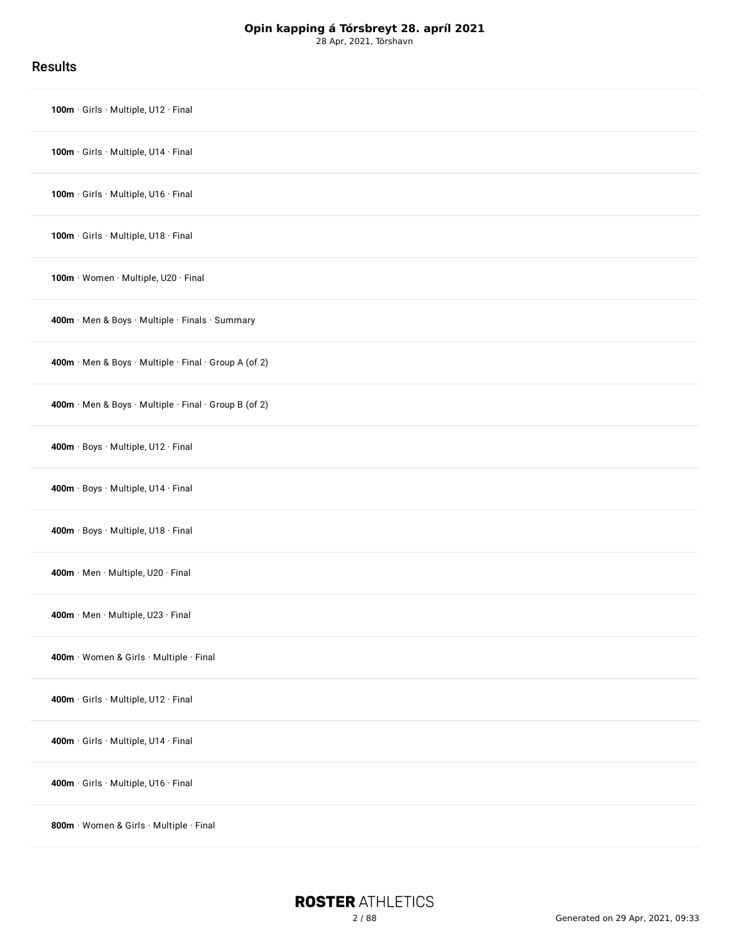Results

| 100m · Girls · Multiple, U12 · Final                  |
|-------------------------------------------------------|
| 100m · Girls · Multiple, U14 · Final                  |
| 100m · Girls · Multiple, U16 · Final                  |
| 100m · Girls · Multiple, U18 · Final                  |
| 100m · Women · Multiple, U20 · Final                  |
| 400m · Men & Boys · Multiple · Finals · Summary       |
| 400m · Men & Boys · Multiple · Final · Group A (of 2) |
| 400m · Men & Boys · Multiple · Final · Group B (of 2) |
| 400m · Boys · Multiple, U12 · Final                   |
| 400m · Boys · Multiple, U14 · Final                   |
| 400m · Boys · Multiple, U18 · Final                   |
| 400m · Men · Multiple, U20 · Final                    |
| 400m · Men · Multiple, U23 · Final                    |
| 400m · Women & Girls · Multiple · Final               |
| 400m · Girls · Multiple, U12 · Final                  |
| 400m · Girls · Multiple, U14 · Final                  |
| 400m · Girls · Multiple, U16 · Final                  |
| 800m · Women & Girls · Multiple · Final               |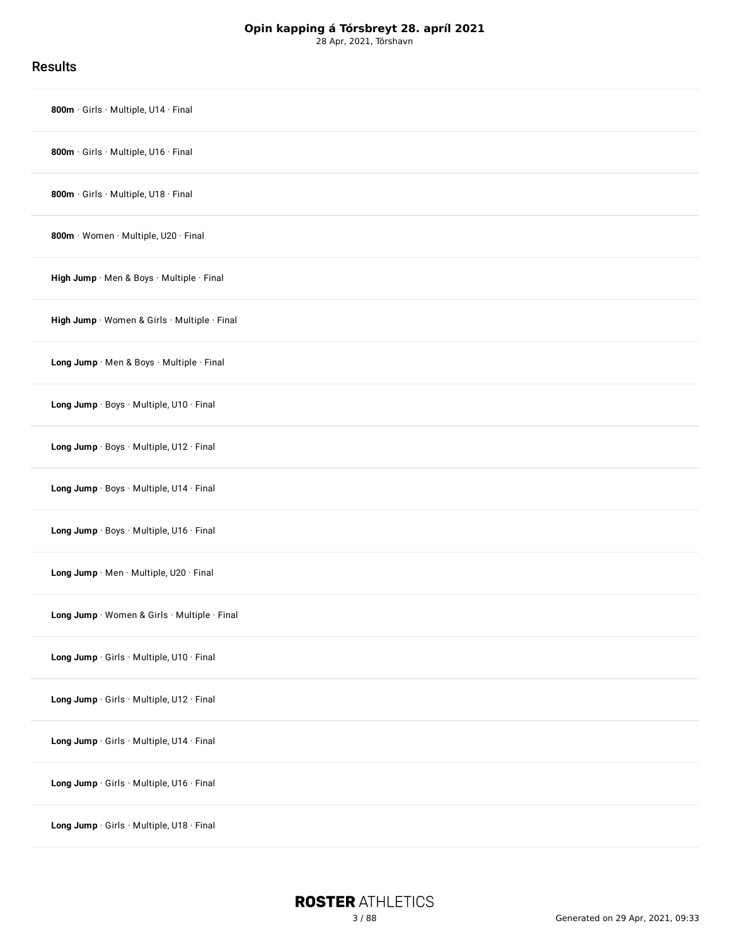Results

| 800m · Girls · Multiple, U14 · Final         |
|----------------------------------------------|
| 800m · Girls · Multiple, U16 · Final         |
| 800m · Girls · Multiple, U18 · Final         |
| 800m · Women · Multiple, U20 · Final         |
| High Jump Men & Boys Multiple Final          |
| High Jump · Women & Girls · Multiple · Final |
| Long Jump · Men & Boys · Multiple · Final    |
| Long Jump · Boys · Multiple, U10 · Final     |
| Long Jump · Boys · Multiple, U12 · Final     |
| Long Jump · Boys · Multiple, U14 · Final     |
| Long Jump · Boys · Multiple, U16 · Final     |
| Long Jump · Men · Multiple, U20 · Final      |
| Long Jump · Women & Girls · Multiple · Final |
| Long Jump · Girls · Multiple, U10 · Final    |
| Long Jump · Girls · Multiple, U12 · Final    |
| Long Jump · Girls · Multiple, U14 · Final    |
| Long Jump · Girls · Multiple, U16 · Final    |
| Long Jump Girls Multiple, U18 Final          |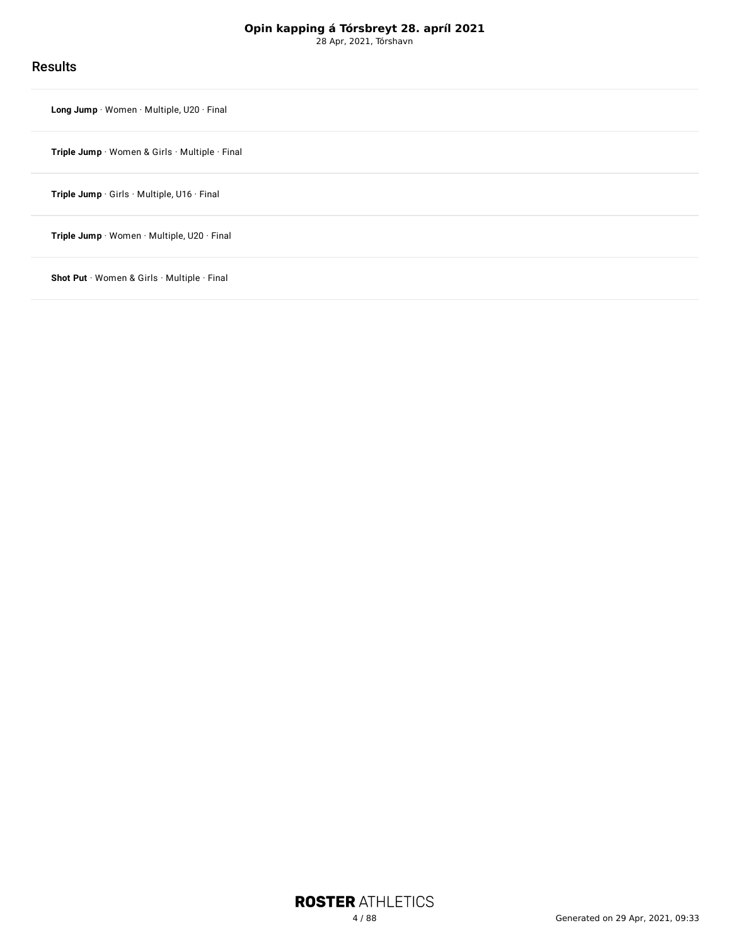28 Apr, 2021, Tórshavn

### **Results**

**Long Jump** · Women · [Multiple,](#page-78-0) U20 · Final

**Triple Jump** · Women & Girls · [Multiple](#page-80-0) · Final

**Triple Jump** · Girls · [Multiple,](#page-82-0) U16 · Final

**Triple Jump** · Women · [Multiple,](#page-84-0) U20 · Final

**Shot Put** · Women & Girls · [Multiple](#page-86-0) · Final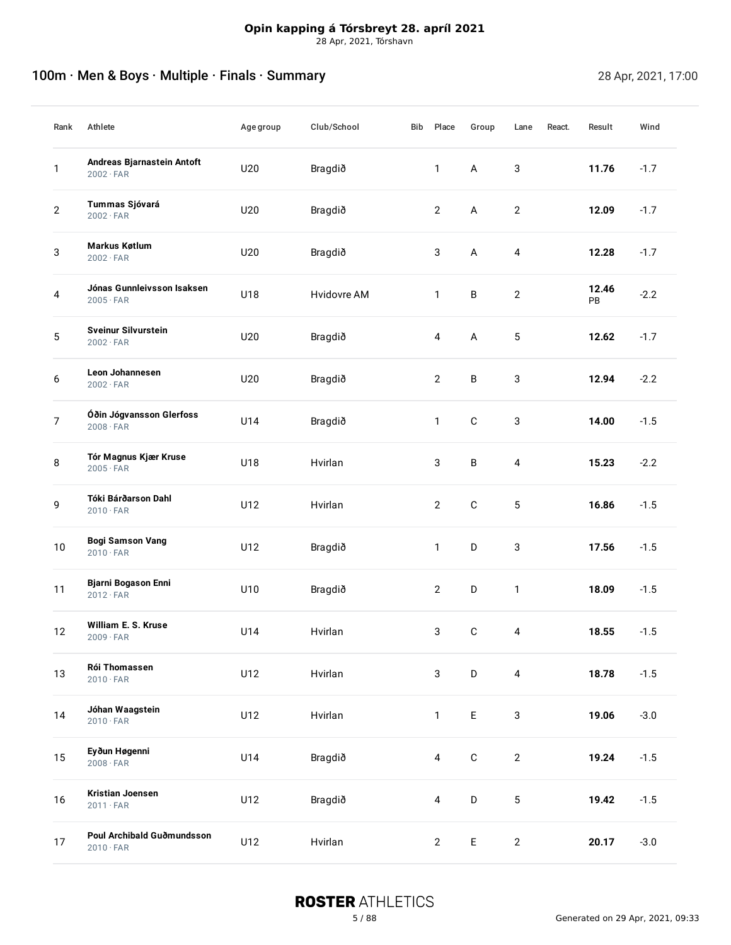# <span id="page-4-0"></span>100m · Men & Boys · Multiple · Finals · Summary 28 Apr, 2021, 17:00

| Rank           | Athlete                                        | Agegroup | Club/School | Bib | Place                   | Group       | Lane           | React. | Result      | Wind   |
|----------------|------------------------------------------------|----------|-------------|-----|-------------------------|-------------|----------------|--------|-------------|--------|
| 1              | Andreas Bjarnastein Antoft<br>$2002 \cdot FAR$ | U20      | Bragdið     |     | $\mathbf{1}$            | A           | $\sqrt{3}$     |        | 11.76       | $-1.7$ |
| $\mathbf{2}$   | Tummas Sjóvará<br>$2002 \cdot FAR$             | U20      | Bragdið     |     | $\overline{2}$          | A           | $\sqrt{2}$     |        | 12.09       | $-1.7$ |
| 3              | Markus Køtlum<br>$2002 \cdot FAR$              | U20      | Bragdið     |     | 3                       | $\mathsf A$ | 4              |        | 12.28       | $-1.7$ |
| 4              | Jónas Gunnleivsson Isaksen<br>$2005 \cdot FAR$ | U18      | Hvidovre AM |     | $\mathbf{1}$            | $\sf B$     | $\overline{2}$ |        | 12.46<br>PB | $-2.2$ |
| 5              | <b>Sveinur Silvurstein</b><br>$2002 \cdot FAR$ | U20      | Bragdið     |     | 4                       | A           | 5              |        | 12.62       | $-1.7$ |
| 6              | Leon Johannesen<br>$2002 \cdot FAR$            | U20      | Bragdið     |     | $\overline{2}$          | B           | 3              |        | 12.94       | $-2.2$ |
| $\overline{7}$ | Óðin Jógvansson Glerfoss<br>$2008 \cdot FAR$   | U14      | Bragdið     |     | $\mathbf{1}$            | $\mathbf C$ | 3              |        | 14.00       | $-1.5$ |
| 8              | Tór Magnus Kjær Kruse<br>$2005 \cdot FAR$      | U18      | Hvirlan     |     | 3                       | B           | 4              |        | 15.23       | $-2.2$ |
| 9              | Tóki Bárðarson Dahl<br>$2010 \cdot FAR$        | U12      | Hvirlan     |     | $\overline{2}$          | $\mathbf C$ | 5              |        | 16.86       | $-1.5$ |
| $10\,$         | <b>Bogi Samson Vang</b><br>$2010 \cdot FAR$    | U12      | Bragdið     |     | $\mathbf{1}$            | $\mathsf D$ | $\mathsf 3$    |        | 17.56       | $-1.5$ |
| 11             | Bjarni Bogason Enni<br>$2012 \cdot FAR$        | U10      | Bragdið     |     | $\overline{2}$          | $\mathsf D$ | $\mathbf{1}$   |        | 18.09       | $-1.5$ |
| 12             | William E. S. Kruse<br>$2009 \cdot FAR$        | U14      | Hvirlan     |     | 3                       | $\mathbf C$ | 4              |        | 18.55       | $-1.5$ |
| 13             | Rói Thomassen<br>$2010 \cdot FAR$              | U12      | Hvirlan     |     | $\mathbf{3}$            | $\mathsf D$ | $\overline{4}$ |        | 18.78       | $-1.5$ |
| 14             | Jóhan Waagstein<br>$2010 \cdot FAR$            | U12      | Hvirlan     |     | $\mathbf{1}$            | $\mathsf E$ | $\mathbf{3}$   |        | 19.06       | $-3.0$ |
| 15             | Eyðun Høgenni<br>$2008 \cdot FAR$              | U14      | Bragdið     |     | $\overline{\mathbf{4}}$ | $\mathbf C$ | $\mathbf{2}$   |        | 19.24       | $-1.5$ |
| $16\,$         | Kristian Joensen<br>$2011 \cdot FAR$           | U12      | Bragdið     |     | $\overline{\mathbf{4}}$ | $\mathsf D$ | 5              |        | 19.42       | $-1.5$ |
| 17             | Poul Archibald Guðmundsson<br>$2010 \cdot FAR$ | U12      | Hvirlan     |     | $\mathbf{2}$            | $\mathsf E$ | $\overline{2}$ |        | 20.17       | $-3.0$ |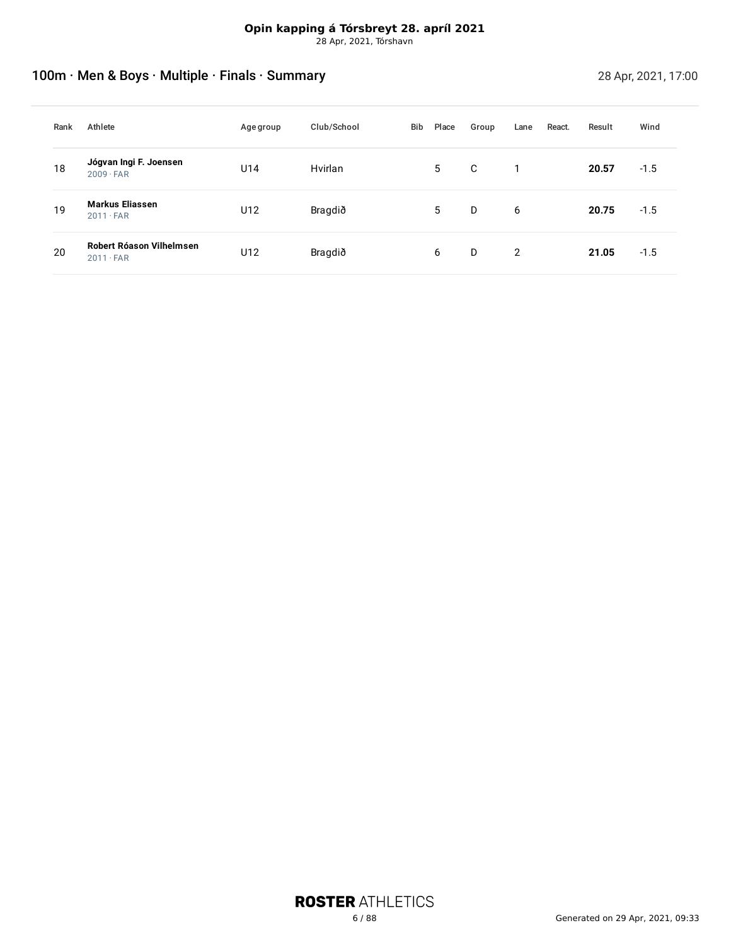# 100m · Men & Boys · Multiple · Finals · Summary 28 Apr, 2021, 17:00

| Rank | Athlete                                      | <b>Age group</b> | Club/School | Bib | Place | Group | Lane | React. | Result | Wind   |
|------|----------------------------------------------|------------------|-------------|-----|-------|-------|------|--------|--------|--------|
| 18   | Jógvan Ingi F. Joensen<br>$2009 \cdot FAR$   | U14              | Hvirlan     |     | 5     | C     |      |        | 20.57  | $-1.5$ |
| 19   | <b>Markus Eliassen</b><br>$2011 \cdot FAR$   | U12              | Bragdið     |     | 5     | D     | 6    |        | 20.75  | $-1.5$ |
| 20   | Robert Róason Vilhelmsen<br>$2011 \cdot FAR$ | U12              | Bragdið     |     | 6     | D     | 2    |        | 21.05  | $-1.5$ |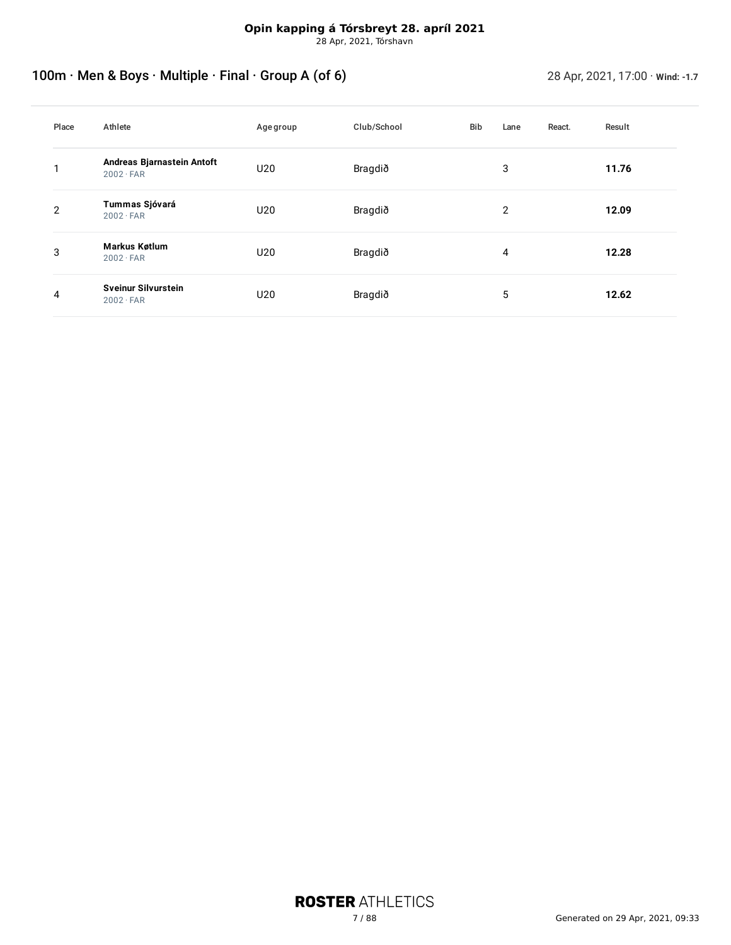# <span id="page-6-0"></span>100m · Men & Boys · Multiple · Final · Group A (of 6) 28 Apr, 2021, 17:00 · Wind: -1.7

| Place | Athlete                                        | Age group | Club/School | Bib | Lane | React. | Result |
|-------|------------------------------------------------|-----------|-------------|-----|------|--------|--------|
|       | Andreas Bjarnastein Antoft<br>$2002 \cdot FAR$ | U20       | Bragdið     |     | 3    |        | 11.76  |
| 2     | Tummas Sjóvará<br>$2002 \cdot FAR$             | U20       | Bragdið     |     | 2    |        | 12.09  |
| 3     | Markus Køtlum<br>$2002 \cdot FAR$              | U20       | Bragdið     |     | 4    |        | 12.28  |
| 4     | <b>Sveinur Silvurstein</b><br>$2002 \cdot FAR$ | U20       | Bragdið     |     | 5    |        | 12.62  |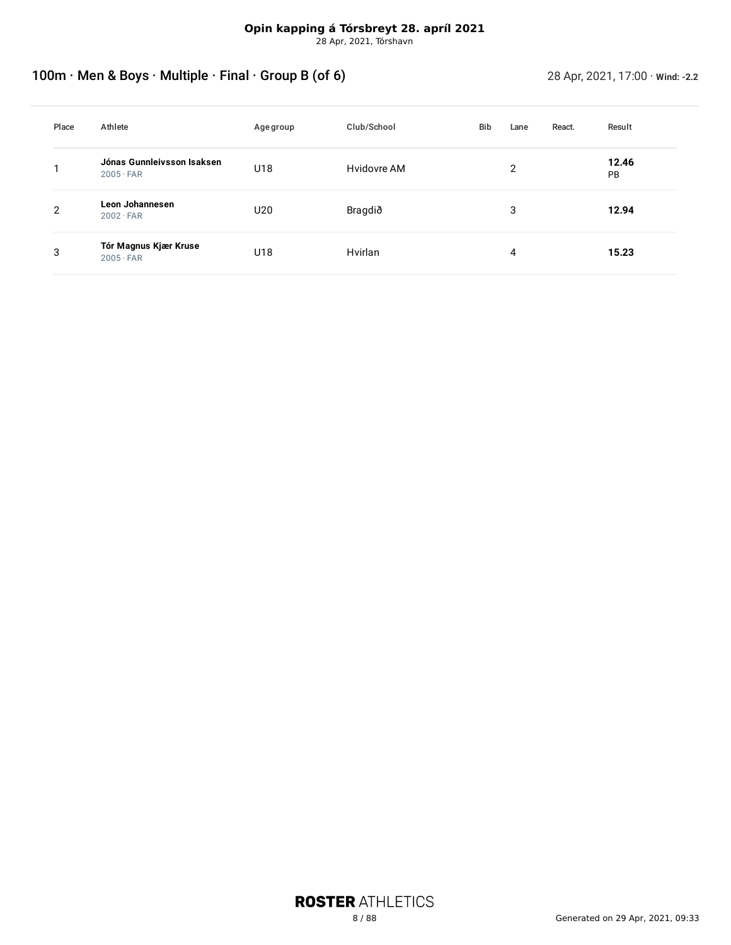# <span id="page-7-0"></span>100m · Men & Boys · Multiple · Final · Group B (of 6) 28 Apr, 2021, 17:00 · Wind: -2.2

| Place | Athlete                                        | Age group       | Club/School | <b>Bib</b> | Lane           | React. | Result      |
|-------|------------------------------------------------|-----------------|-------------|------------|----------------|--------|-------------|
|       | Jónas Gunnleivsson Isaksen<br>$2005 \cdot FAR$ | U18             | Hvidovre AM |            | $\overline{2}$ |        | 12.46<br>PB |
| 2     | Leon Johannesen<br>$2002 \cdot FAR$            | U <sub>20</sub> | Bragdið     |            | 3              |        | 12.94       |
| 3     | Tór Magnus Kjær Kruse<br>$2005 \cdot FAR$      | U18             | Hvirlan     |            | 4              |        | 15.23       |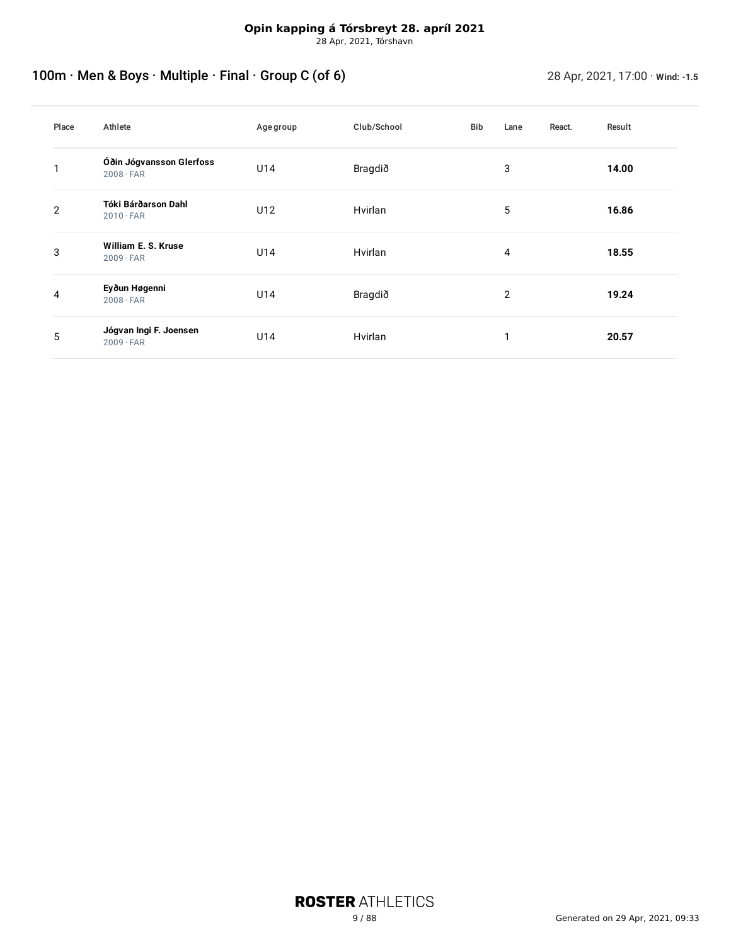# <span id="page-8-0"></span>100m · Men & Boys · Multiple · Final · Group C (of 6) 28 Apr, 2021, 17:00 · Wind: -1.5

| Place | Athlete                                      | Age group | Club/School | Bib | Lane | React. | Result |
|-------|----------------------------------------------|-----------|-------------|-----|------|--------|--------|
|       | Óðin Jógvansson Glerfoss<br>$2008 \cdot FAR$ | U14       | Bragdið     |     | 3    |        | 14.00  |
| 2     | Tóki Bárðarson Dahl<br>$2010 \cdot FAR$      | U12       | Hvirlan     |     | 5    |        | 16.86  |
| 3     | William E. S. Kruse<br>$2009 \cdot FAR$      | U14       | Hvirlan     |     | 4    |        | 18.55  |
| 4     | Eyðun Høgenni<br>$2008 \cdot FAR$            | U14       | Bragdið     |     | 2    |        | 19.24  |
| 5     | Jógvan Ingi F. Joensen<br>$2009 \cdot FAR$   | U14       | Hvirlan     |     | 1    |        | 20.57  |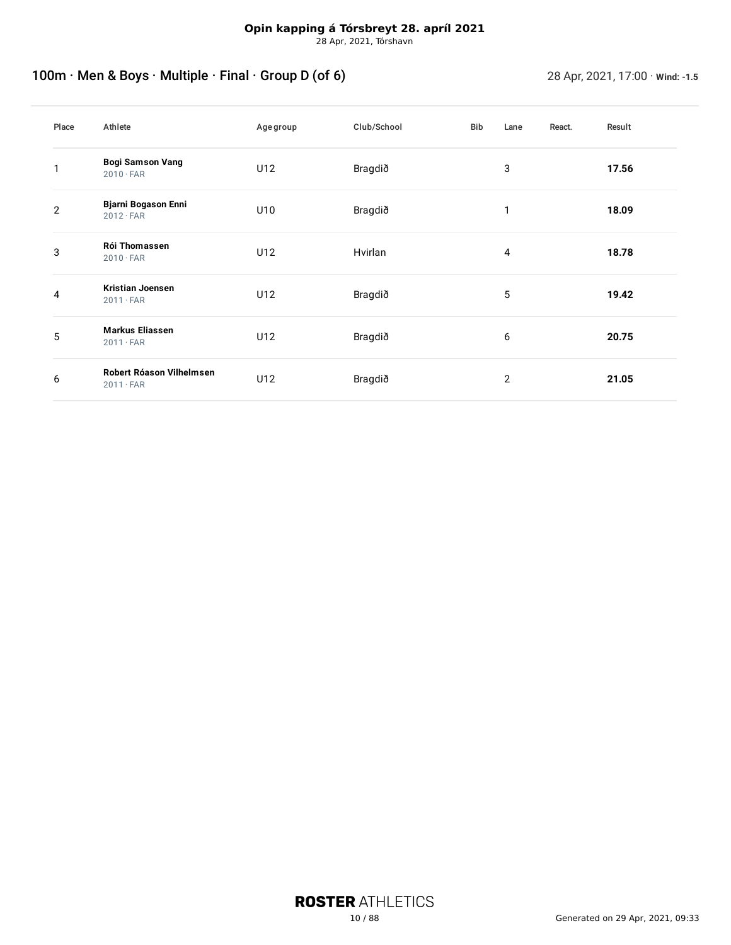# <span id="page-9-0"></span>100m · Men & Boys · Multiple · Final · Group D (of 6) 28 Apr, 2021, 17:00 · Wind: -1.5

| Place | Athlete                                        | Age group | Club/School | Bib | Lane           | React. | Result |
|-------|------------------------------------------------|-----------|-------------|-----|----------------|--------|--------|
|       | <b>Bogi Samson Vang</b><br>$2010 \cdot FAR$    | U12       | Bragdið     |     | 3              |        | 17.56  |
| 2     | <b>Bjarni Bogason Enni</b><br>$2012 \cdot FAR$ | U10       | Bragdið     |     | 1              |        | 18.09  |
| 3     | Rói Thomassen<br>$2010 \cdot FAR$              | U12       | Hvirlan     |     | 4              |        | 18.78  |
| 4     | <b>Kristian Joensen</b><br>$2011 \cdot FAR$    | U12       | Bragdið     |     | 5              |        | 19.42  |
| 5     | <b>Markus Eliassen</b><br>$2011 \cdot FAR$     | U12       | Bragdið     |     | 6              |        | 20.75  |
| 6     | Robert Róason Vilhelmsen<br>$2011 \cdot FAR$   | U12       | Bragdið     |     | $\overline{2}$ |        | 21.05  |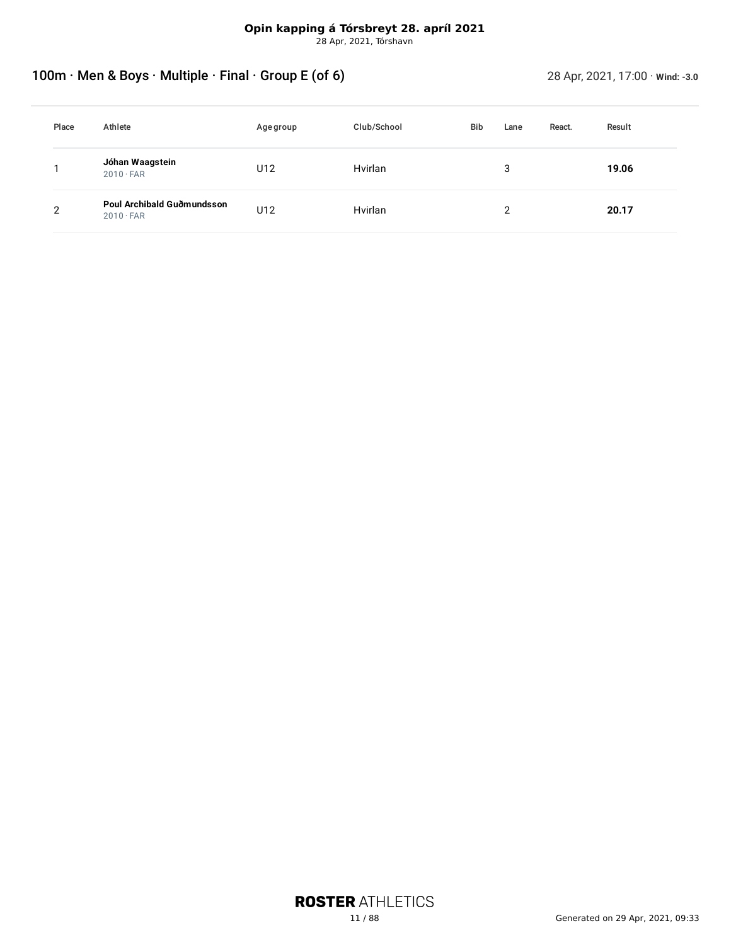28 Apr, 2021, Tórshavn

# <span id="page-10-0"></span>100m · Men & Boys · Multiple · Final · Group E (of 6) 28 Apr, 2021, 17:00 · Wind: -3.0

| Place | Athlete                                        | Age group | Club/School | <b>Bib</b> |   | React. | Result |  |
|-------|------------------------------------------------|-----------|-------------|------------|---|--------|--------|--|
|       | Jóhan Waagstein<br>$2010 \cdot FAR$            | U12       | Hvirlan     |            | 3 |        | 19.06  |  |
| 2     | Poul Archibald Guðmundsson<br>$2010 \cdot FAR$ | U12       | Hvirlan     |            | っ |        | 20.17  |  |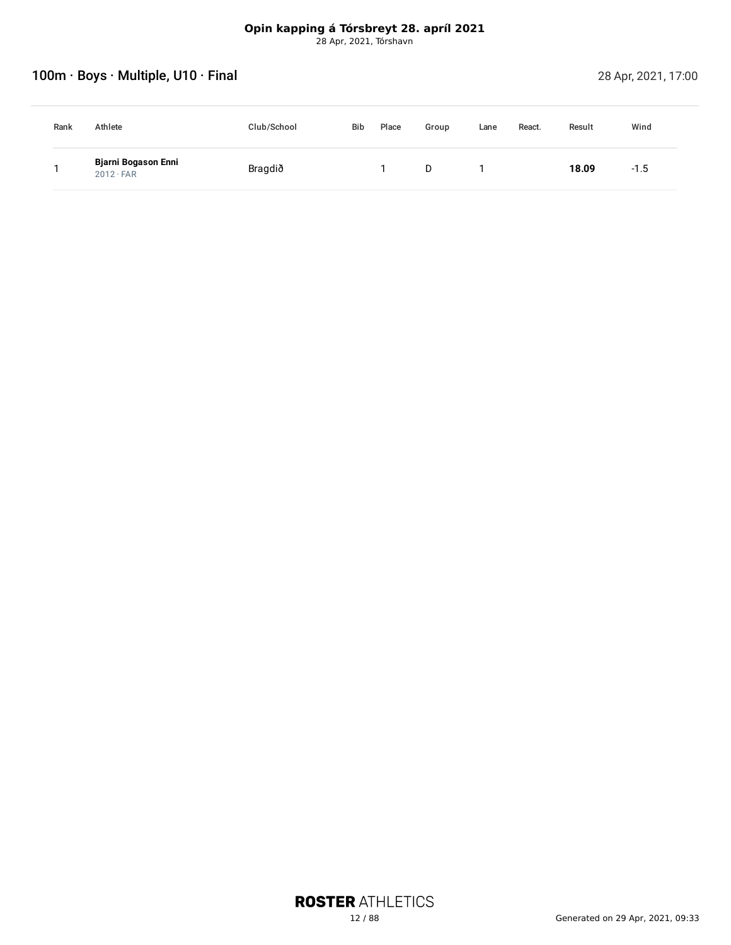# <span id="page-11-0"></span>100m · Boys · Multiple, U10 · Final 28 Apr, 2021, 17:00

| Rank | Athlete                                        | Club/School | <b>Bib</b> | Place | Group | Lane | React. | Result | Wind   |
|------|------------------------------------------------|-------------|------------|-------|-------|------|--------|--------|--------|
|      | <b>Bjarni Bogason Enni</b><br>$2012 \cdot FAR$ | Bragdið     |            |       | D     |      |        | 18.09  | $-1.5$ |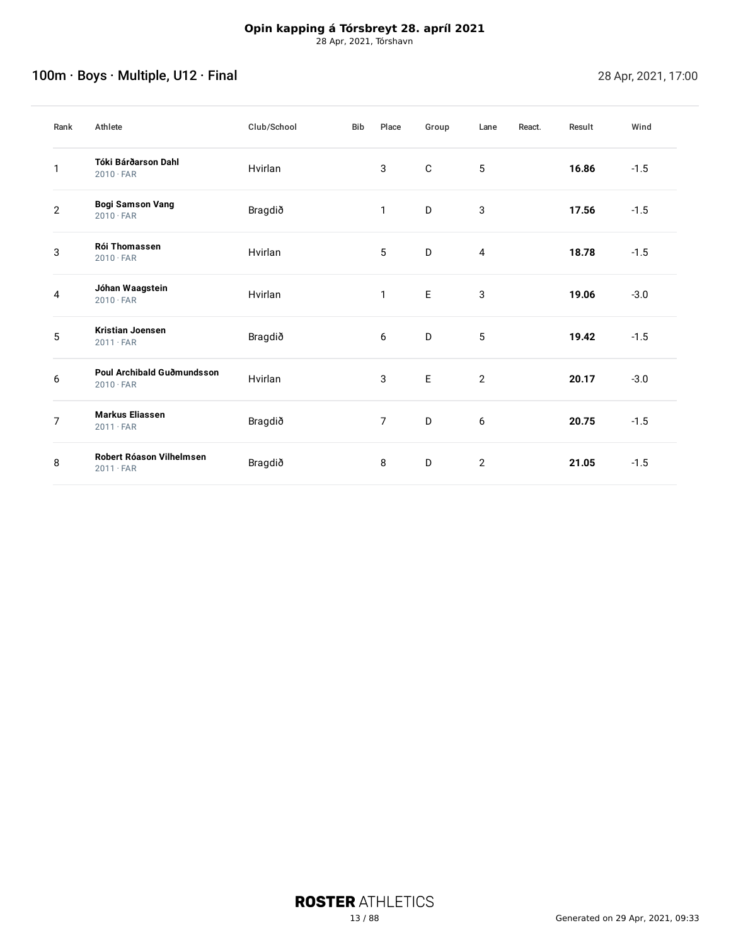# <span id="page-12-0"></span>100m · Boys · Multiple, U12 · Final 28 Apr, 2021, 17:00

| Rank           | Athlete                                        | Club/School | <b>Bib</b> | Place          | Group       | Lane           | React. | Result | Wind   |
|----------------|------------------------------------------------|-------------|------------|----------------|-------------|----------------|--------|--------|--------|
| 1              | Tóki Bárðarson Dahl<br>$2010 \cdot FAR$        | Hvirlan     |            | 3              | $\mathbf C$ | 5              |        | 16.86  | $-1.5$ |
| $\mathbf{2}$   | <b>Bogi Samson Vang</b><br>$2010 \cdot FAR$    | Bragdið     |            | $\mathbf{1}$   | D           | 3              |        | 17.56  | $-1.5$ |
| 3              | <b>Rói Thomassen</b><br>$2010 \cdot FAR$       | Hvirlan     |            | 5              | D           | 4              |        | 18.78  | $-1.5$ |
| 4              | Jóhan Waagstein<br>$2010 \cdot FAR$            | Hvirlan     |            | $\mathbf{1}$   | $\mathsf E$ | 3              |        | 19.06  | $-3.0$ |
| 5              | <b>Kristian Joensen</b><br>$2011 \cdot FAR$    | Bragdið     |            | 6              | D           | 5              |        | 19.42  | $-1.5$ |
| 6              | Poul Archibald Guðmundsson<br>$2010 \cdot FAR$ | Hvirlan     |            | 3              | $\mathsf E$ | $\overline{2}$ |        | 20.17  | $-3.0$ |
| $\overline{7}$ | <b>Markus Eliassen</b><br>$2011 \cdot FAR$     | Bragdið     |            | $\overline{7}$ | D           | 6              |        | 20.75  | $-1.5$ |
| 8              | Robert Róason Vilhelmsen<br>$2011 \cdot FAR$   | Bragdið     |            | 8              | D           | $\mathbf{2}$   |        | 21.05  | $-1.5$ |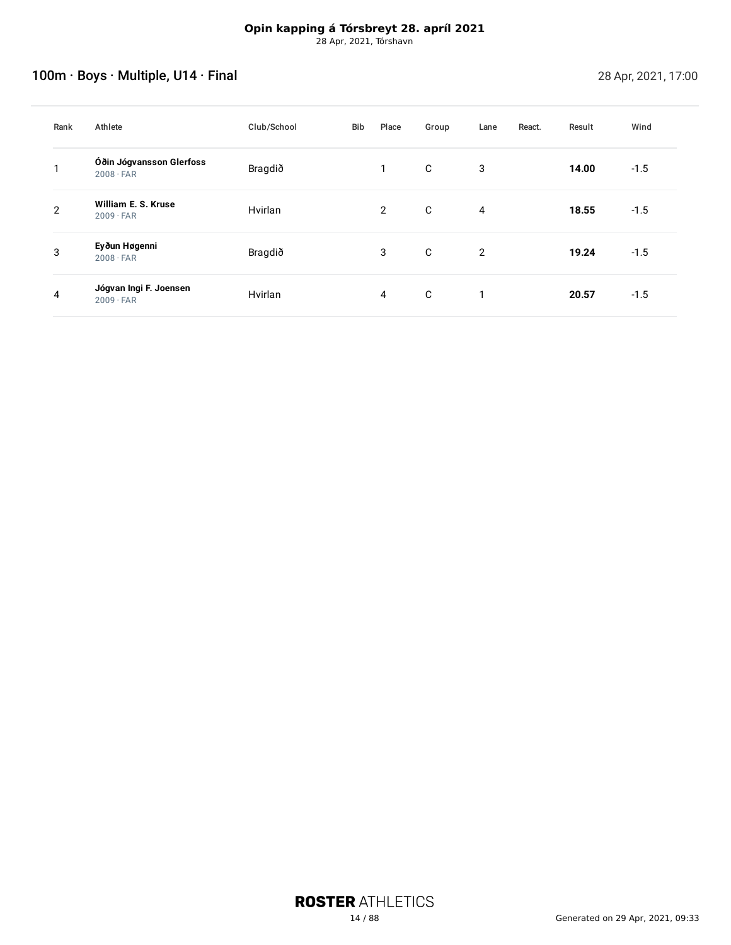# <span id="page-13-0"></span>100m · Boys · Multiple, U14 · Final 28 Apr, 2021, 17:00

| Rank | Athlete                                      | Club/School | Bib | Place          | Group | Lane | React. | Result | Wind   |
|------|----------------------------------------------|-------------|-----|----------------|-------|------|--------|--------|--------|
|      | Óðin Jógvansson Glerfoss<br>$2008 \cdot FAR$ | Bragdið     |     | 1              | C     | 3    |        | 14.00  | $-1.5$ |
| 2    | William E. S. Kruse<br>$2009 \cdot FAR$      | Hvirlan     |     | $\overline{2}$ | C     | 4    |        | 18.55  | $-1.5$ |
| 3    | Eyðun Høgenni<br>$2008 \cdot FAR$            | Bragdið     |     | 3              | C     | 2    |        | 19.24  | $-1.5$ |
| 4    | Jógvan Ingi F. Joensen<br>$2009 \cdot FAR$   | Hvirlan     |     | 4              | C     | 1    |        | 20.57  | $-1.5$ |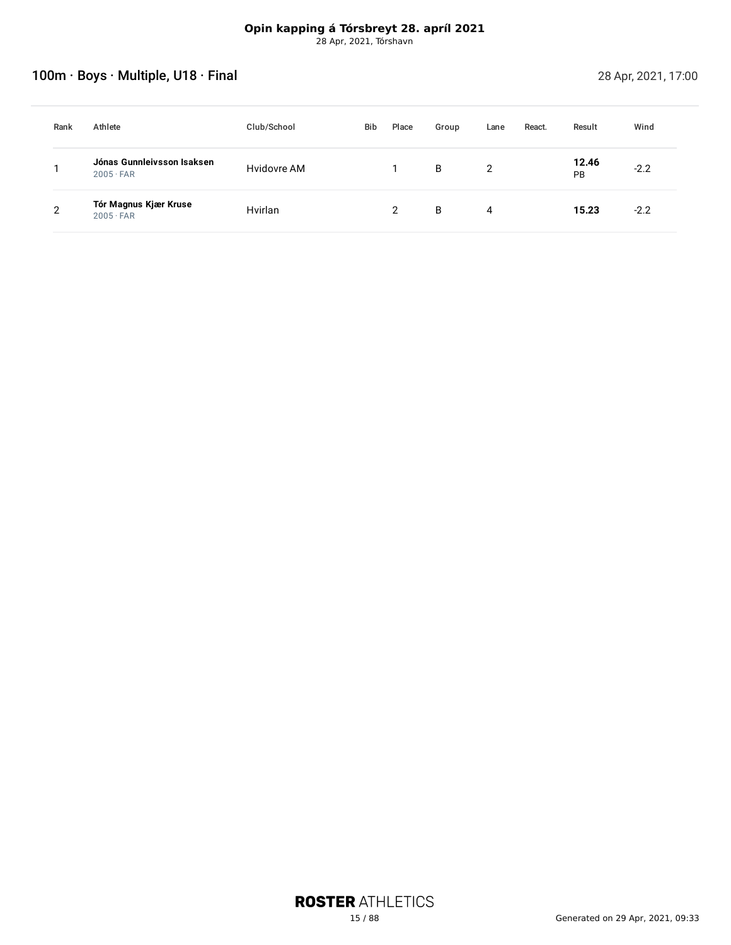# <span id="page-14-0"></span>100m · Boys · Multiple, U18 · Final 28 Apr, 2021, 17:00

| Rank | Athlete                                        | Club/School | Bib | Place | Group | Lane | React. | Result      | Wind   |
|------|------------------------------------------------|-------------|-----|-------|-------|------|--------|-------------|--------|
|      | Jónas Gunnleivsson Isaksen<br>$2005 \cdot FAR$ | Hvidovre AM |     |       | B     | 2    |        | 12.46<br>PB | $-2.2$ |
| C    | Tór Magnus Kjær Kruse<br>$2005 \cdot FAR$      | Hvirlan     |     | າ     | B     | 4    |        | 15.23       | $-2.2$ |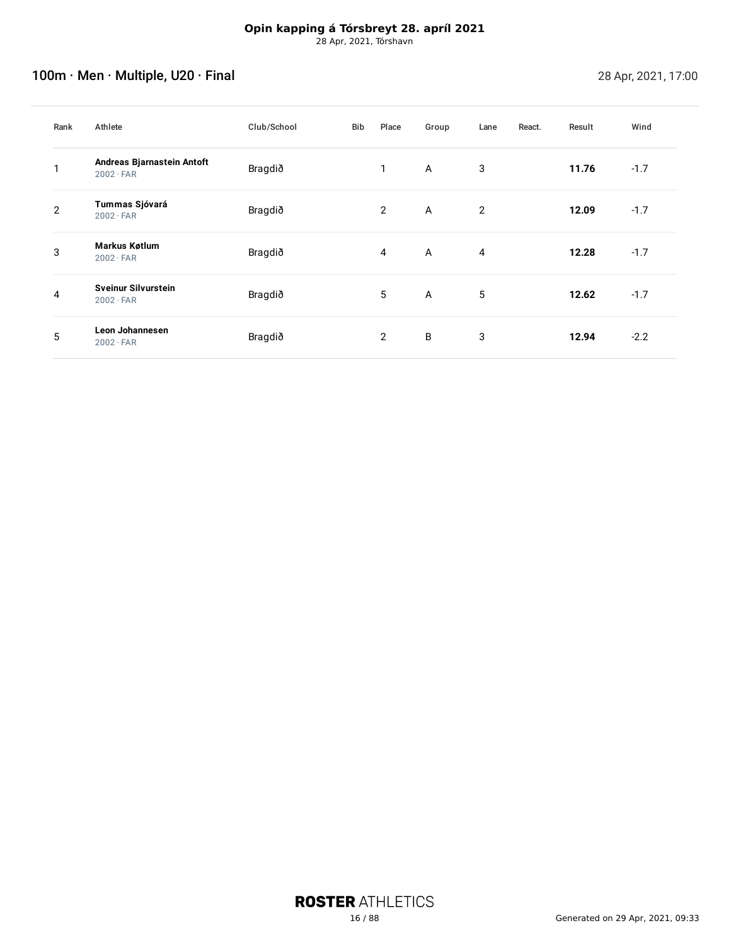# <span id="page-15-0"></span>100m · Men · Multiple, U20 · Final 28 Apr, 2021, 17:00

| Rank | Athlete                                        | Club/School | Bib | Place          | Group          | Lane | React. | Result | Wind   |
|------|------------------------------------------------|-------------|-----|----------------|----------------|------|--------|--------|--------|
|      | Andreas Bjarnastein Antoft<br>$2002 \cdot FAR$ | Bragdið     |     | 1              | $\mathsf{A}$   | 3    |        | 11.76  | $-1.7$ |
| 2    | Tummas Sjóvará<br>$2002 \cdot FAR$             | Bragdið     |     | 2              | $\overline{A}$ | 2    |        | 12.09  | $-1.7$ |
| 3    | <b>Markus Køtlum</b><br>$2002 \cdot FAR$       | Bragdið     |     | $\overline{4}$ | $\overline{A}$ | 4    |        | 12.28  | $-1.7$ |
| 4    | <b>Sveinur Silvurstein</b><br>$2002 \cdot FAR$ | Bragdið     |     | 5              | $\overline{A}$ | 5    |        | 12.62  | $-1.7$ |
| 5    | Leon Johannesen<br>$2002 \cdot FAR$            | Bragdið     |     | 2              | B              | 3    |        | 12.94  | $-2.2$ |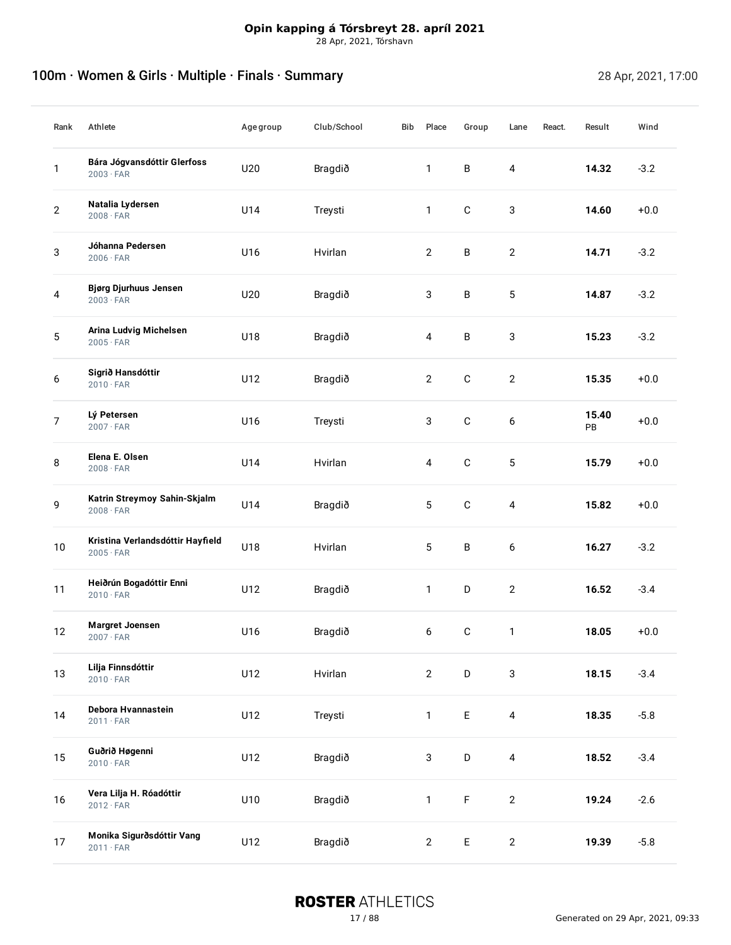# <span id="page-16-0"></span>100m · Women & Girls · Multiple · Finals · Summary 28 Apr, 2021, 17:00

| Rank           | Athlete                                              | Age group | Club/School | Bib | Place          | Group        | Lane           | React. | Result      | Wind   |
|----------------|------------------------------------------------------|-----------|-------------|-----|----------------|--------------|----------------|--------|-------------|--------|
| 1              | Bára Jógvansdóttir Glerfoss<br>$2003 \cdot FAR$      | U20       | Bragdið     |     | $\mathbf{1}$   | B            | $\overline{4}$ |        | 14.32       | $-3.2$ |
| $\mathbf{2}$   | Natalia Lydersen<br>$2008 \cdot FAR$                 | U14       | Treysti     |     | $\mathbf{1}$   | $\mathbf C$  | 3              |        | 14.60       | $+0.0$ |
| 3              | Jóhanna Pedersen<br>$2006 \cdot FAR$                 | U16       | Hvirlan     |     | $\mathbf{2}$   | B            | $\mathbf{2}$   |        | 14.71       | $-3.2$ |
| 4              | <b>Bjørg Djurhuus Jensen</b><br>$2003 \cdot FAR$     | U20       | Bragdið     |     | 3              | B            | 5              |        | 14.87       | $-3.2$ |
| 5              | Arina Ludvig Michelsen<br>$2005 \cdot FAR$           | U18       | Bragdið     |     | $\overline{4}$ | B            | 3              |        | 15.23       | $-3.2$ |
| 6              | Sigrið Hansdóttir<br>$2010 \cdot FAR$                | U12       | Bragdið     |     | $\overline{2}$ | $\mathsf C$  | $\mathbf{2}$   |        | 15.35       | $+0.0$ |
| $\overline{7}$ | Lý Petersen<br>$2007 \cdot FAR$                      | U16       | Treysti     |     | 3              | $\mathsf C$  | 6              |        | 15.40<br>PB | $+0.0$ |
| 8              | Elena E. Olsen<br>$2008 \cdot FAR$                   | U14       | Hvirlan     |     | 4              | $\mathsf C$  | 5              |        | 15.79       | $+0.0$ |
| 9              | Katrin Streymoy Sahin-Skjalm<br>$2008 \cdot FAR$     | U14       | Bragdið     |     | 5              | $\mathbf C$  | 4              |        | 15.82       | $+0.0$ |
| 10             | Kristina Verlandsdóttir Hayfield<br>$2005 \cdot FAR$ | U18       | Hvirlan     |     | 5              | B            | 6              |        | 16.27       | $-3.2$ |
| 11             | Heiðrún Bogadóttir Enni<br>$2010 \cdot FAR$          | U12       | Bragdið     |     | $\mathbf{1}$   | D            | $\mathbf{2}$   |        | 16.52       | $-3.4$ |
| 12             | <b>Margret Joensen</b><br>$2007 \cdot FAR$           | U16       | Bragdið     |     | 6              | $\mathbf C$  | $\mathbf{1}$   |        | 18.05       | $+0.0$ |
| 13             | Lilja Finnsdóttir<br>$2010 \cdot FAR$                | U12       | Hvirlan     |     | $\overline{2}$ | D            | $\mathbf{3}$   |        | 18.15       | $-3.4$ |
| 14             | Debora Hvannastein<br>$2011 \cdot FAR$               | U12       | Treysti     |     | $\mathbf{1}$   | $\mathsf{E}$ | $\overline{4}$ |        | 18.35       | $-5.8$ |
| 15             | Guðrið Høgenni<br>$2010 \cdot FAR$                   | U12       | Bragdið     |     | 3              | D            | $\overline{4}$ |        | 18.52       | $-3.4$ |
| 16             | Vera Lilja H. Róadóttir<br>$2012 \cdot FAR$          | U10       | Bragdið     |     | $\mathbf{1}$   | $\mathsf F$  | $\mathbf{2}$   |        | 19.24       | $-2.6$ |
| 17             | Monika Sigurðsdóttir Vang<br>$2011 \cdot FAR$        | U12       | Bragdið     |     | $\overline{2}$ | $\mathsf{E}$ | $\overline{2}$ |        | 19.39       | $-5.8$ |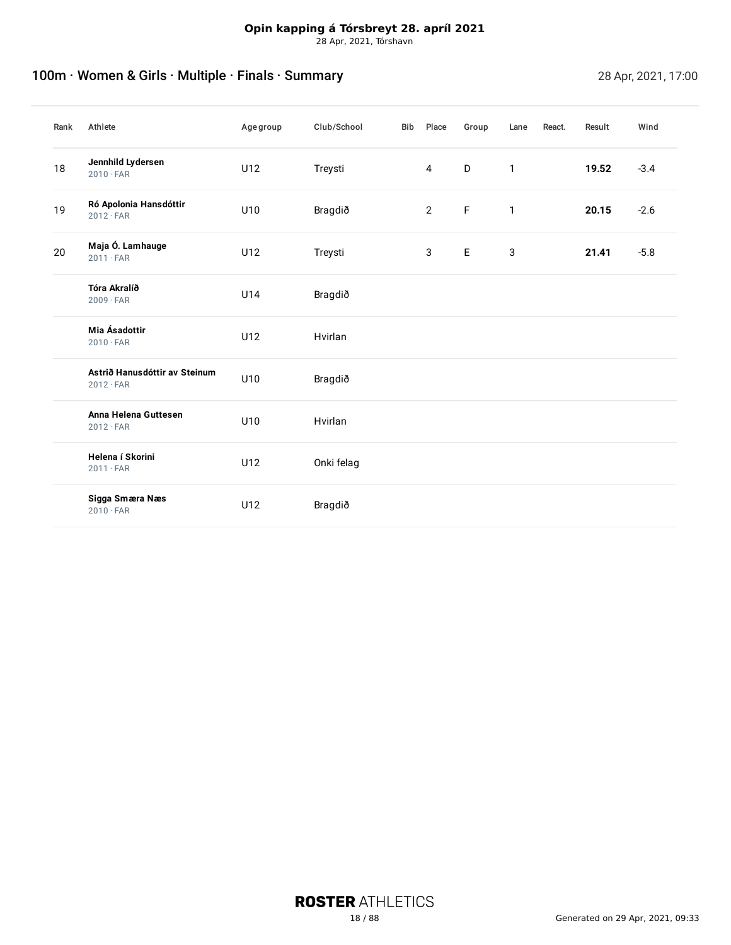# 100m · Women & Girls · Multiple · Finals · Summary 28 Apr, 2021, 17:00

| Rank | Athlete                                           | Age group | Club/School | Bib | Place          | Group       | Lane         | React. | Result | Wind   |
|------|---------------------------------------------------|-----------|-------------|-----|----------------|-------------|--------------|--------|--------|--------|
| 18   | Jennhild Lydersen<br>$2010 \cdot FAR$             | U12       | Treysti     |     | $\overline{4}$ | D           | $\mathbf{1}$ |        | 19.52  | $-3.4$ |
| 19   | Ró Apolonia Hansdóttir<br>$2012 \cdot FAR$        | U10       | Bragdið     |     | $\overline{2}$ | $\mathsf F$ | $\mathbf{1}$ |        | 20.15  | $-2.6$ |
| 20   | Maja Ó. Lamhauge<br>$2011 \cdot FAR$              | U12       | Treysti     |     | $\mathbf{3}$   | E           | 3            |        | 21.41  | $-5.8$ |
|      | Tóra Akralíð<br>$2009 \cdot FAR$                  | U14       | Bragdið     |     |                |             |              |        |        |        |
|      | Mia Ásadottir<br>$2010 \cdot FAR$                 | U12       | Hvirlan     |     |                |             |              |        |        |        |
|      | Astrið Hanusdóttir av Steinum<br>$2012 \cdot FAR$ | U10       | Bragdið     |     |                |             |              |        |        |        |
|      | Anna Helena Guttesen<br>$2012 \cdot FAR$          | U10       | Hvirlan     |     |                |             |              |        |        |        |
|      | Helena í Skorini<br>$2011 \cdot FAR$              | U12       | Onki felag  |     |                |             |              |        |        |        |
|      | Sigga Smæra Næs<br>$2010 \cdot FAR$               | U12       | Bragdið     |     |                |             |              |        |        |        |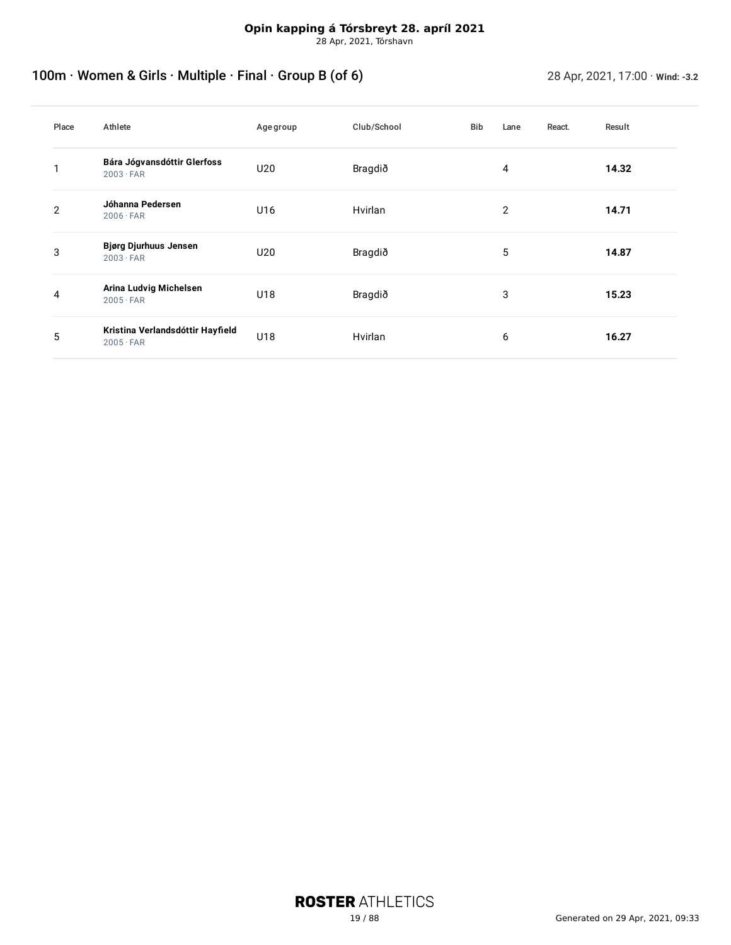28 Apr, 2021, Tórshavn

# <span id="page-18-0"></span>100m · Women & Girls · Multiple · Final · Group B (of 6) 28 Apr, 2021, 17:00 · **Wind: -3.2**

| Place | Athlete                                              | Age group | Club/School | <b>Bib</b> | Lane | React. | Result |
|-------|------------------------------------------------------|-----------|-------------|------------|------|--------|--------|
|       | Bára Jógvansdóttir Glerfoss<br>$2003 \cdot FAR$      | U20       | Bragdið     |            | 4    |        | 14.32  |
| 2     | Jóhanna Pedersen<br>$2006 \cdot FAR$                 | U16       | Hvirlan     |            | 2    |        | 14.71  |
| 3     | Bjørg Djurhuus Jensen<br>$2003 \cdot FAR$            | U20       | Bragdið     |            | 5    |        | 14.87  |
| 4     | Arina Ludvig Michelsen<br>$2005 \cdot FAR$           | U18       | Bragdið     |            | 3    |        | 15.23  |
| 5     | Kristina Verlandsdóttir Hayfield<br>$2005 \cdot FAR$ | U18       | Hvirlan     |            | 6    |        | 16.27  |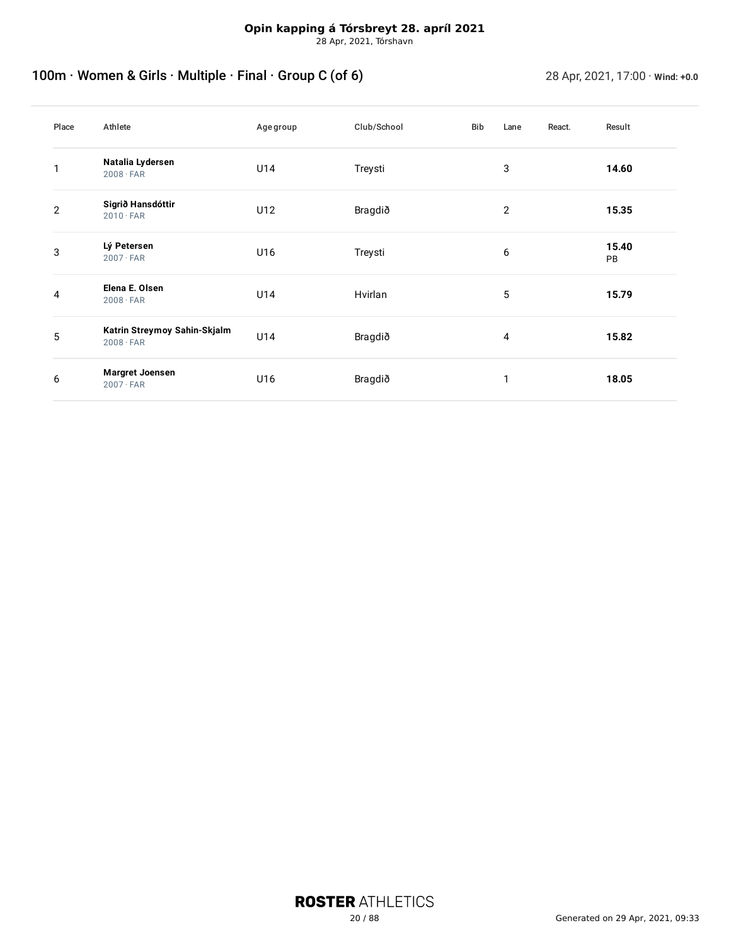# <span id="page-19-0"></span>100m · Women & Girls · Multiple · Final · Group C (of 6) 28 Apr, 2021, 17:00 · **Wind: +0.0**

| Place          | Athlete                                          | Age group | Club/School | Bib | Lane           | React. | Result      |
|----------------|--------------------------------------------------|-----------|-------------|-----|----------------|--------|-------------|
|                | Natalia Lydersen<br>$2008 \cdot FAR$             | U14       | Treysti     |     | 3              |        | 14.60       |
| $\overline{2}$ | Sigrið Hansdóttir<br>$2010 \cdot FAR$            | U12       | Bragdið     |     | $\overline{2}$ |        | 15.35       |
| 3              | Lý Petersen<br>$2007 \cdot FAR$                  | U16       | Treysti     |     | 6              |        | 15.40<br>PB |
| 4              | Elena E. Olsen<br>$2008 \cdot FAR$               | U14       | Hvirlan     |     | 5              |        | 15.79       |
| 5              | Katrin Streymoy Sahin-Skjalm<br>$2008 \cdot FAR$ | U14       | Bragdið     |     | 4              |        | 15.82       |
| 6              | <b>Margret Joensen</b><br>$2007 \cdot FAR$       | U16       | Bragdið     |     | 1              |        | 18.05       |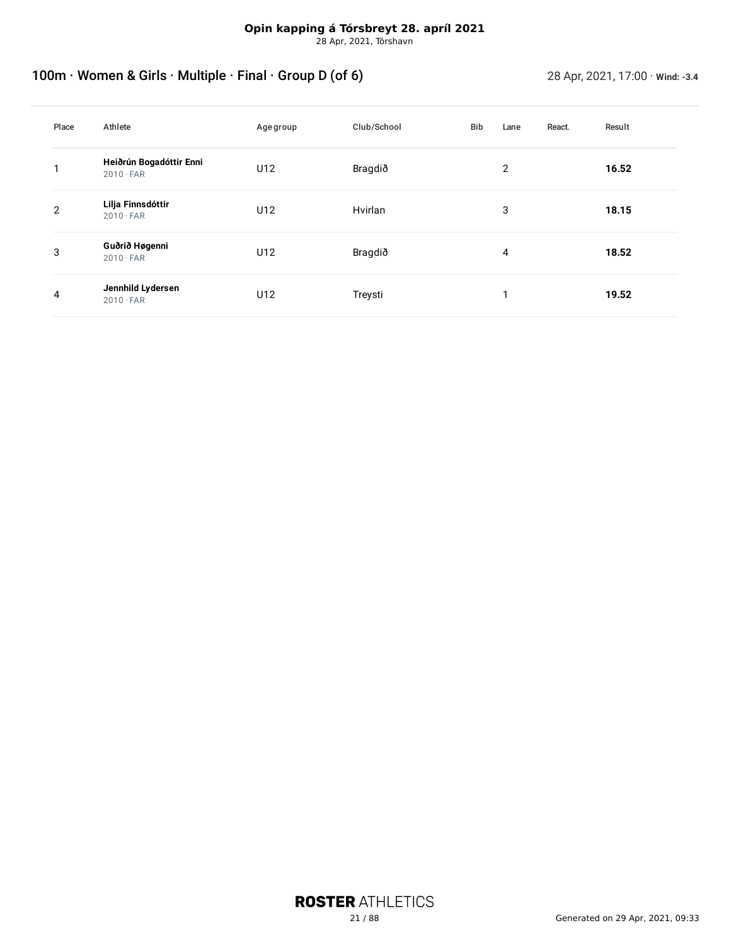28 Apr, 2021, Tórshavn

# <span id="page-20-0"></span>100m · Women & Girls · Multiple · Final · Group D (of 6) 28 Apr, 2021, 17:00 · wind: -3.4

| Place          | Athlete                                     | Age group | Club/School | Bib | Lane | React. | Result |
|----------------|---------------------------------------------|-----------|-------------|-----|------|--------|--------|
|                | Heiðrún Bogadóttir Enni<br>$2010 \cdot FAR$ | U12       | Bragdið     |     | 2    |        | 16.52  |
| $\overline{2}$ | Lilja Finnsdóttir<br>$2010 \cdot FAR$       | U12       | Hvirlan     |     | 3    |        | 18.15  |
| 3              | Guðrið Høgenni<br>$2010 \cdot FAR$          | U12       | Bragdið     |     | 4    |        | 18.52  |
| 4              | Jennhild Lydersen<br>$2010 \cdot FAR$       | U12       | Treysti     |     |      |        | 19.52  |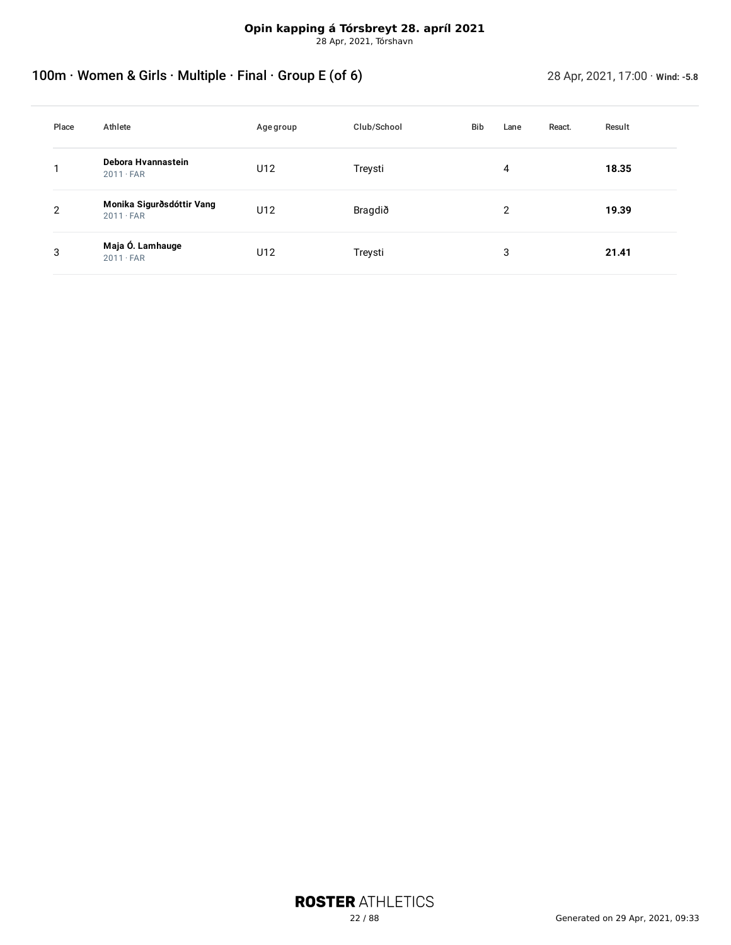28 Apr, 2021, Tórshavn

# <span id="page-21-0"></span>100m · Women & Girls · Multiple · Final · Group E (of 6) 28 Apr, 2021, 17:00 · **Wind: -5.8**

| Place | Athlete                                       | Age group | Club/School | Bib | Lane | React. | Result |
|-------|-----------------------------------------------|-----------|-------------|-----|------|--------|--------|
|       | Debora Hvannastein<br>$2011 \cdot FAR$        | U12       | Treysti     |     | 4    |        | 18.35  |
| 2     | Monika Sigurðsdóttir Vang<br>$2011 \cdot FAR$ | U12       | Bragdið     |     | 2    |        | 19.39  |
| 3     | Maja Ó. Lamhauge<br>$2011 \cdot FAR$          | U12       | Treysti     |     | 3    |        | 21.41  |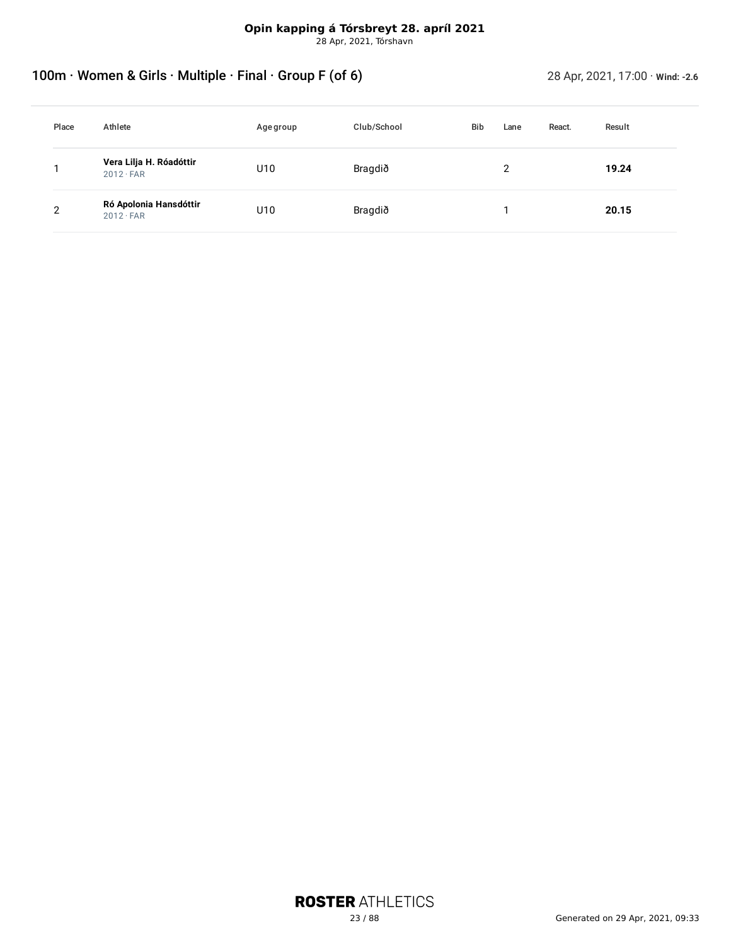28 Apr, 2021, Tórshavn

# <span id="page-22-0"></span>100m · Women & Girls · Multiple · Final · Group F (of 6) 28 Apr, 2021, 17:00 · wind: -2.6

| Place | Athlete                                     | Age group | Club/School | <b>Bib</b> | Lane | React. | Result |
|-------|---------------------------------------------|-----------|-------------|------------|------|--------|--------|
|       | Vera Lilja H. Róadóttir<br>$2012 \cdot FAR$ | U10       | Bragdið     |            | ົ    |        | 19.24  |
| 2     | Ró Apolonia Hansdóttir<br>$2012 \cdot FAR$  | U10       | Bragdið     |            |      |        | 20.15  |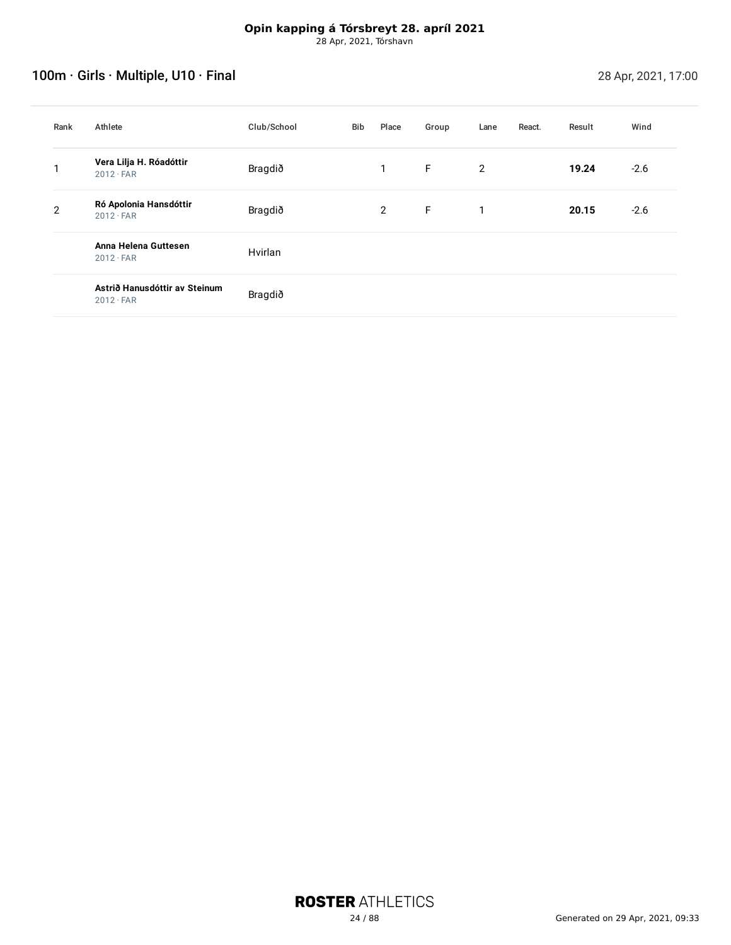# <span id="page-23-0"></span>100m · Girls · Multiple, U10 · Final 28 Apr, 2021, 17:00

| Rank | Athlete                                           | Club/School | Bib | Place          | Group | Lane | React. | Result | Wind   |
|------|---------------------------------------------------|-------------|-----|----------------|-------|------|--------|--------|--------|
|      | Vera Lilja H. Róadóttir<br>$2012 \cdot FAR$       | Bragdið     |     | $\mathbf{1}$   | F.    | 2    |        | 19.24  | $-2.6$ |
| 2    | Ró Apolonia Hansdóttir<br>$2012 \cdot FAR$        | Bragdið     |     | $\overline{2}$ | E     | 1    |        | 20.15  | $-2.6$ |
|      | Anna Helena Guttesen<br>$2012 \cdot FAR$          | Hvirlan     |     |                |       |      |        |        |        |
|      | Astrið Hanusdóttir av Steinum<br>$2012 \cdot FAR$ | Bragdið     |     |                |       |      |        |        |        |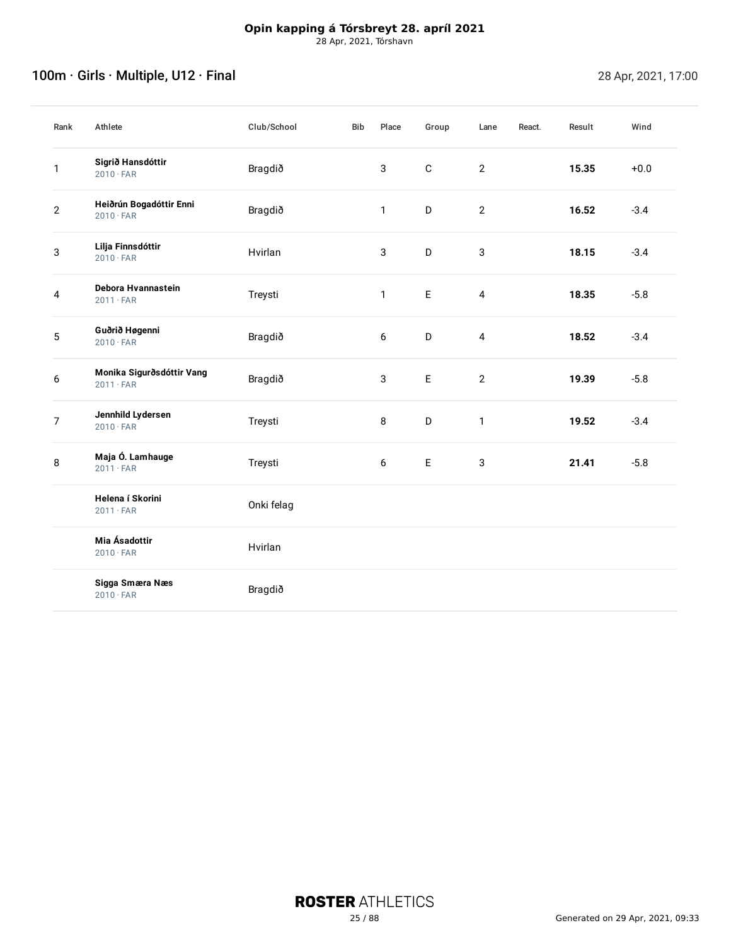# <span id="page-24-0"></span>100m · Girls · Multiple, U12 · Final 28 Apr, 2021, 17:00

| Rank           | Athlete                                       | Club/School | Bib | Place        | Group       | Lane           | React. | Result | Wind   |
|----------------|-----------------------------------------------|-------------|-----|--------------|-------------|----------------|--------|--------|--------|
| 1              | Sigrið Hansdóttir<br>$2010 \cdot FAR$         | Bragdið     |     | 3            | $\mathbf C$ | $\overline{2}$ |        | 15.35  | $+0.0$ |
| $\overline{2}$ | Heiðrún Bogadóttir Enni<br>$2010 \cdot FAR$   | Bragdið     |     | 1            | D           | $\overline{2}$ |        | 16.52  | $-3.4$ |
| $\mathsf 3$    | Lilja Finnsdóttir<br>$2010 \cdot FAR$         | Hvirlan     |     | $\mathbf{3}$ | D           | $\mathbf{3}$   |        | 18.15  | $-3.4$ |
| 4              | Debora Hvannastein<br>$2011 \cdot FAR$        | Treysti     |     | 1            | $\mathsf E$ | $\overline{4}$ |        | 18.35  | $-5.8$ |
| 5              | Guðrið Høgenni<br>$2010 \cdot FAR$            | Bragdið     |     | 6            | D           | $\overline{4}$ |        | 18.52  | $-3.4$ |
| 6              | Monika Sigurðsdóttir Vang<br>$2011 \cdot FAR$ | Bragdið     |     | $\mathbf{3}$ | $\mathsf E$ | $\overline{2}$ |        | 19.39  | $-5.8$ |
| $\overline{7}$ | Jennhild Lydersen<br>$2010 \cdot FAR$         | Treysti     |     | 8            | D           | $\mathbf{1}$   |        | 19.52  | $-3.4$ |
| 8              | Maja Ó. Lamhauge<br>$2011 \cdot FAR$          | Treysti     |     | 6            | $\mathsf E$ | $\mathbf{3}$   |        | 21.41  | $-5.8$ |
|                | Helena í Skorini<br>$2011 \cdot FAR$          | Onki felag  |     |              |             |                |        |        |        |
|                | Mia Ásadottir<br>$2010 \cdot FAR$             | Hvirlan     |     |              |             |                |        |        |        |
|                | Sigga Smæra Næs<br>$2010 \cdot FAR$           | Bragdið     |     |              |             |                |        |        |        |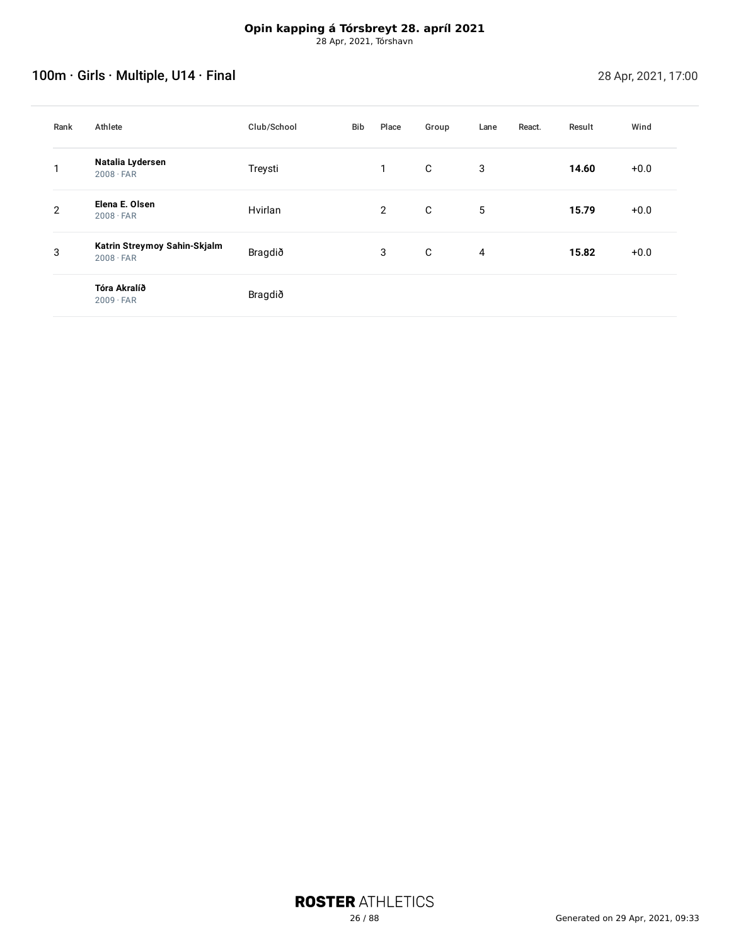# <span id="page-25-0"></span>100m · Girls · Multiple, U14 · Final 28 Apr, 2021, 17:00

| Rank           | Athlete                                          | Club/School | Bib | Place          | Group | Lane | React. | Result | Wind   |
|----------------|--------------------------------------------------|-------------|-----|----------------|-------|------|--------|--------|--------|
| ◄              | Natalia Lydersen<br>$2008 \cdot FAR$             | Treysti     |     | 1              | C     | 3    |        | 14.60  | $+0.0$ |
| $\overline{2}$ | Elena E. Olsen<br>$2008 \cdot FAR$               | Hvirlan     |     | $\overline{2}$ | C     | 5    |        | 15.79  | $+0.0$ |
| 3              | Katrin Streymoy Sahin-Skjalm<br>$2008 \cdot FAR$ | Bragdið     |     | 3              | C     | 4    |        | 15.82  | $+0.0$ |
|                | Tóra Akralíð<br>$2009 \cdot FAR$                 | Bragdið     |     |                |       |      |        |        |        |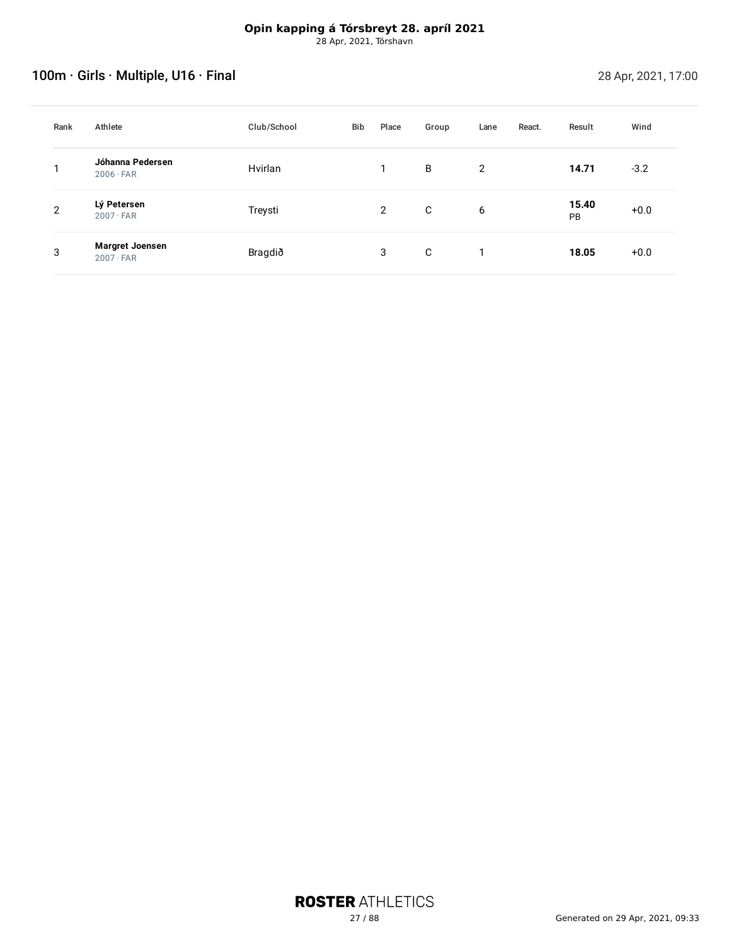# <span id="page-26-0"></span>100m · Girls · Multiple, U16 · Final 28 Apr, 2021, 17:00

| Rank | Athlete                                    | Club/School | Bib | Place          | Group | Lane | React. | Result      | Wind   |
|------|--------------------------------------------|-------------|-----|----------------|-------|------|--------|-------------|--------|
|      | Jóhanna Pedersen<br>$2006 \cdot FAR$       | Hvirlan     |     |                | B     | 2    |        | 14.71       | $-3.2$ |
| 2    | Lý Petersen<br>$2007 \cdot FAR$            | Treysti     |     | $\overline{2}$ | C     | 6    |        | 15.40<br>PB | $+0.0$ |
| 3    | <b>Margret Joensen</b><br>$2007 \cdot FAR$ | Bragdið     |     | 3              | C     |      |        | 18.05       | $+0.0$ |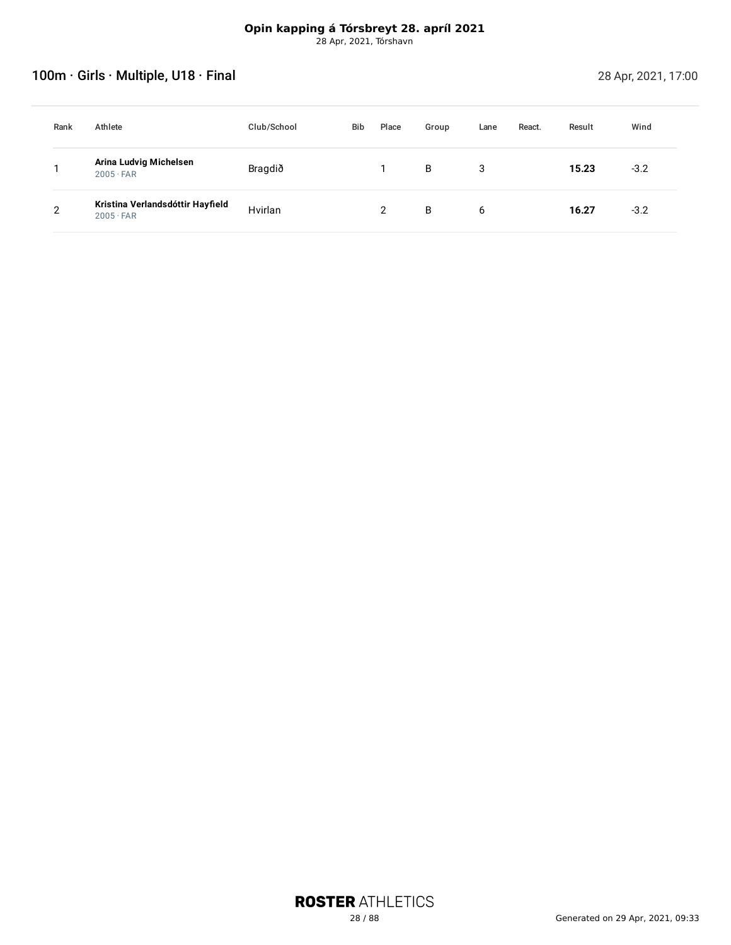# <span id="page-27-0"></span>100m · Girls · Multiple, U18 · Final 28 Apr, 2021, 17:00

| Rank | Athlete                                              | Club/School | <b>Bib</b> | Place         | Group | Lane | React. | Result | Wind   |
|------|------------------------------------------------------|-------------|------------|---------------|-------|------|--------|--------|--------|
|      | Arina Ludvig Michelsen<br>$2005 \cdot FAR$           | Bragdið     |            |               | B     | 3    |        | 15.23  | $-3.2$ |
| ≘    | Kristina Verlandsdóttir Hayfield<br>$2005 \cdot FAR$ | Hvirlan     |            | $\mathcal{P}$ | B     | 6    |        | 16.27  | $-3.2$ |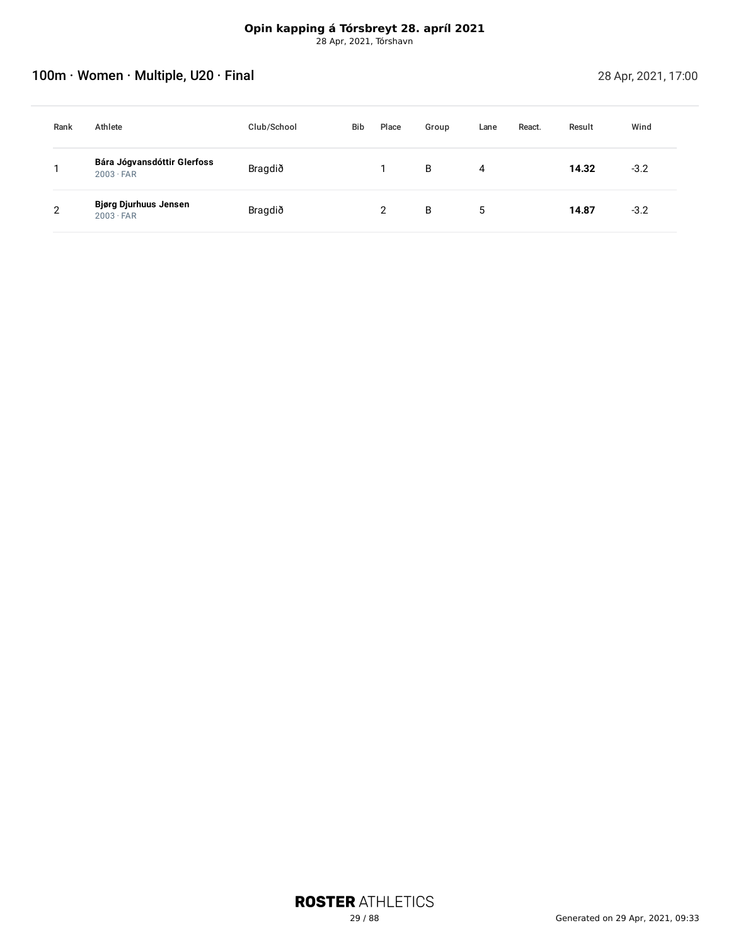# <span id="page-28-0"></span>100m · Women · Multiple, U20 · Final 28 Apr, 2021, 17:00

| Rank | Athlete                                          | Club/School | <b>Bib</b> | Place | Group | Lane | React. | Result | Wind   |
|------|--------------------------------------------------|-------------|------------|-------|-------|------|--------|--------|--------|
|      | Bára Jógvansdóttir Glerfoss<br>$2003 \cdot FAR$  | Bragdið     |            |       | B     | 4    |        | 14.32  | $-3.2$ |
| C    | <b>Bjørg Djurhuus Jensen</b><br>$2003 \cdot FAR$ | Bragdið     |            |       | B     | 5    |        | 14.87  | $-3.2$ |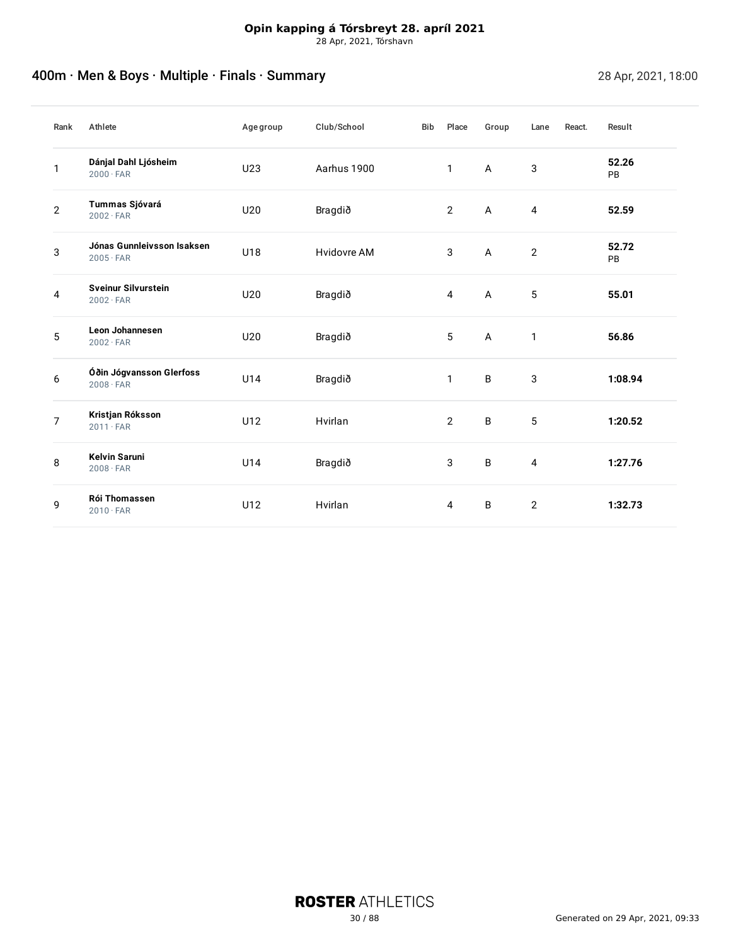# <span id="page-29-0"></span>And The Men & Boys · Multiple · Finals · Summary 28 Apr, 2021, 18:00

| Rank           | Athlete                                        | Age group | Club/School | Bib | Place          | Group        | Lane           | React. | Result      |
|----------------|------------------------------------------------|-----------|-------------|-----|----------------|--------------|----------------|--------|-------------|
| 1              | Dánjal Dahl Ljósheim<br>$2000 \cdot FAR$       | U23       | Aarhus 1900 |     | $\mathbf{1}$   | A            | 3              |        | 52.26<br>PB |
| $\overline{2}$ | Tummas Sjóvará<br>$2002 \cdot FAR$             | U20       | Bragdið     |     | $\overline{2}$ | A            | $\overline{4}$ |        | 52.59       |
| 3              | Jónas Gunnleivsson Isaksen<br>$2005 \cdot FAR$ | U18       | Hvidovre AM |     | 3              | A            | $\overline{2}$ |        | 52.72<br>PB |
| 4              | <b>Sveinur Silvurstein</b><br>$2002 \cdot FAR$ | U20       | Bragdið     |     | 4              | $\mathsf{A}$ | 5              |        | 55.01       |
| 5              | <b>Leon Johannesen</b><br>$2002 \cdot FAR$     | U20       | Bragdið     |     | 5              | $\mathsf{A}$ | $\mathbf{1}$   |        | 56.86       |
| 6              | Óðin Jógvansson Glerfoss<br>$2008 \cdot FAR$   | U14       | Bragdið     |     | $\mathbf{1}$   | B            | 3              |        | 1:08.94     |
| $\overline{7}$ | Kristjan Róksson<br>$2011 \cdot FAR$           | U12       | Hvirlan     |     | $\overline{2}$ | B            | 5              |        | 1:20.52     |
| 8              | <b>Kelvin Saruni</b><br>$2008 \cdot FAR$       | U14       | Bragdið     |     | 3              | B            | $\overline{4}$ |        | 1:27.76     |
| 9              | Rói Thomassen<br>$2010 \cdot FAR$              | U12       | Hvirlan     |     | $\overline{4}$ | B            | $\overline{2}$ |        | 1:32.73     |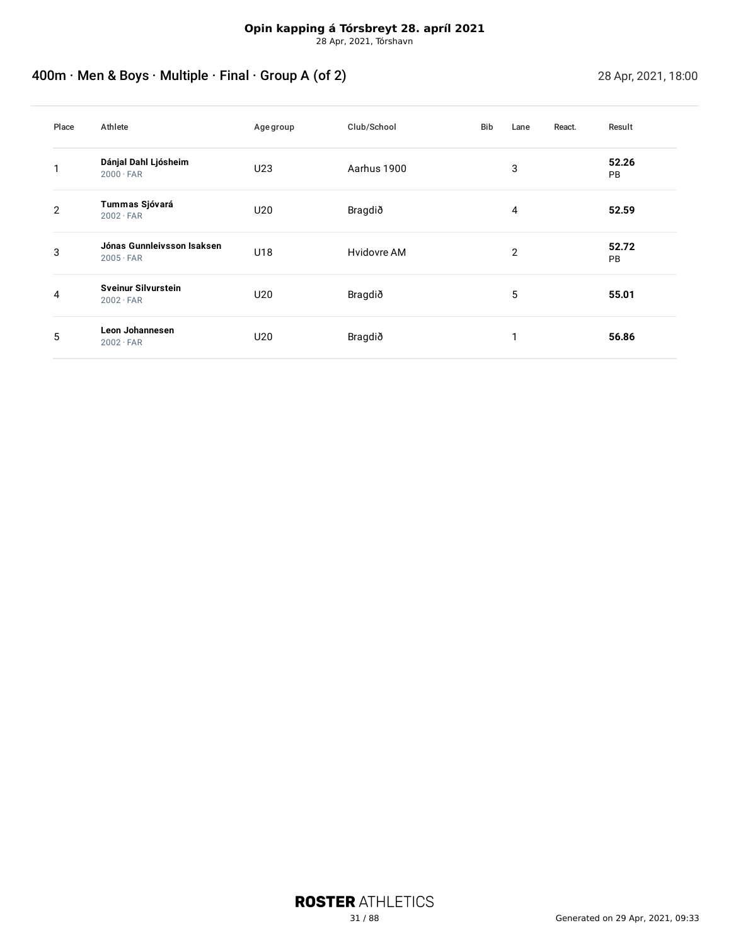# <span id="page-30-0"></span>400m · Men & Boys · Multiple · Final · Group A (of 2) 28 Apr, 2021, 18:00

| Place          | Athlete                                        | Age group | Club/School | <b>Bib</b> | Lane | React. | Result             |
|----------------|------------------------------------------------|-----------|-------------|------------|------|--------|--------------------|
|                | Dánjal Dahl Ljósheim<br>$2000 \cdot FAR$       | U23       | Aarhus 1900 |            | 3    |        | 52.26<br><b>PB</b> |
| $\overline{2}$ | Tummas Sjóvará<br>$2002 \cdot FAR$             | U20       | Bragdið     |            | 4    |        | 52.59              |
| 3              | Jónas Gunnleivsson Isaksen<br>$2005 \cdot FAR$ | U18       | Hvidovre AM |            | 2    |        | 52.72<br>PB        |
| 4              | <b>Sveinur Silvurstein</b><br>$2002 \cdot FAR$ | U20       | Bragdið     |            | 5    |        | 55.01              |
| 5              | Leon Johannesen<br>$2002 \cdot FAR$            | U20       | Bragdið     |            | ◄    |        | 56.86              |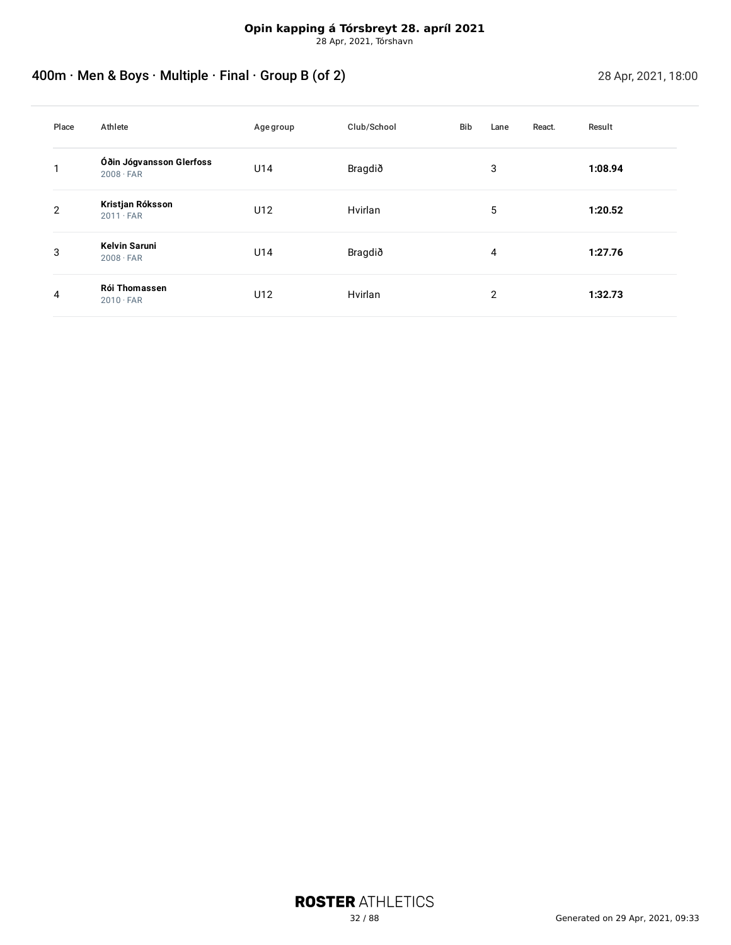# <span id="page-31-0"></span>400m · Men & Boys · Multiple · Final · Group B (of 2) 28 Apr, 2021, 18:00

| Place          | Athlete                                      | Age group | Club/School | Bib | Lane           | React. | Result  |
|----------------|----------------------------------------------|-----------|-------------|-----|----------------|--------|---------|
| ◄              | Óðin Jógvansson Glerfoss<br>$2008 \cdot FAR$ | U14       | Bragdið     |     | 3              |        | 1:08.94 |
| $\overline{2}$ | Kristjan Róksson<br>$2011 \cdot FAR$         | U12       | Hvirlan     |     | 5              |        | 1:20.52 |
| 3              | <b>Kelvin Saruni</b><br>$2008 \cdot FAR$     | U14       | Bragdið     |     | 4              |        | 1:27.76 |
| 4              | Rói Thomassen<br>$2010 \cdot FAR$            | U12       | Hvirlan     |     | $\overline{2}$ |        | 1:32.73 |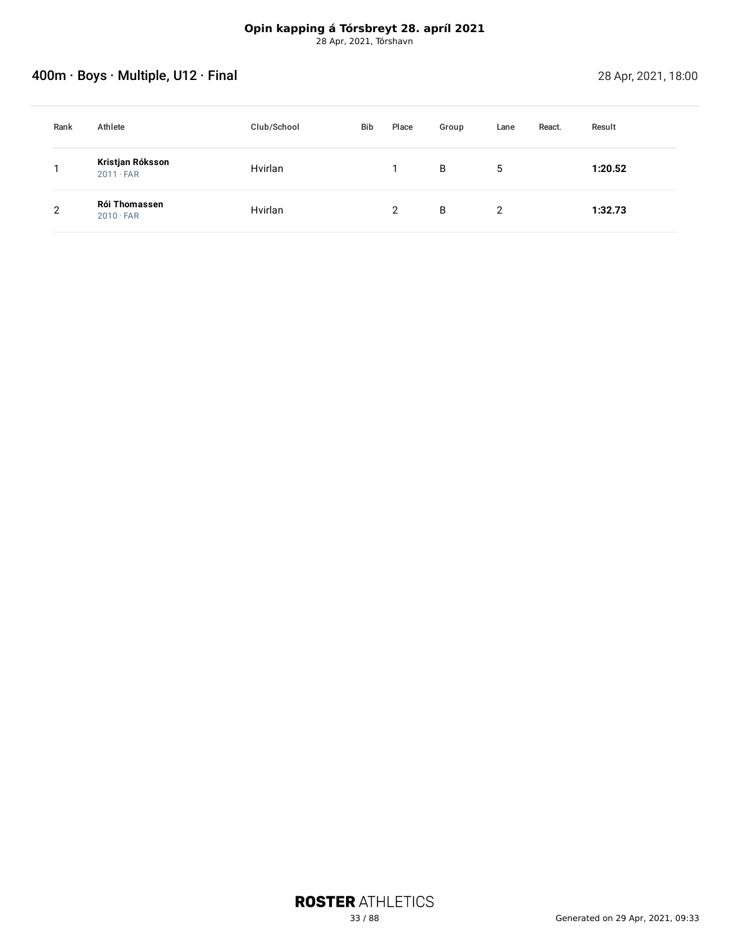# <span id="page-32-0"></span>Account of the Society of the Society of the Society of the Society of the Society of the Society of the Society of the 28 Apr, 2021, 18:00

| Rank           | Athlete                                  | Club/School | Bib | Place         | Group | Lane | React. | Result  |
|----------------|------------------------------------------|-------------|-----|---------------|-------|------|--------|---------|
|                | Kristjan Róksson<br>$2011 \cdot FAR$     | Hvirlan     |     |               | B     | 5    |        | 1:20.52 |
| $\overline{2}$ | <b>Rói Thomassen</b><br>$2010 \cdot FAR$ | Hvirlan     |     | $\mathcal{D}$ | B     | 2    |        | 1:32.73 |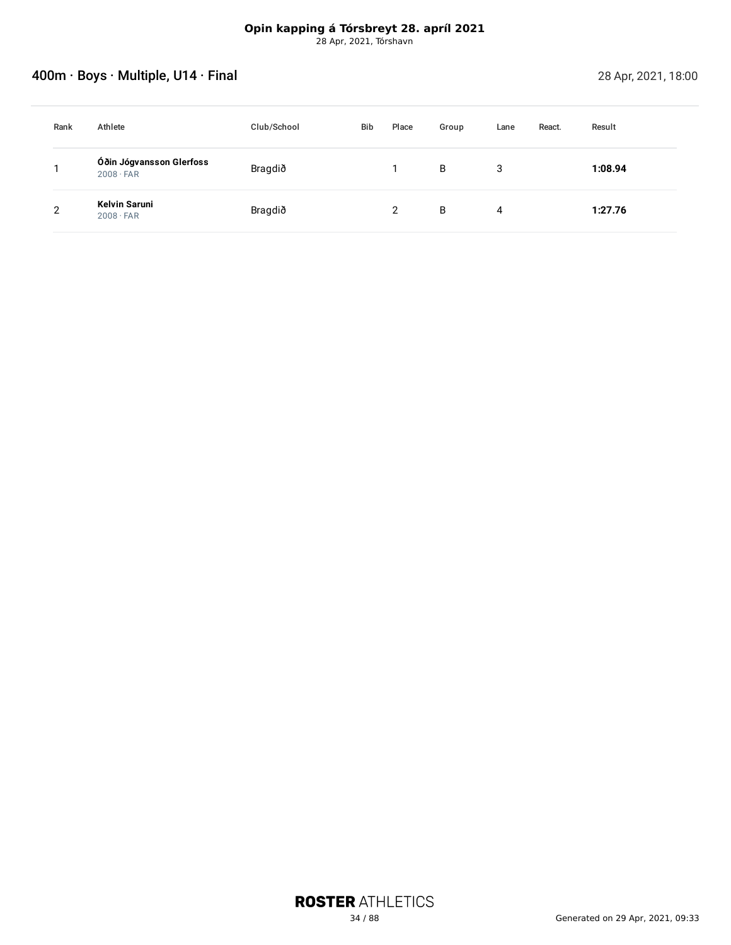# <span id="page-33-0"></span>Account of the South of the South of the South of the South of the South of the South of the 28 Apr, 2021, 18:00

| Rank           | Athlete                                      | Club/School | <b>Bib</b> | Place | Group | Lane | React. | Result  |
|----------------|----------------------------------------------|-------------|------------|-------|-------|------|--------|---------|
|                | Óðin Jógvansson Glerfoss<br>$2008 \cdot FAR$ | Bragdið     |            |       | B     | 3    |        | 1:08.94 |
| $\overline{2}$ | Kelvin Saruni<br>$2008 \cdot FAR$            | Bragdið     |            | າ     | B     | 4    |        | 1:27.76 |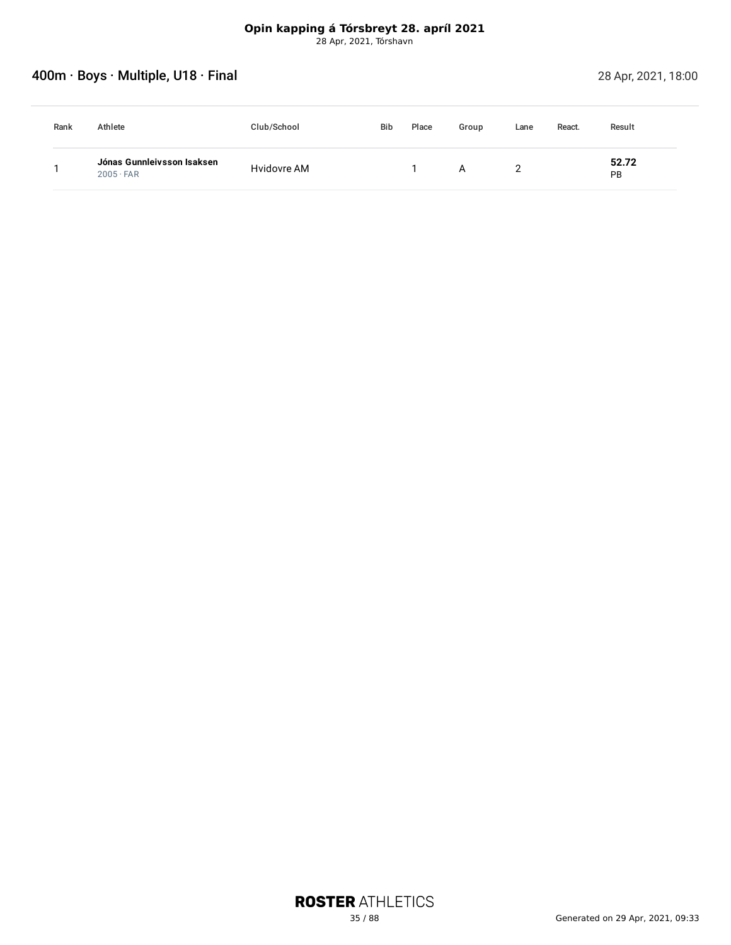# <span id="page-34-0"></span>Account of the Society of the Society of the Society of the Society of the Society of the Society of the 28 Apr, 2021, 18:00

| Rank | Athlete                                        | Club/School | <b>Bib</b> | Place | Group | Lane | React. | Result      |  |
|------|------------------------------------------------|-------------|------------|-------|-------|------|--------|-------------|--|
|      | Jónas Gunnleivsson Isaksen<br>$2005 \cdot FAR$ | Hvidovre AM |            |       | Α     |      |        | 52.72<br>PB |  |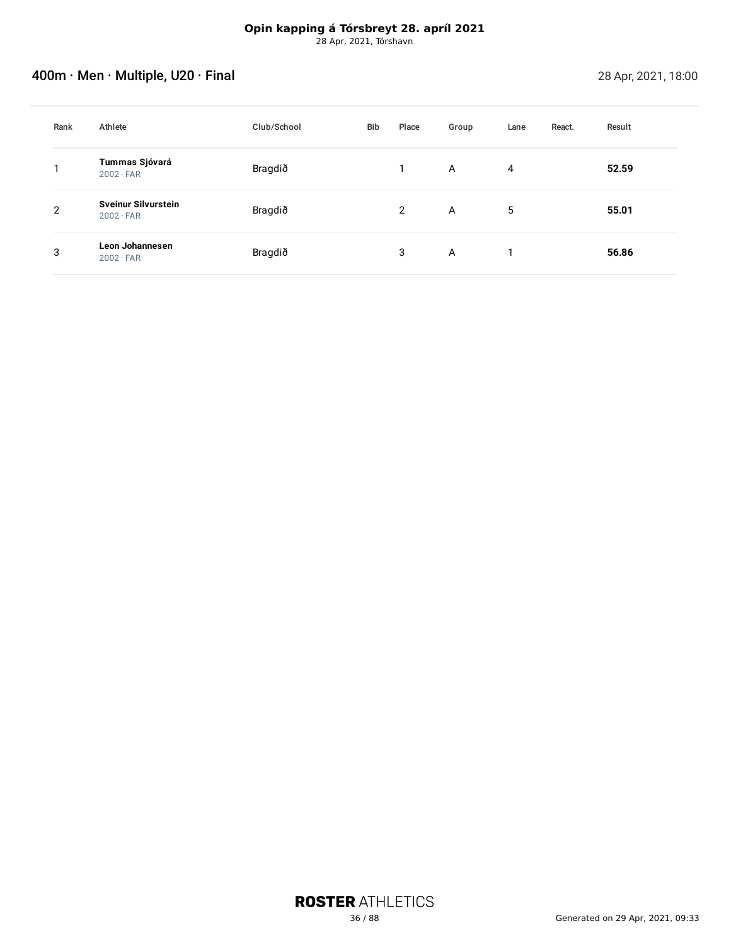# <span id="page-35-0"></span>Account of the Multiple, U20 · Final 28 Apr, 2021, 18:00

| Rank           | Athlete                                        | Club/School | Bib | Place | Group | Lane           | React. | Result |
|----------------|------------------------------------------------|-------------|-----|-------|-------|----------------|--------|--------|
|                | Tummas Sjóvará<br>$2002 \cdot FAR$             | Bragdið     |     |       | A     | $\overline{4}$ |        | 52.59  |
| $\overline{2}$ | <b>Sveinur Silvurstein</b><br>$2002 \cdot FAR$ | Bragdið     |     | 2     | A     | 5              |        | 55.01  |
| 3              | <b>Leon Johannesen</b><br>$2002 \cdot FAR$     | Bragdið     |     | 3     | A     |                |        | 56.86  |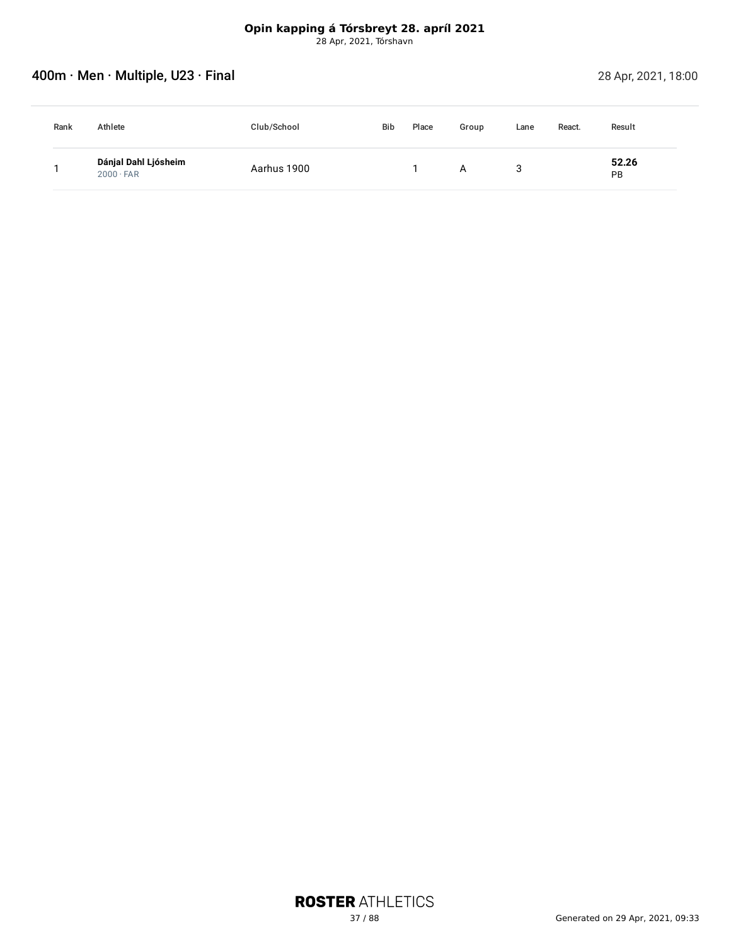# **400m · Men · Multiple, U23 · Final 28 Apr, 2021, 18:00** 28 Apr, 2021, 18:00

| Rank | Athlete                                  | Club/School | Bib | Place | Group | Lane | React. | Result      |  |
|------|------------------------------------------|-------------|-----|-------|-------|------|--------|-------------|--|
|      | Dánjal Dahl Ljósheim<br>$2000 \cdot FAR$ | Aarhus 1900 |     |       | A     |      |        | 52.26<br>PB |  |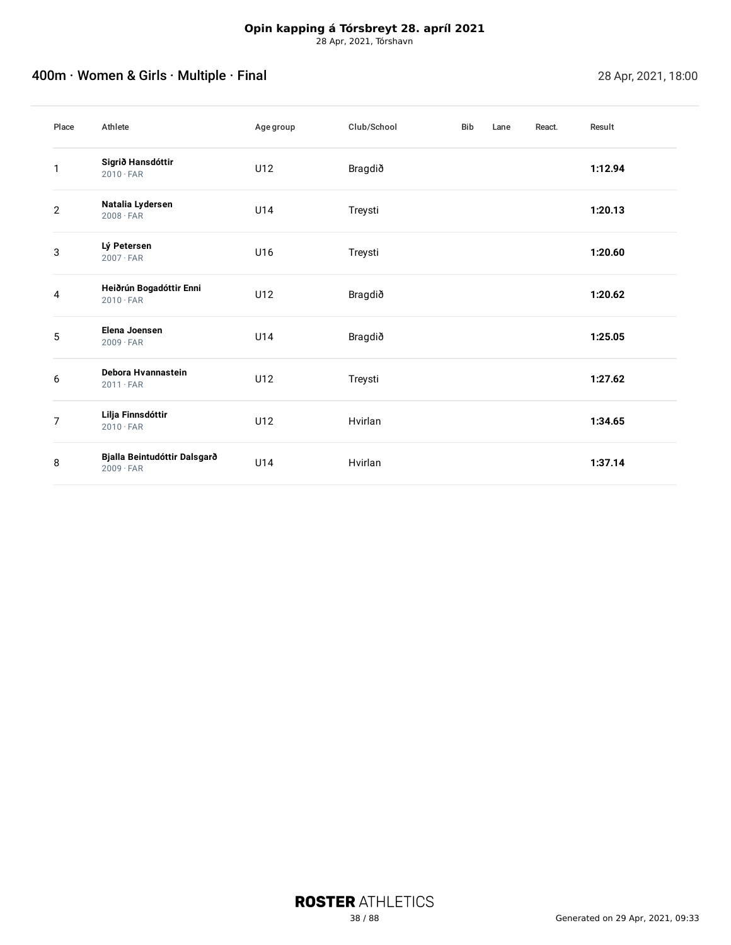# Account of the U.S. of the Multiple of the U.S. of the U.S. of the U.S. of the U.S. of the U.S. of the U.S. of the U.S. of the U.S. of the U.S. of the U.S. of the U.S. of the U.S. of the U.S. of the U.S. of the U.S. of the

| Place        | Athlete                                          | Agegroup | Club/School | <b>Bib</b> | Lane | React. | Result  |
|--------------|--------------------------------------------------|----------|-------------|------------|------|--------|---------|
| 1            | Sigrið Hansdóttir<br>$2010 \cdot FAR$            | U12      | Bragdið     |            |      |        | 1:12.94 |
| $\mathbf{2}$ | Natalia Lydersen<br>$2008 \cdot FAR$             | U14      | Treysti     |            |      |        | 1:20.13 |
| 3            | Lý Petersen<br>$2007 \cdot FAR$                  | U16      | Treysti     |            |      |        | 1:20.60 |
| 4            | Heiðrún Bogadóttir Enni<br>$2010 \cdot FAR$      | U12      | Bragdið     |            |      |        | 1:20.62 |
| 5            | Elena Joensen<br>$2009 \cdot FAR$                | U14      | Bragdið     |            |      |        | 1:25.05 |
| 6            | Debora Hvannastein<br>$2011 \cdot FAR$           | U12      | Treysti     |            |      |        | 1:27.62 |
| 7            | Lilja Finnsdóttir<br>$2010 \cdot FAR$            | U12      | Hvirlan     |            |      |        | 1:34.65 |
| 8            | Bjalla Beintudóttir Dalsgarð<br>$2009 \cdot FAR$ | U14      | Hvirlan     |            |      |        | 1:37.14 |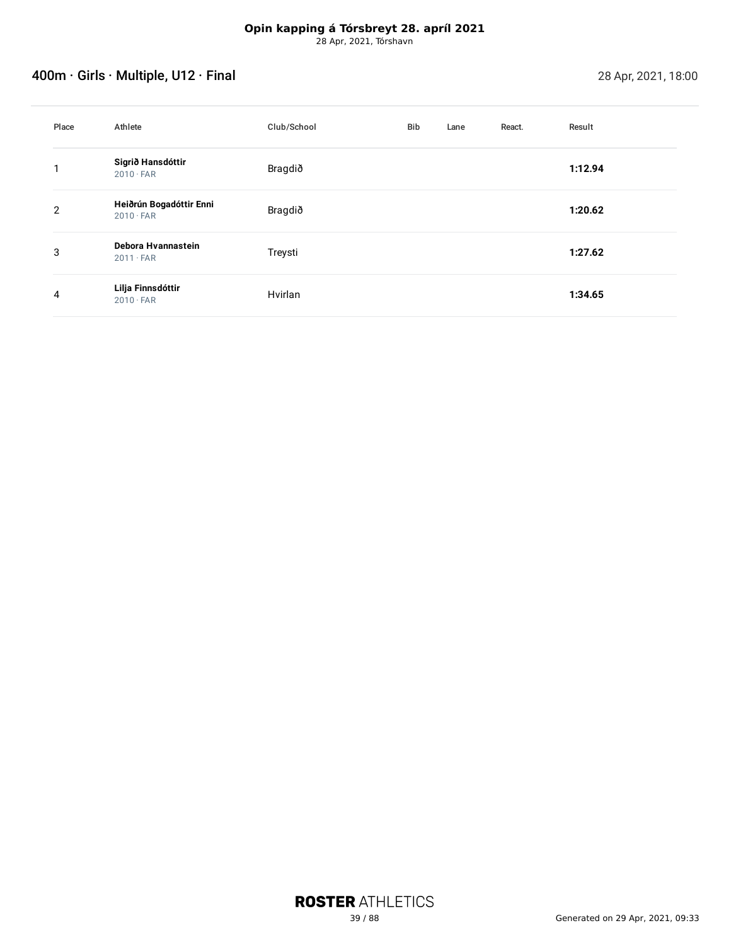# Account of the Second 28 Apr, 2021, 18:00

| Place          | Athlete                                     | Club/School | <b>Bib</b> | Lane | React. | Result  |
|----------------|---------------------------------------------|-------------|------------|------|--------|---------|
| ◄              | Sigrið Hansdóttir<br>$2010 \cdot FAR$       | Bragdið     |            |      |        | 1:12.94 |
| $\overline{2}$ | Heiðrún Bogadóttir Enni<br>$2010 \cdot FAR$ | Bragdið     |            |      |        | 1:20.62 |
| 3              | Debora Hvannastein<br>$2011 \cdot FAR$      | Treysti     |            |      |        | 1:27.62 |
| 4              | Lilja Finnsdóttir<br>$2010 \cdot FAR$       | Hvirlan     |            |      |        | 1:34.65 |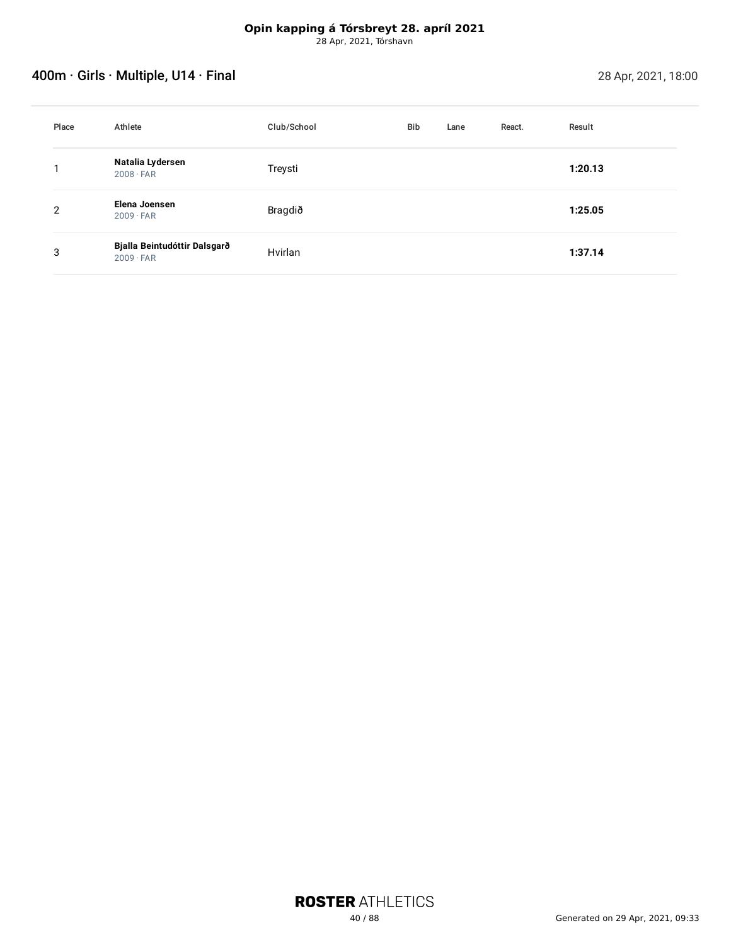# Account of the Second 28 Apr, 2021, 18:00

| Place | Athlete                                          | Club/School | <b>Bib</b> | Lane | React. | Result  |
|-------|--------------------------------------------------|-------------|------------|------|--------|---------|
|       | Natalia Lydersen<br>$2008 \cdot FAR$             | Treysti     |            |      |        | 1:20.13 |
| 2     | Elena Joensen<br>$2009 \cdot FAR$                | Bragdið     |            |      |        | 1:25.05 |
| 3     | Bjalla Beintudóttir Dalsgarð<br>$2009 \cdot FAR$ | Hvirlan     |            |      |        | 1:37.14 |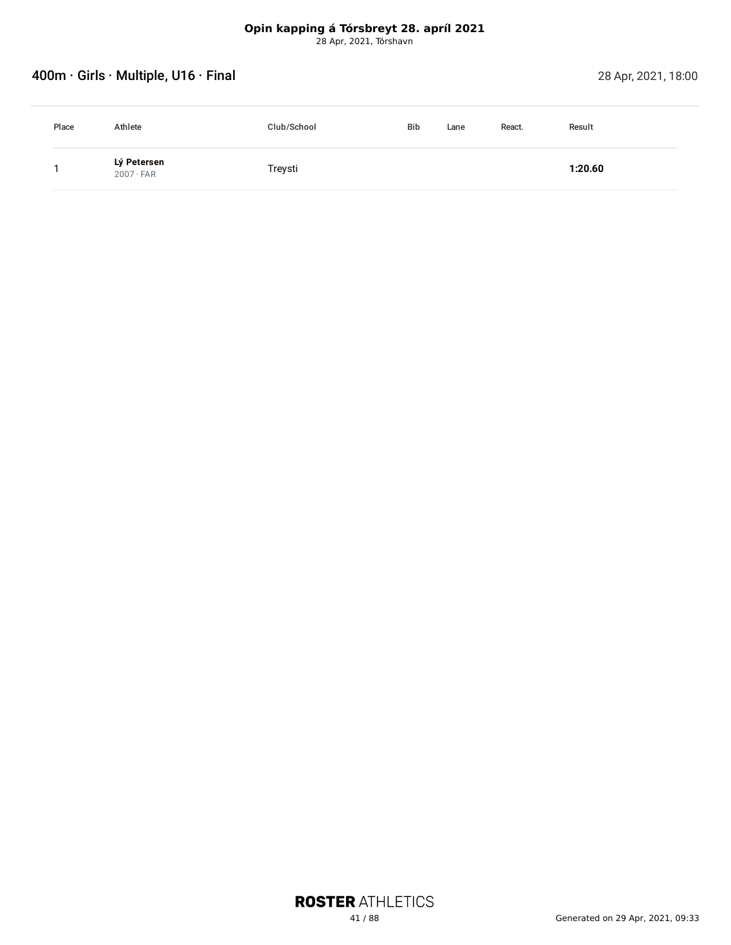# **Opin kapping á Tórsbreyt 28. apríl 2021**

28 Apr, 2021, Tórshavn

# Account of the Second 28 Apr, 2021, 18:00

| Place | Athlete                         | Club/School | <b>Bib</b> | Lane | React. | Result  |
|-------|---------------------------------|-------------|------------|------|--------|---------|
|       | Lý Petersen<br>$2007 \cdot FAR$ | Treysti     |            |      |        | 1:20.60 |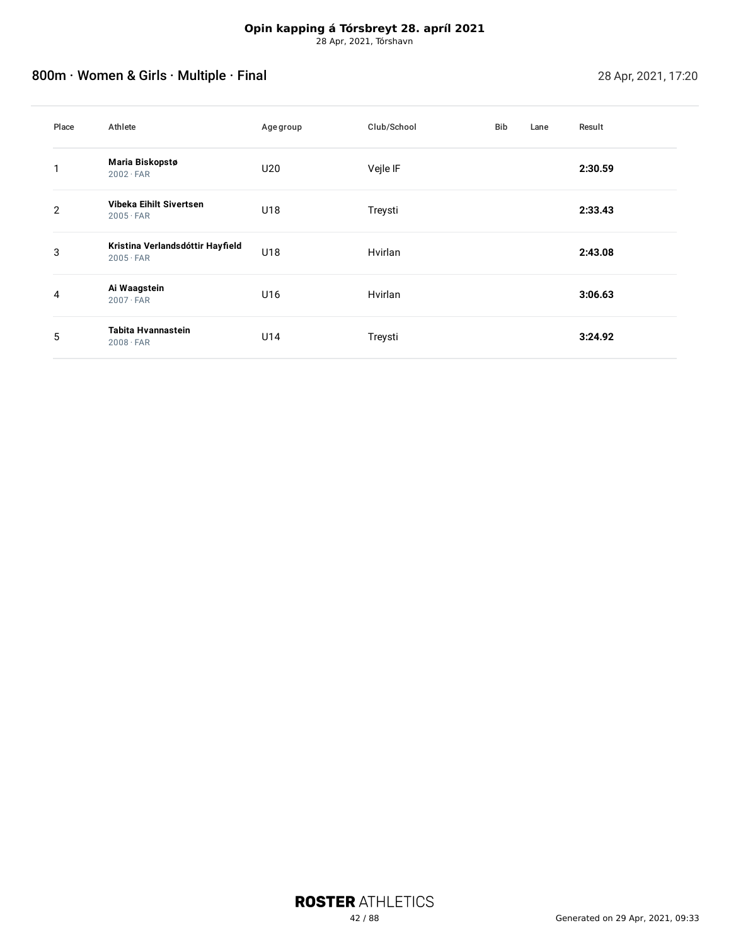# 800m · Women & Girls · Multiple · Final 28 Apr, 2021, 17:20

| Place | Athlete                                              | Agegroup | Club/School | <b>Bib</b> | Lane | Result  |
|-------|------------------------------------------------------|----------|-------------|------------|------|---------|
|       | Maria Biskopstø<br>$2002 \cdot FAR$                  | U20      | Vejle IF    |            |      | 2:30.59 |
| 2     | Vibeka Eihilt Sivertsen<br>$2005 \cdot FAR$          | U18      | Treysti     |            |      | 2:33.43 |
| 3     | Kristina Verlandsdóttir Hayfield<br>$2005 \cdot FAR$ | U18      | Hvirlan     |            |      | 2:43.08 |
| 4     | Ai Waagstein<br>$2007 \cdot FAR$                     | U16      | Hvirlan     |            |      | 3:06.63 |
| 5     | Tabita Hvannastein<br>$2008 \cdot FAR$               | U14      | Treysti     |            |      | 3:24.92 |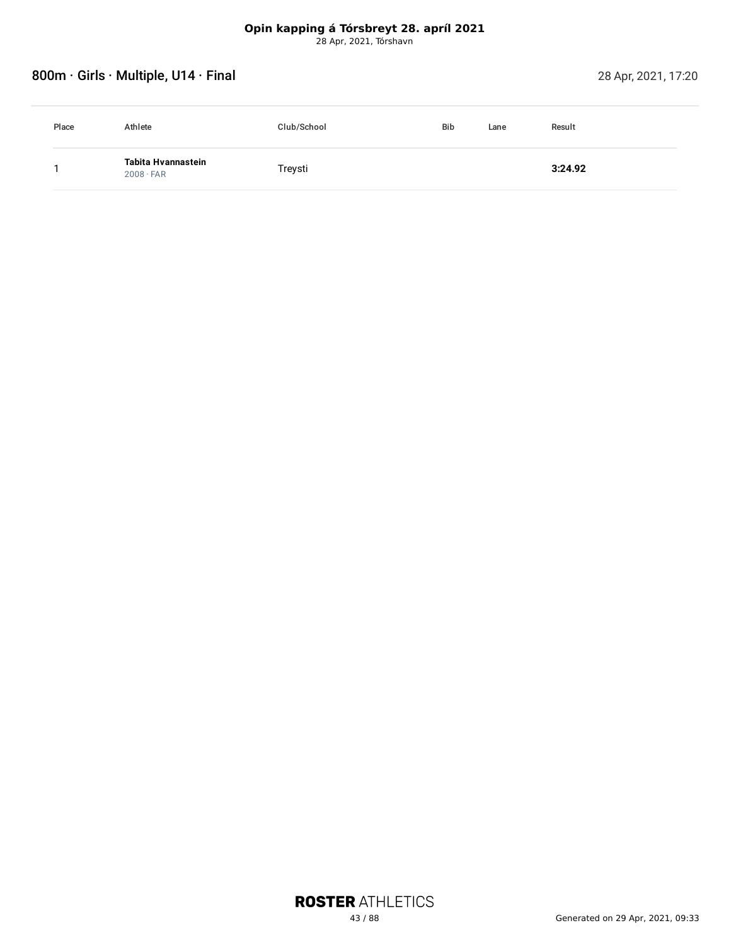# 800m · Girls · Multiple, U14 · Final 28 Apr, 2021, 17:20

| Place | Athlete                                | Club/School | <b>Bib</b> | Result<br>Lane |  |
|-------|----------------------------------------|-------------|------------|----------------|--|
|       | Tabita Hvannastein<br>$2008 \cdot FAR$ | Treysti     |            | 3:24.92        |  |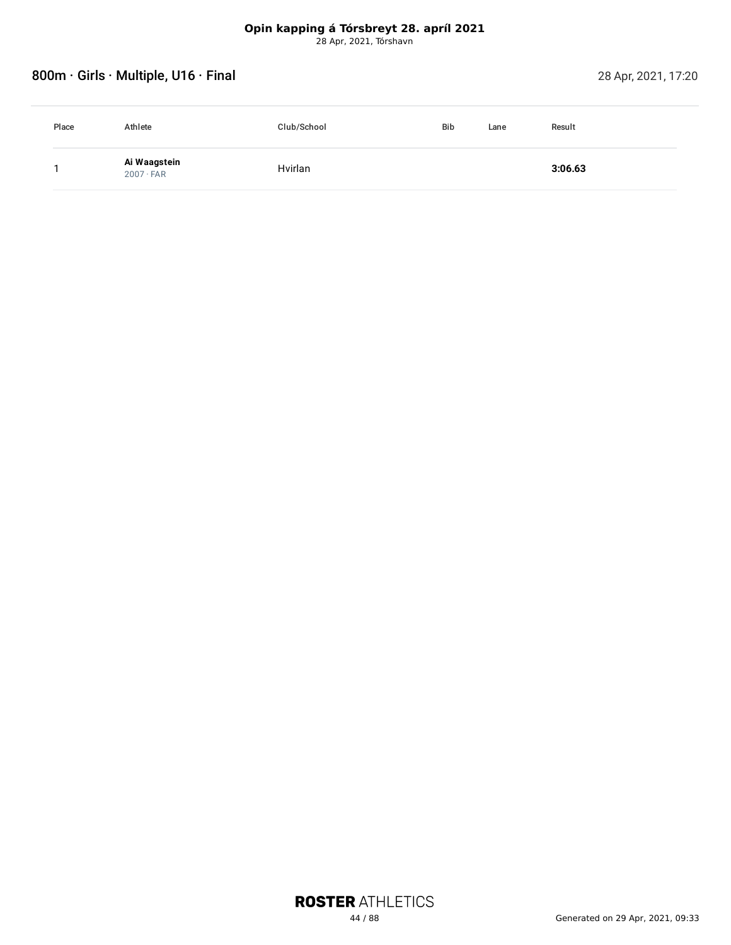# 800m · Girls · Multiple, U16 · Final 28 Apr, 2021, 17:20

| Place | Athlete                          | Club/School | <b>Bib</b> | Lane | Result  |
|-------|----------------------------------|-------------|------------|------|---------|
|       | Ai Waagstein<br>$2007 \cdot FAR$ | Hvirlan     |            |      | 3:06.63 |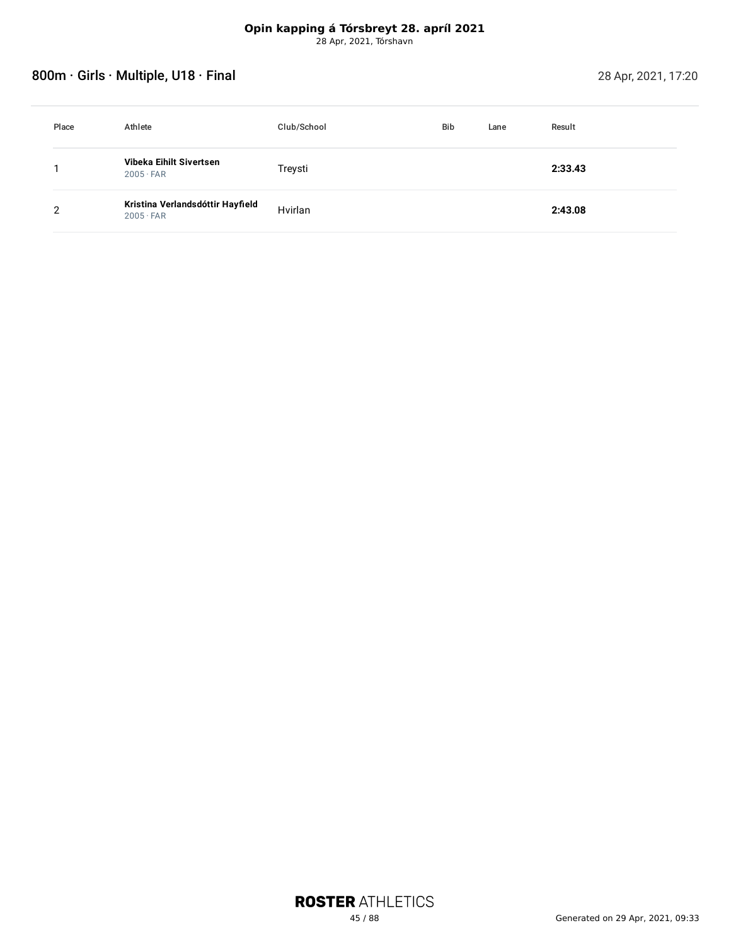# 800m · Girls · Multiple, U18 · Final 28 Apr, 2021, 17:20

| Place | Athlete                                              | Club/School | Bib | Lane | Result  |
|-------|------------------------------------------------------|-------------|-----|------|---------|
|       | Vibeka Eihilt Sivertsen<br>$2005 \cdot FAR$          | Treysti     |     |      | 2:33.43 |
|       | Kristina Verlandsdóttir Hayfield<br>$2005 \cdot FAR$ | Hvirlan     |     |      | 2:43.08 |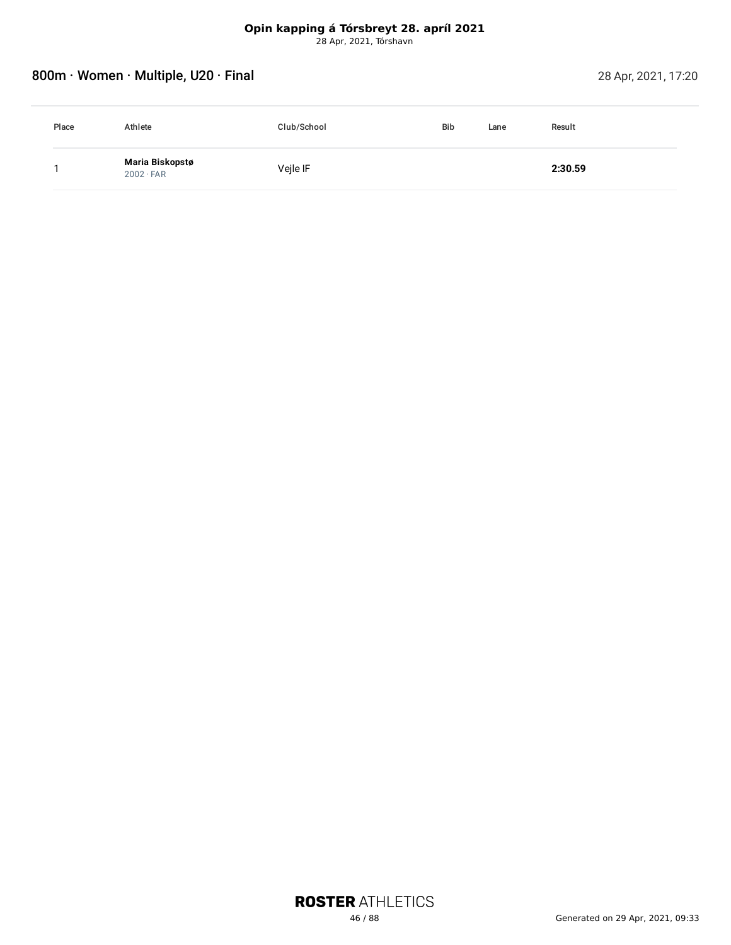# 800m · Women · Multiple, U20 · Final 28 Apr, 2021, 17:20

| Place | Athlete                             | Club/School | <b>Bib</b><br>Lane | Result  |  |
|-------|-------------------------------------|-------------|--------------------|---------|--|
|       | Maria Biskopstø<br>$2002 \cdot FAR$ | Veile IF    |                    | 2:30.59 |  |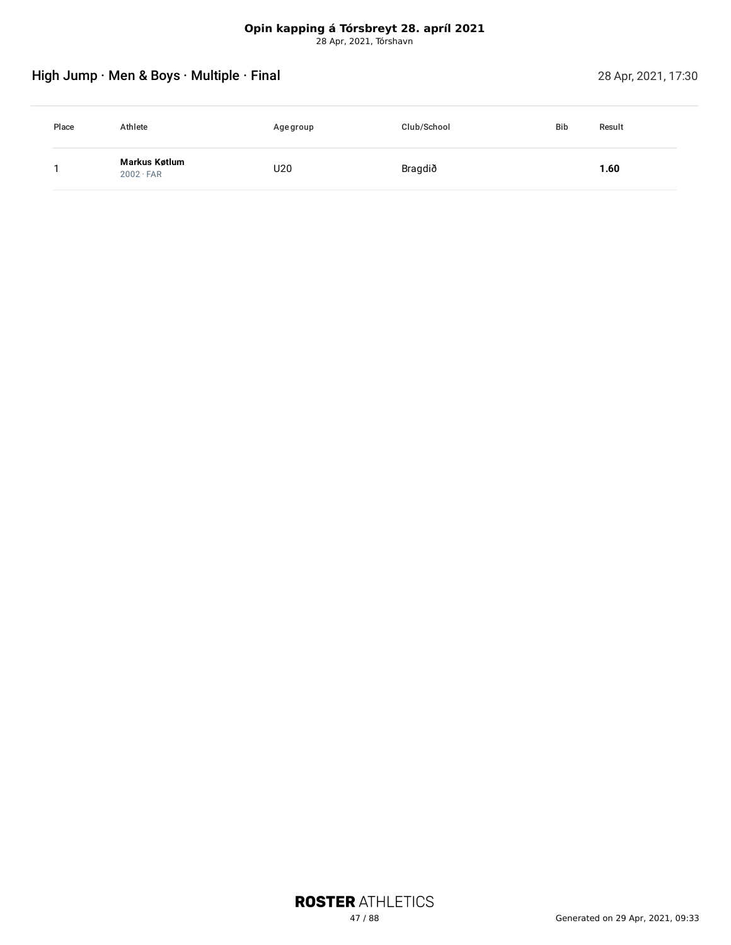# High Jump · Men & Boys · Multiple · Final 28 Apr, 2021, 17:30

| Place | Athlete                           | Age group | Club/School | <b>Bib</b><br>Result |
|-------|-----------------------------------|-----------|-------------|----------------------|
|       | Markus Køtlum<br>$2002 \cdot FAR$ | U20       | Bragdið     | 1.60                 |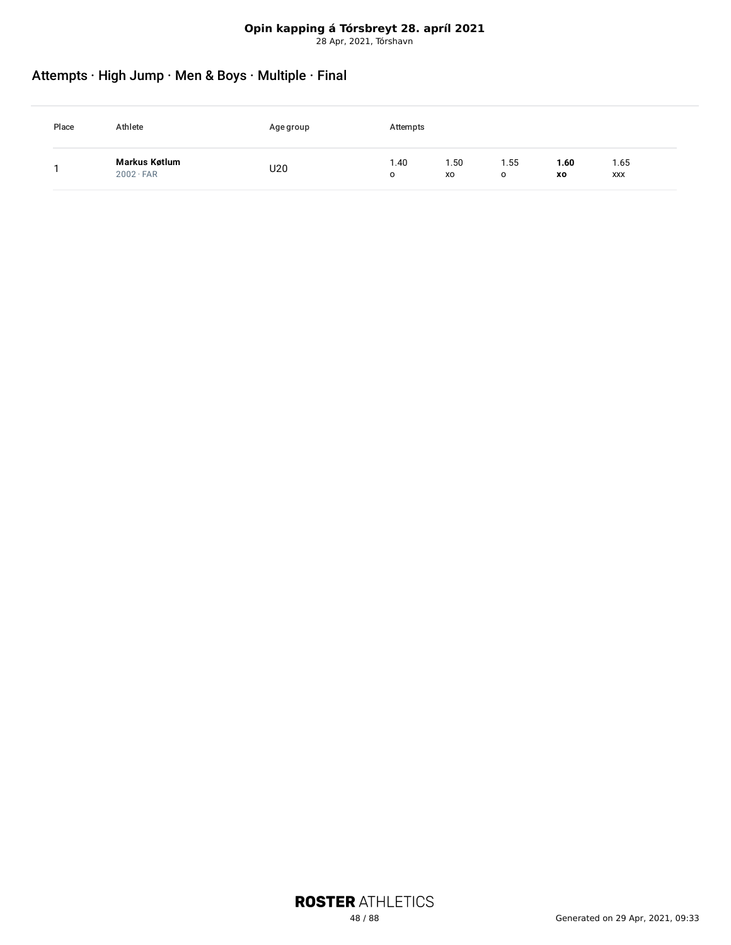# Attempts · High Jump · Men & Boys · Multiple · Final

| Place | Athlete                           | Agegroup | Attempts  |           |           |            |             |
|-------|-----------------------------------|----------|-----------|-----------|-----------|------------|-------------|
|       | Markus Køtlum<br>$2002 \cdot FAR$ | U20      | 1.40<br>o | .50<br>XO | 1.55<br>o | 1.60<br>XO | 1.65<br>XXX |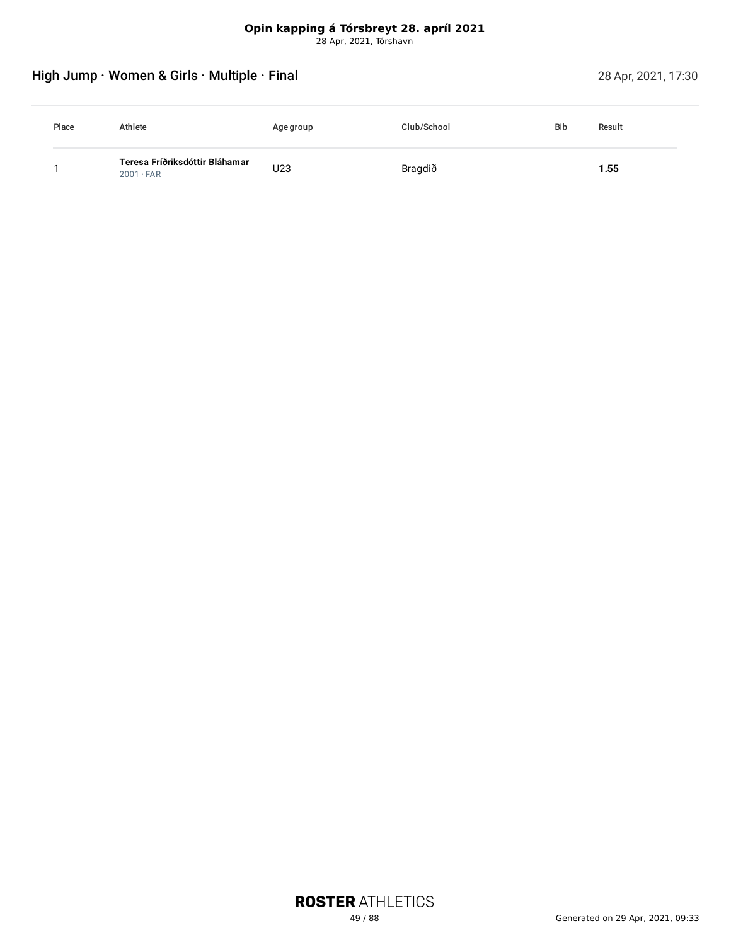# High Jump · Women & Girls · Multiple · Final 28 Apr, 2021, 17:30

| Place | Athlete                                            | Age group | Club/School | <b>Bib</b> | Result |
|-------|----------------------------------------------------|-----------|-------------|------------|--------|
|       | Teresa Fríðriksdóttir Bláhamar<br>$2001 \cdot FAR$ | U23       | Bragdið     |            | 1.55   |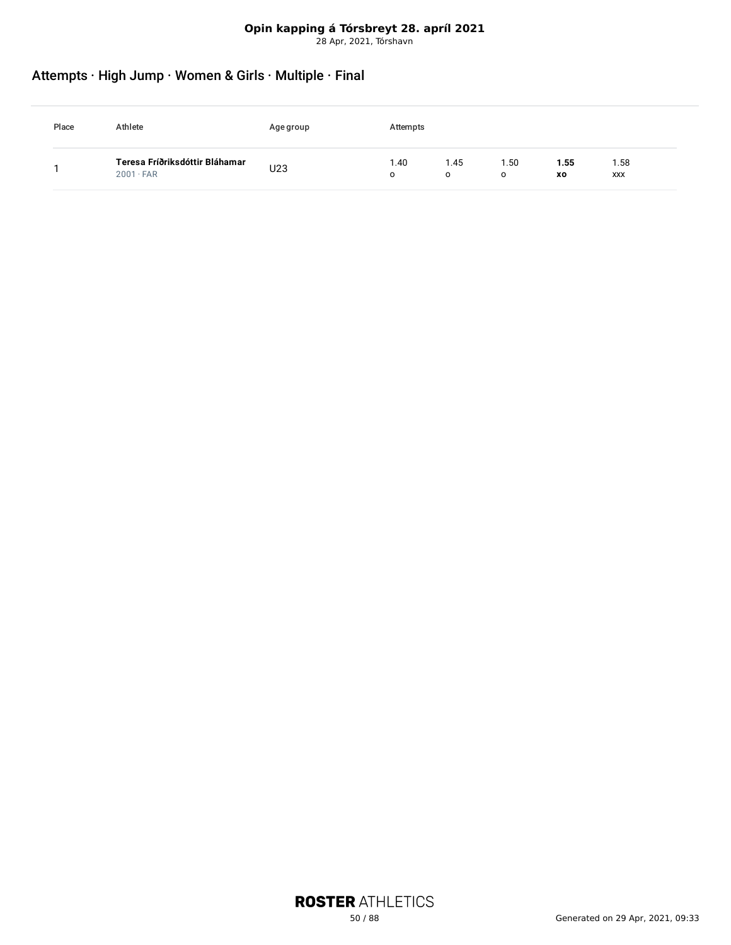### **Opin kapping á Tórsbreyt 28. apríl 2021**

28 Apr, 2021, Tórshavn

# Attempts · High Jump · Women & Girls · Multiple · Final

| Place | Athlete                                            | Agegroup | Attempts |           |           |            |             |
|-------|----------------------------------------------------|----------|----------|-----------|-----------|------------|-------------|
|       | Teresa Fríðriksdóttir Bláhamar<br>$2001 \cdot FAR$ | U23      | .40<br>O | 1.45<br>O | . 50<br>O | 1.55<br>XO | 1.58<br>XXX |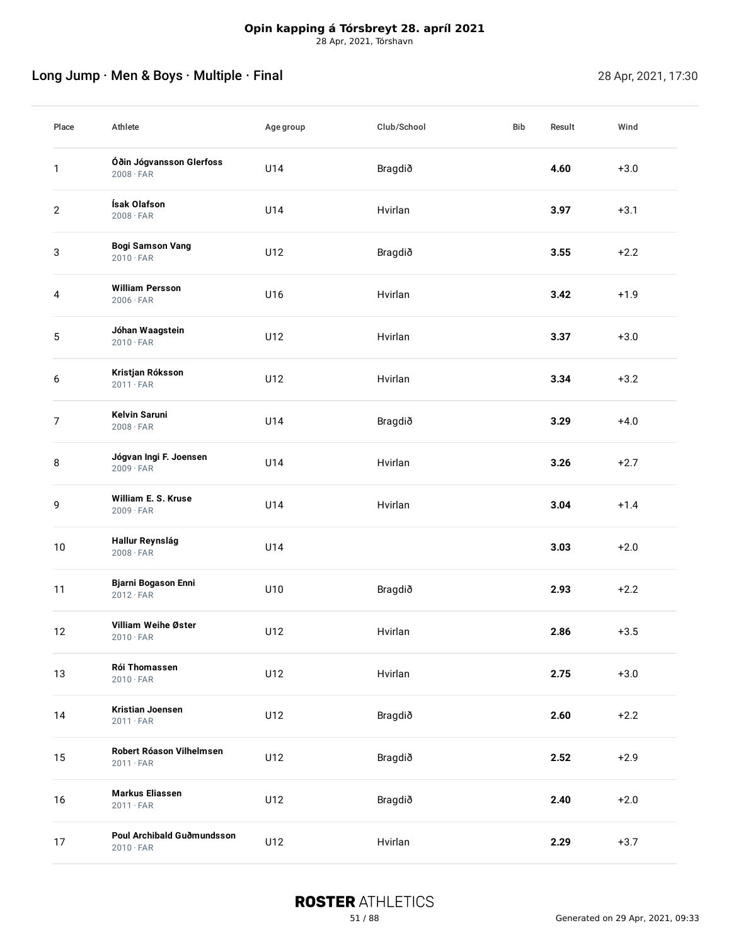# Long Jump · Men & Boys · Multiple · Final 28 Apr, 2021, 17:30

| Place          | Athlete                                        | Agegroup | Club/School | Bib | Result | Wind   |
|----------------|------------------------------------------------|----------|-------------|-----|--------|--------|
| $\mathbf{1}$   | Óðin Jógvansson Glerfoss<br>$2008 \cdot FAR$   | U14      | Bragdið     |     | 4.60   | $+3.0$ |
| $\mathbf{2}$   | Ísak Olafson<br>$2008 \cdot FAR$               | U14      | Hvirlan     |     | 3.97   | $+3.1$ |
| 3              | <b>Bogi Samson Vang</b><br>$2010 \cdot FAR$    | U12      | Bragdið     |     | 3.55   | $+2.2$ |
| 4              | <b>William Persson</b><br>$2006 \cdot FAR$     | U16      | Hvirlan     |     | 3.42   | $+1.9$ |
| 5              | Jóhan Waagstein<br>$2010 \cdot FAR$            | U12      | Hvirlan     |     | 3.37   | $+3.0$ |
| 6              | Kristjan Róksson<br>$2011 \cdot FAR$           | U12      | Hvirlan     |     | 3.34   | $+3.2$ |
| $\overline{7}$ | <b>Kelvin Saruni</b><br>$2008 \cdot FAR$       | U14      | Bragdið     |     | 3.29   | $+4.0$ |
| 8              | Jógvan Ingi F. Joensen<br>$2009 \cdot FAR$     | U14      | Hvirlan     |     | 3.26   | $+2.7$ |
| 9              | William E. S. Kruse<br>$2009 \cdot FAR$        | U14      | Hvirlan     |     | 3.04   | $+1.4$ |
| 10             | Hallur Reynslág<br>$2008 \cdot FAR$            | U14      |             |     | 3.03   | $+2.0$ |
| 11             | Bjarni Bogason Enni<br>$2012 \cdot FAR$        | U10      | Bragdið     |     | 2.93   | $+2.2$ |
| 12             | Villiam Weihe Øster<br>$2010 \cdot FAR$        | U12      | Hvirlan     |     | 2.86   | $+3.5$ |
| 13             | Rói Thomassen<br>$2010 \cdot FAR$              | U12      | Hvirlan     |     | 2.75   | $+3.0$ |
| 14             | <b>Kristian Joensen</b><br>$2011 \cdot FAR$    | U12      | Bragdið     |     | 2.60   | $+2.2$ |
| 15             | Robert Róason Vilhelmsen<br>$2011 \cdot FAR$   | U12      | Bragdið     |     | 2.52   | $+2.9$ |
| 16             | <b>Markus Eliassen</b><br>$2011 \cdot FAR$     | U12      | Bragdið     |     | 2.40   | $+2.0$ |
| 17             | Poul Archibald Guðmundsson<br>$2010 \cdot FAR$ | U12      | Hvirlan     |     | 2.29   | $+3.7$ |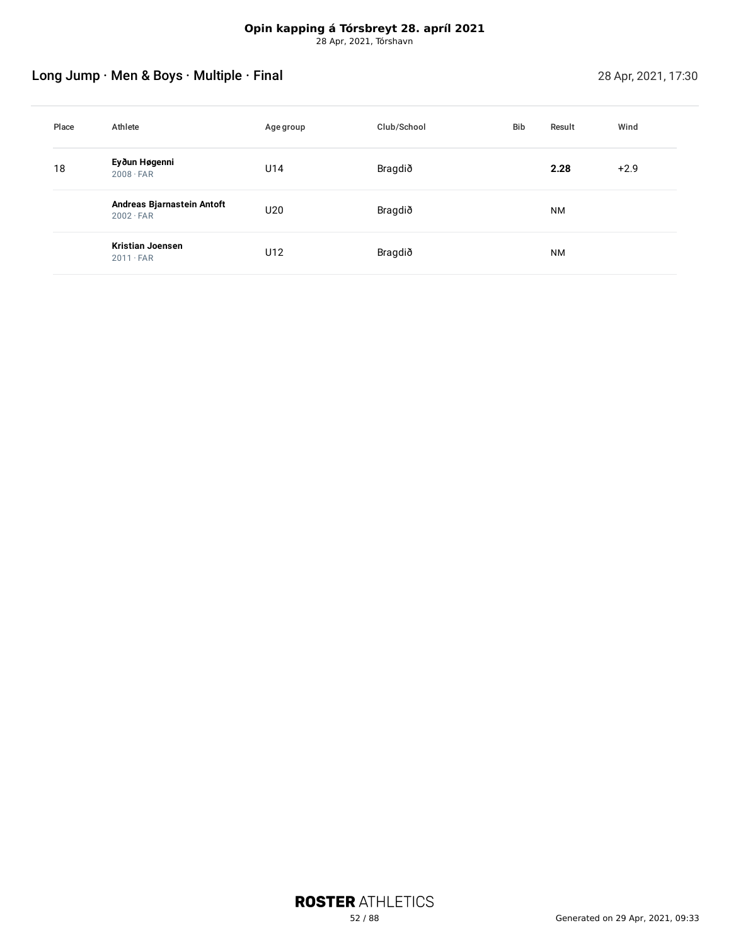# Long Jump · Men & Boys · Multiple · Final 28 Apr, 2021, 17:30

| Place | Athlete                                        | Agegroup | Club/School | Bib | Result    | Wind   |
|-------|------------------------------------------------|----------|-------------|-----|-----------|--------|
| 18    | Eyðun Høgenni<br>$2008 \cdot FAR$              | U14      | Bragdið     |     | 2.28      | $+2.9$ |
|       | Andreas Bjarnastein Antoft<br>$2002 \cdot FAR$ | U20      | Bragdið     |     | <b>NM</b> |        |
|       | <b>Kristian Joensen</b><br>$2011 \cdot FAR$    | U12      | Bragdið     |     | <b>NM</b> |        |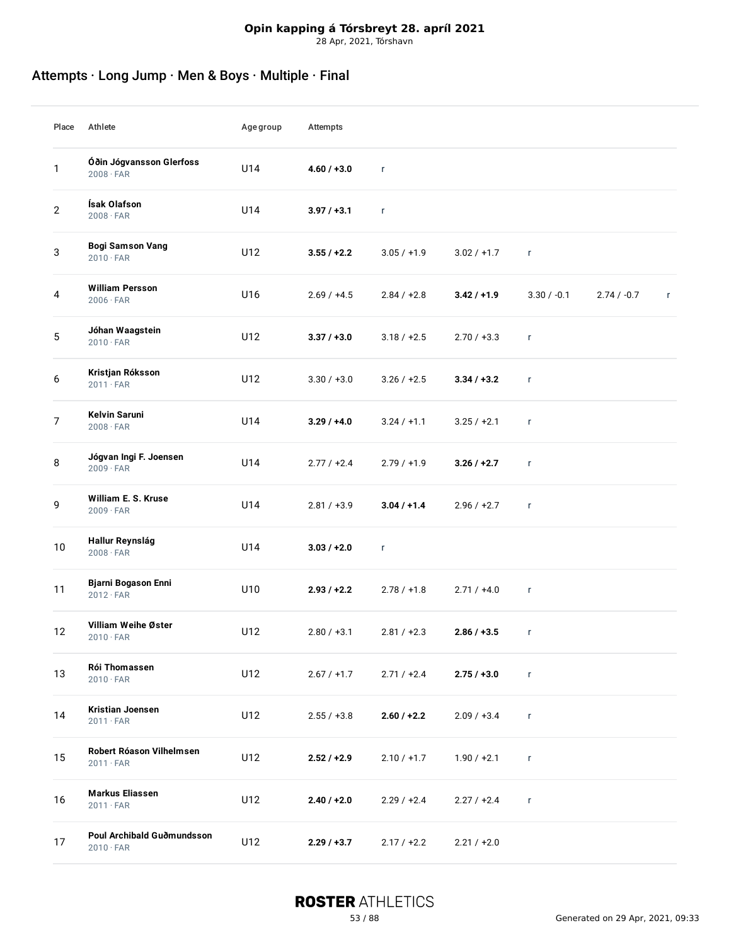# Attempts · Long Jump · Men & Boys · Multiple · Final

| Place          | Athlete                                        | Age group | Attempts      |               |               |               |               |              |
|----------------|------------------------------------------------|-----------|---------------|---------------|---------------|---------------|---------------|--------------|
| 1              | Óðin Jógvansson Glerfoss<br>$2008 \cdot FAR$   | U14       | $4.60 / +3.0$ | $\mathbf{r}$  |               |               |               |              |
| $\overline{c}$ | Ísak Olafson<br>$2008 \cdot FAR$               | U14       | $3.97 / +3.1$ | $\mathbf{r}$  |               |               |               |              |
| 3              | <b>Bogi Samson Vang</b><br>$2010 \cdot FAR$    | U12       | $3.55 / +2.2$ | $3.05 / +1.9$ | $3.02 / +1.7$ | $\mathsf{r}$  |               |              |
| 4              | <b>William Persson</b><br>$2006 \cdot FAR$     | U16       | $2.69 / +4.5$ | $2.84 / +2.8$ | $3.42 / +1.9$ | $3.30 / -0.1$ | $2.74 / -0.7$ | $\mathsf{r}$ |
| 5              | Jóhan Waagstein<br>$2010 \cdot FAR$            | U12       | $3.37 / +3.0$ | $3.18 / +2.5$ | $2.70 / +3.3$ | $\mathsf{r}$  |               |              |
| 6              | Kristjan Róksson<br>$2011 \cdot FAR$           | U12       | $3.30 / +3.0$ | $3.26 / +2.5$ | $3.34 / +3.2$ | $\mathsf{r}$  |               |              |
| $\overline{7}$ | <b>Kelvin Saruni</b><br>$2008 \cdot FAR$       | U14       | $3.29/ +4.0$  | $3.24 / +1.1$ | $3.25 / +2.1$ | $\mathsf{r}$  |               |              |
| 8              | Jógvan Ingi F. Joensen<br>$2009 \cdot FAR$     | U14       | $2.77 / +2.4$ | $2.79 / +1.9$ | $3.26 / +2.7$ | $\mathsf{r}$  |               |              |
| 9              | William E. S. Kruse<br>$2009 \cdot FAR$        | U14       | $2.81 / +3.9$ | $3.04 / +1.4$ | $2.96 / +2.7$ | $\mathsf{r}$  |               |              |
| $10\,$         | Hallur Reynslág<br>$2008 \cdot FAR$            | U14       | $3.03 / +2.0$ | $\mathsf{r}$  |               |               |               |              |
| 11             | Bjarni Bogason Enni<br>$2012 \cdot FAR$        | U10       | $2.93 / +2.2$ | $2.78 / +1.8$ | $2.71 / +4.0$ | $\mathsf{r}$  |               |              |
| 12             | Villiam Weihe Øster<br>$2010 \cdot FAR$        | U12       | $2.80 / +3.1$ | $2.81 / +2.3$ | $2.86 / +3.5$ | $\mathsf{r}$  |               |              |
| 13             | Rói Thomassen<br>$2010 \cdot FAR$              | U12       | $2.67 / +1.7$ | $2.71 / +2.4$ | $2.75 / +3.0$ | $\mathsf{r}$  |               |              |
| 14             | Kristian Joensen<br>$2011 \cdot FAR$           | U12       | $2.55 / +3.8$ | $2.60 / +2.2$ | $2.09 / +3.4$ | $\mathsf{r}$  |               |              |
| 15             | Robert Róason Vilhelmsen<br>$2011 \cdot FAR$   | U12       | $2.52 / +2.9$ | $2.10 / +1.7$ | $1.90 / +2.1$ | $\mathsf{r}$  |               |              |
| 16             | <b>Markus Eliassen</b><br>$2011 \cdot FAR$     | U12       | $2.40 / +2.0$ | $2.29 / +2.4$ | $2.27/+2.4$   | $\mathsf{r}$  |               |              |
| 17             | Poul Archibald Guðmundsson<br>$2010 \cdot FAR$ | U12       | 2.29/13.7     | $2.17 / +2.2$ | $2.21 / +2.0$ |               |               |              |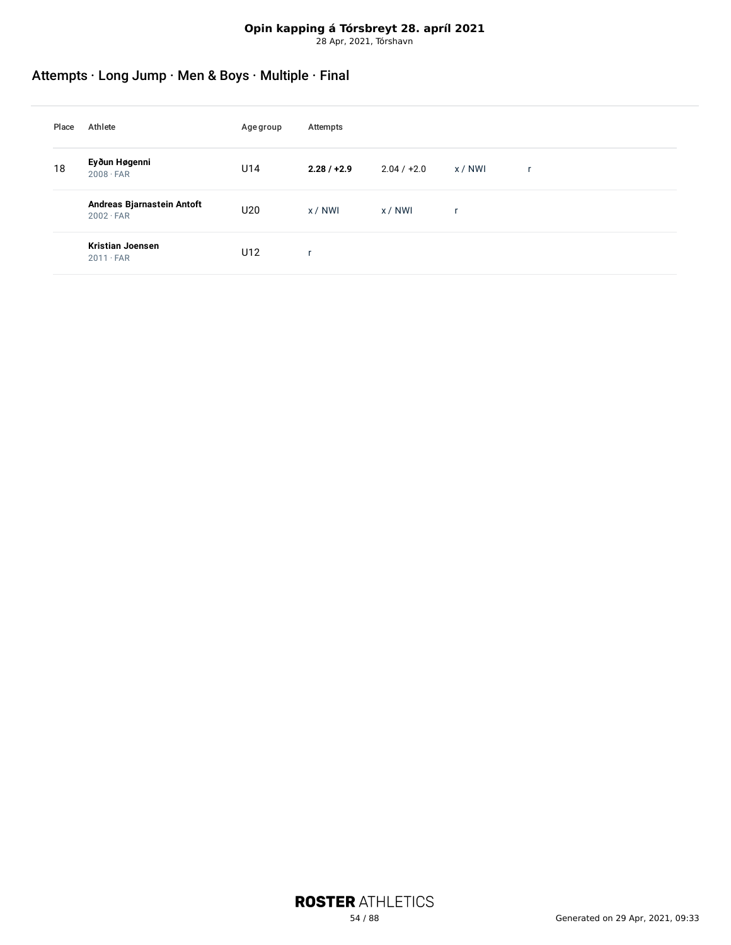# Attempts · Long Jump · Men & Boys · Multiple · Final

| Place | Athlete                                        | Age group | Attempts      |               |              |   |
|-------|------------------------------------------------|-----------|---------------|---------------|--------------|---|
| 18    | Eyðun Høgenni<br>$2008 \cdot FAR$              | U14       | $2.28 / +2.9$ | $2.04 / +2.0$ | x / NWI      | r |
|       | Andreas Bjarnastein Antoft<br>$2002 \cdot FAR$ | U20       | x/NWI         | x / NWI       | $\mathsf{r}$ |   |
|       | <b>Kristian Joensen</b><br>$2011 \cdot FAR$    | U12       | ٠             |               |              |   |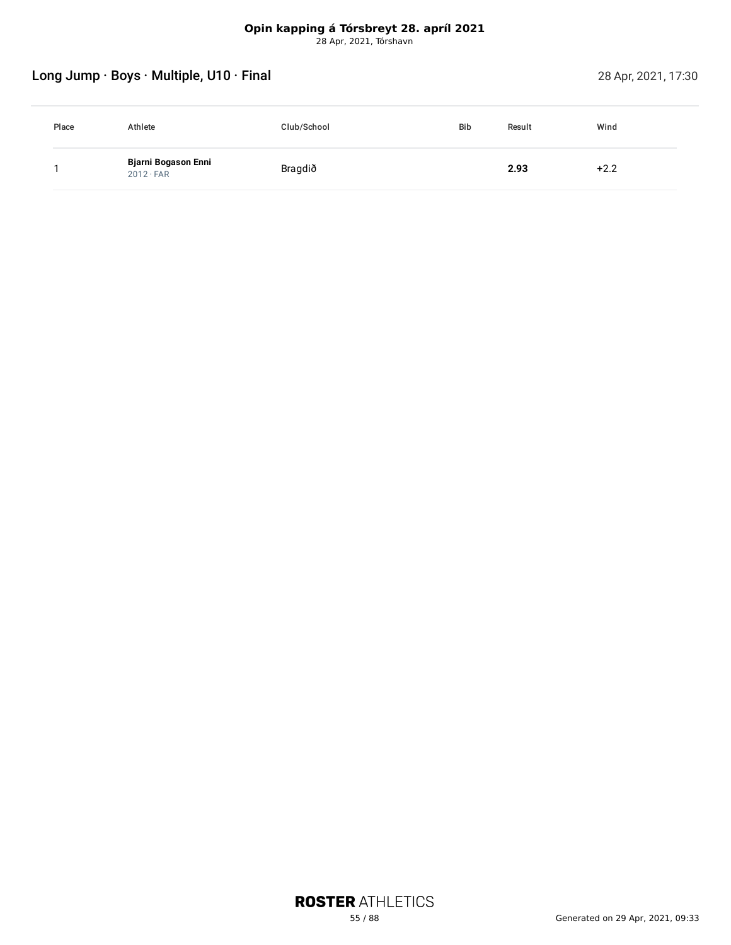# Long Jump · Boys · Multiple, U10 · Final 28 Apr, 2021, 17:30

| Place | Athlete                                 | Club/School | <b>Bib</b> | Result | Wind   |
|-------|-----------------------------------------|-------------|------------|--------|--------|
|       | Bjarni Bogason Enni<br>$2012 \cdot FAR$ | Bragdið     |            | 2.93   | $+2.2$ |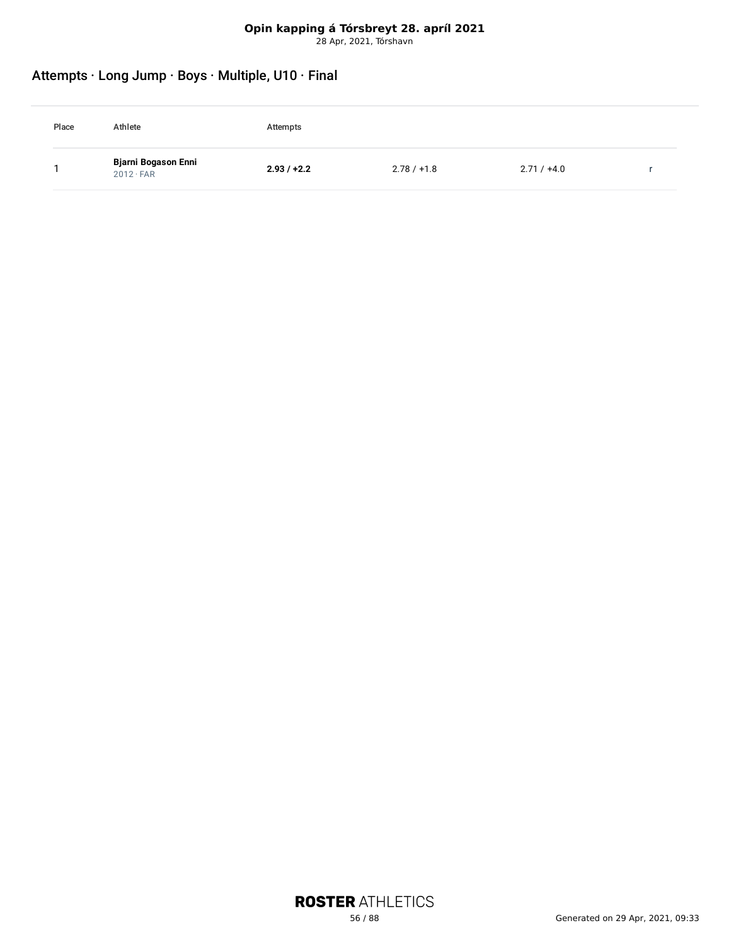# Attempts · Long Jump · Boys · Multiple, U10 · Final

| Place | Athlete                                 | Attempts      |               |               |  |
|-------|-----------------------------------------|---------------|---------------|---------------|--|
|       | Bjarni Bogason Enni<br>$2012 \cdot FAR$ | $2.93 / +2.2$ | $2.78 / +1.8$ | $2.71 / +4.0$ |  |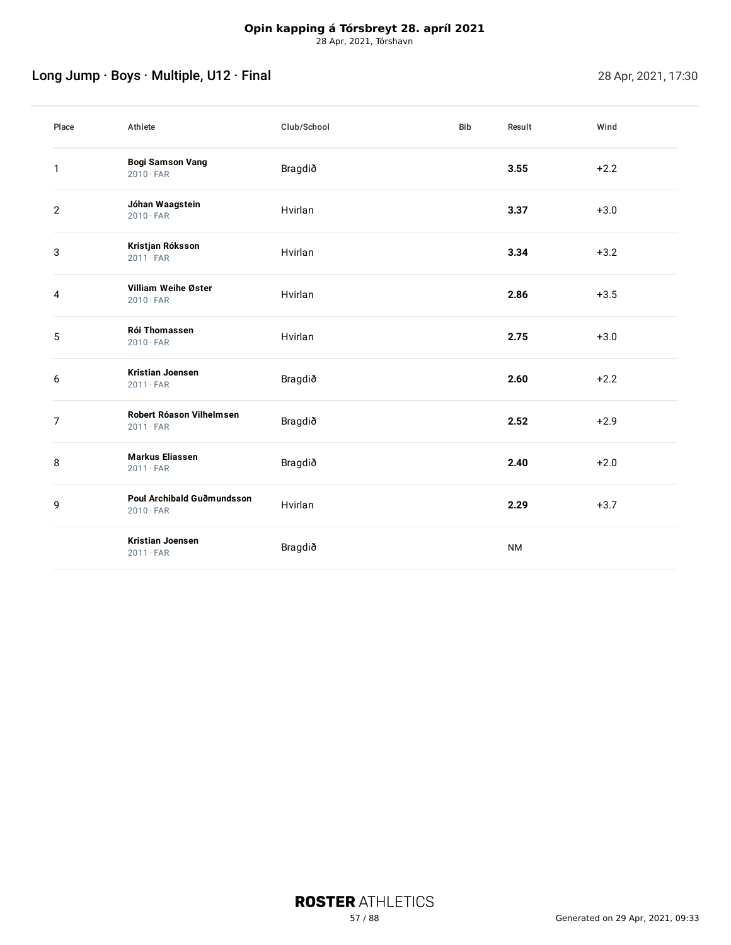# Long Jump · Boys · Multiple, U12 · Final 28 Apr, 2021, 17:30

| Place          | Athlete                                        | Club/School | Bib | Result    | Wind   |
|----------------|------------------------------------------------|-------------|-----|-----------|--------|
| 1              | <b>Bogi Samson Vang</b><br>$2010 \cdot FAR$    | Bragdið     |     | 3.55      | $+2.2$ |
| $\overline{2}$ | Jóhan Waagstein<br>$2010 \cdot FAR$            | Hvirlan     |     | 3.37      | $+3.0$ |
| 3              | Kristjan Róksson<br>$2011 \cdot FAR$           | Hvirlan     |     | 3.34      | $+3.2$ |
| 4              | Villiam Weihe Øster<br>$2010 \cdot FAR$        | Hvirlan     |     | 2.86      | $+3.5$ |
| 5              | <b>Rói Thomassen</b><br>$2010 \cdot FAR$       | Hvirlan     |     | 2.75      | $+3.0$ |
| 6              | <b>Kristian Joensen</b><br>$2011 \cdot FAR$    | Bragdið     |     | 2.60      | $+2.2$ |
| $\overline{7}$ | Robert Róason Vilhelmsen<br>$2011 \cdot FAR$   | Bragdið     |     | 2.52      | $+2.9$ |
| 8              | <b>Markus Eliassen</b><br>$2011 \cdot FAR$     | Bragdið     |     | 2.40      | $+2.0$ |
| 9              | Poul Archibald Guðmundsson<br>$2010 \cdot FAR$ | Hvirlan     |     | 2.29      | $+3.7$ |
|                | <b>Kristian Joensen</b><br>$2011 \cdot FAR$    | Bragdið     |     | <b>NM</b> |        |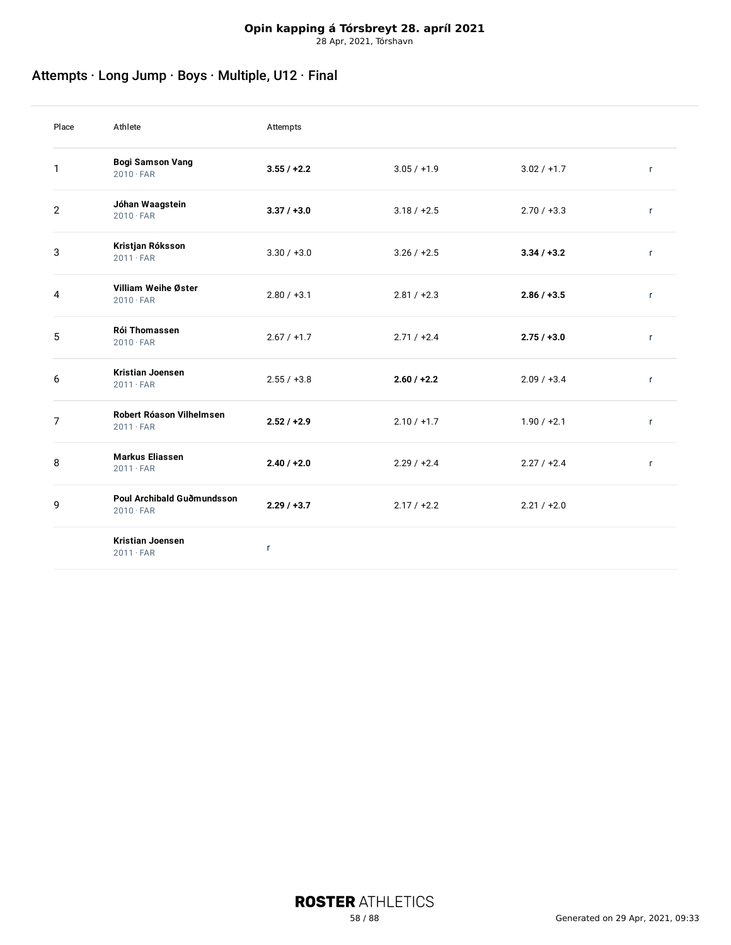# Attempts · Long Jump · Boys · Multiple, U12 · Final

| Place          | Athlete                                        | Attempts      |               |               |              |
|----------------|------------------------------------------------|---------------|---------------|---------------|--------------|
| 1              | <b>Bogi Samson Vang</b><br>$2010 \cdot FAR$    | $3.55 / +2.2$ | $3.05 / +1.9$ | $3.02 / +1.7$ | $\mathsf{r}$ |
| $\overline{2}$ | Jóhan Waagstein<br>$2010 \cdot FAR$            | $3.37 / +3.0$ | $3.18 / +2.5$ | $2.70 / +3.3$ | $\mathsf{r}$ |
| 3              | Kristjan Róksson<br>$2011 \cdot FAR$           | $3.30 / +3.0$ | $3.26 / +2.5$ | $3.34 / +3.2$ | $\mathsf{r}$ |
| 4              | Villiam Weihe Øster<br>$2010 \cdot FAR$        | $2.80 / +3.1$ | $2.81 / +2.3$ | $2.86 / +3.5$ | $\mathsf{r}$ |
| 5              | Rói Thomassen<br>$2010 \cdot FAR$              | $2.67 / +1.7$ | $2.71 / +2.4$ | $2.75 / +3.0$ | $\mathsf{r}$ |
| 6              | <b>Kristian Joensen</b><br>$2011 \cdot FAR$    | $2.55 / +3.8$ | $2.60 / +2.2$ | $2.09 / +3.4$ | $\mathsf{r}$ |
| 7              | Robert Róason Vilhelmsen<br>$2011 \cdot FAR$   | $2.52 / +2.9$ | $2.10 / +1.7$ | $1.90 / +2.1$ | r            |
| 8              | <b>Markus Eliassen</b><br>$2011 \cdot FAR$     | $2.40 / +2.0$ | $2.29 / +2.4$ | $2.27 / +2.4$ | $\mathsf{r}$ |
| 9              | Poul Archibald Guðmundsson<br>$2010 \cdot FAR$ | 2.29/13.7     | $2.17 / +2.2$ | $2.21 / +2.0$ |              |
|                | <b>Kristian Joensen</b><br>$2011 \cdot FAR$    | $\mathsf{r}$  |               |               |              |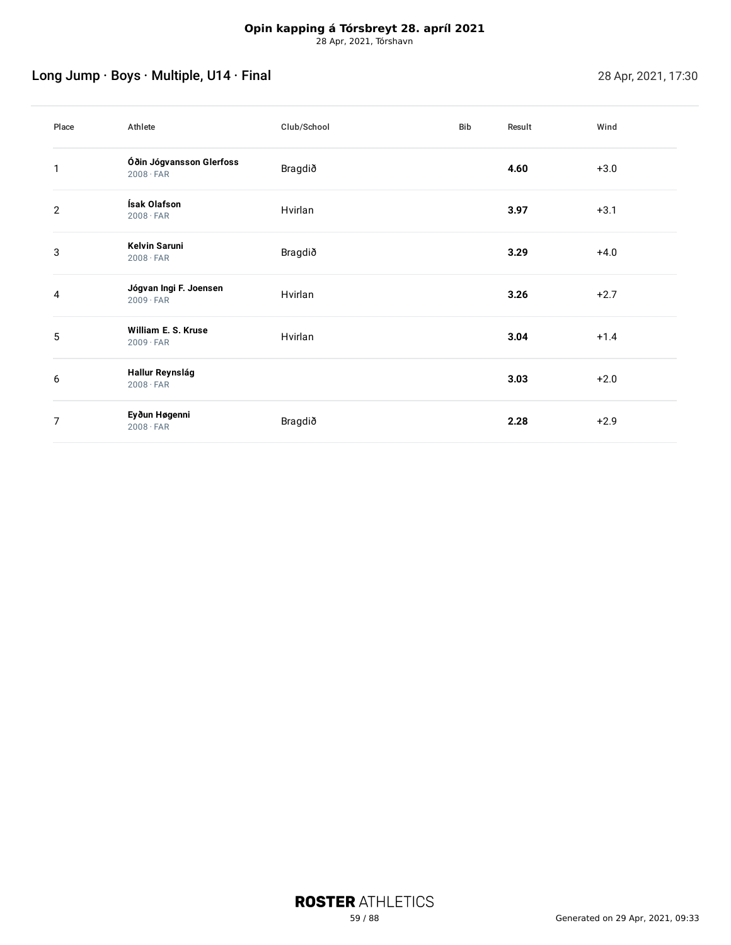# Long Jump · Boys · Multiple, U14 · Final 28 Apr, 2021, 17:30

| Place | Athlete                                      | Club/School | <b>Bib</b> | Result | Wind   |
|-------|----------------------------------------------|-------------|------------|--------|--------|
| 1     | Óðin Jógvansson Glerfoss<br>$2008 \cdot FAR$ | Bragdið     |            | 4.60   | $+3.0$ |
| 2     | Ísak Olafson<br>$2008 \cdot FAR$             | Hvirlan     |            | 3.97   | $+3.1$ |
| 3     | <b>Kelvin Saruni</b><br>$2008 \cdot FAR$     | Bragdið     |            | 3.29   | $+4.0$ |
| 4     | Jógvan Ingi F. Joensen<br>$2009 \cdot FAR$   | Hvirlan     |            | 3.26   | $+2.7$ |
| 5     | William E. S. Kruse<br>$2009 \cdot FAR$      | Hvirlan     |            | 3.04   | $+1.4$ |
| 6     | Hallur Reynslág<br>$2008 \cdot FAR$          |             |            | 3.03   | $+2.0$ |
| 7     | Eyðun Høgenni<br>$2008 \cdot FAR$            | Bragdið     |            | 2.28   | $+2.9$ |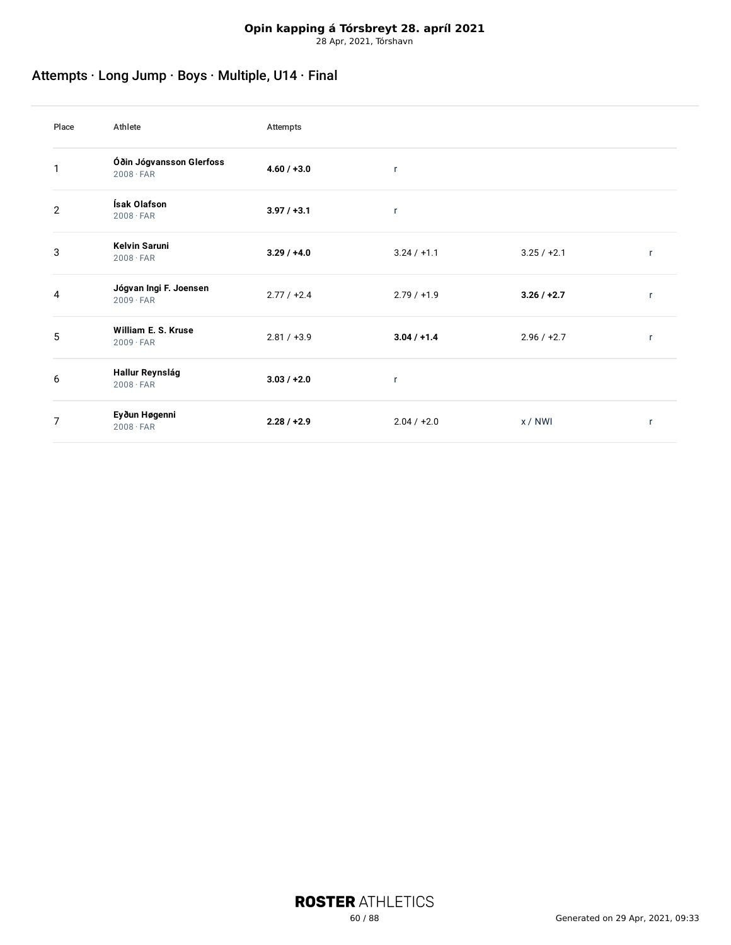# Attempts · Long Jump · Boys · Multiple, U14 · Final

| Place          | Athlete                                      | Attempts      |               |               |              |
|----------------|----------------------------------------------|---------------|---------------|---------------|--------------|
|                | Óðin Jógvansson Glerfoss<br>$2008 \cdot FAR$ | $4.60 / +3.0$ | $\mathsf{r}$  |               |              |
| $\overline{2}$ | Ísak Olafson<br>$2008 \cdot FAR$             | $3.97 / +3.1$ | $\mathsf{r}$  |               |              |
| 3              | <b>Kelvin Saruni</b><br>$2008 \cdot FAR$     | $3.29 / +4.0$ | $3.24 / +1.1$ | $3.25 / +2.1$ | $\mathsf{r}$ |
| 4              | Jógvan Ingi F. Joensen<br>$2009 \cdot FAR$   | $2.77 / +2.4$ | $2.79 / +1.9$ | $3.26 / +2.7$ | r            |
| 5              | William E. S. Kruse<br>$2009 \cdot FAR$      | $2.81 / +3.9$ | $3.04 / +1.4$ | $2.96 / +2.7$ | $\mathsf{r}$ |
| 6              | Hallur Reynslág<br>$2008 \cdot FAR$          | $3.03 / +2.0$ | $\mathsf{r}$  |               |              |
| 7              | Eyðun Høgenni<br>$2008 \cdot FAR$            | $2.28 / +2.9$ | $2.04 / +2.0$ | x/NWI         | r            |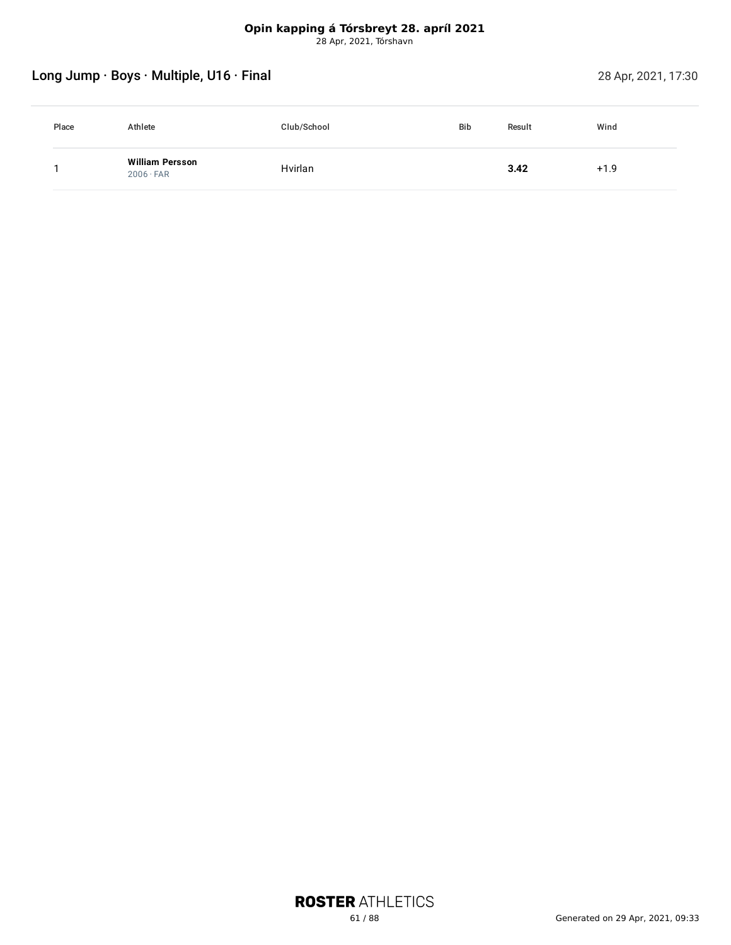# Long Jump · Boys · Multiple, U16 · Final 28 Apr, 2021, 17:30

| Place | Athlete                                    | Club/School | <b>Bib</b> | Result | Wind   |
|-------|--------------------------------------------|-------------|------------|--------|--------|
|       | <b>William Persson</b><br>$2006 \cdot FAR$ | Hvirlan     |            | 3.42   | $+1.9$ |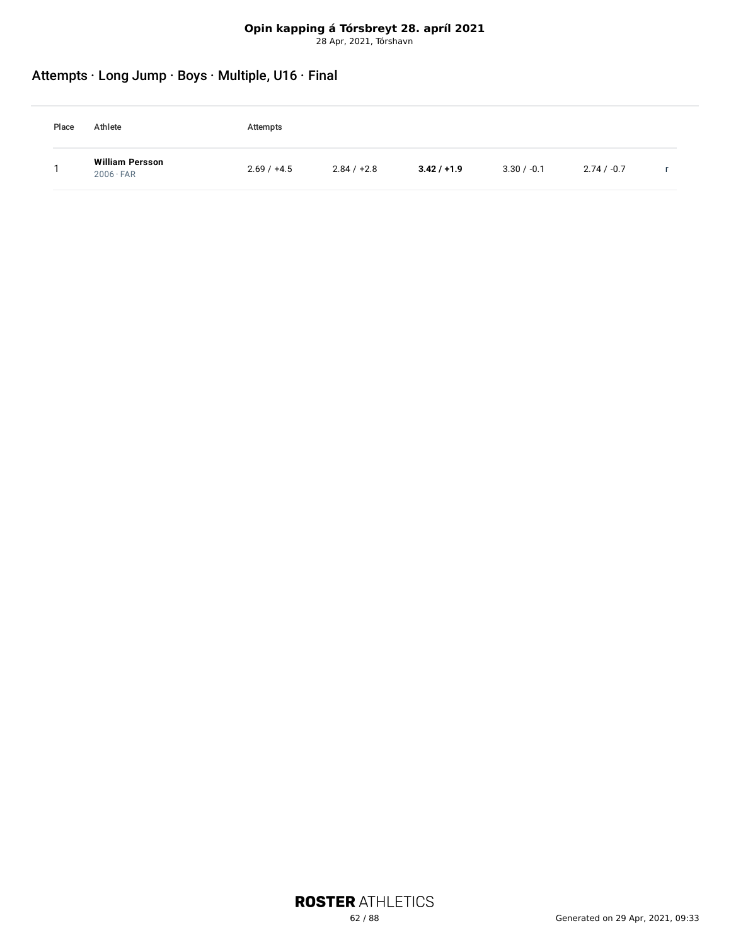# Attempts · Long Jump · Boys · Multiple, U16 · Final

| Place | Athlete                             | Attempts      |               |               |               |               |  |
|-------|-------------------------------------|---------------|---------------|---------------|---------------|---------------|--|
|       | William Persson<br>$2006 \cdot FAR$ | $2.69 / +4.5$ | $2.84 / +2.8$ | $3.42 / +1.9$ | $3.30 / -0.1$ | $2.74 / -0.7$ |  |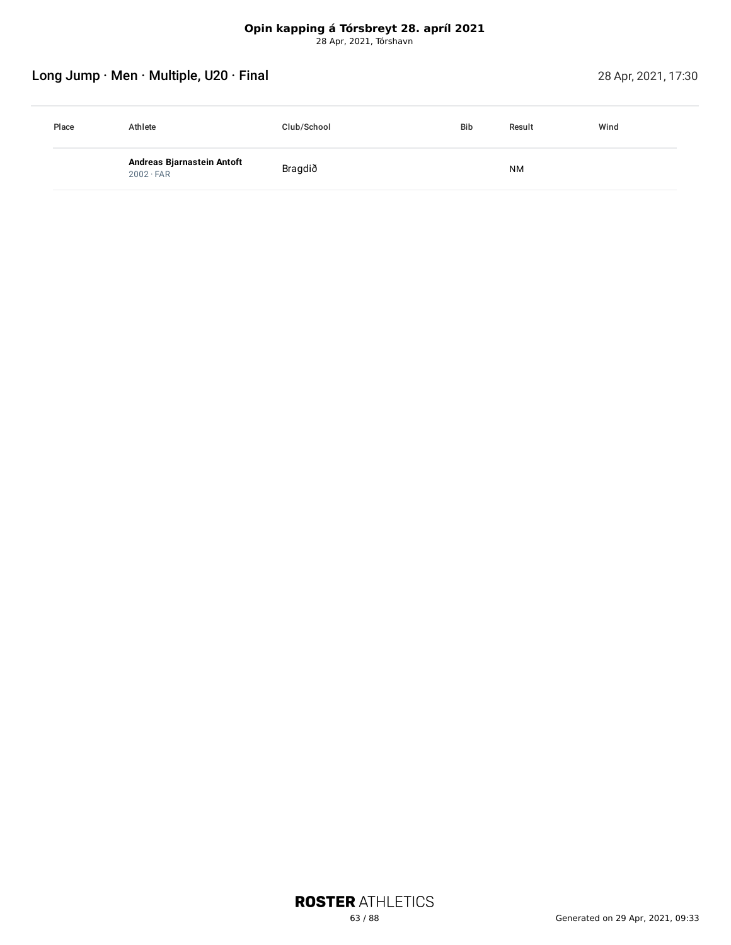# Long Jump · Men · Multiple, U20 · Final 28 Apr, 2021, 17:30

| Place | Athlete                                        | Club/School | <b>Bib</b> | Result    | Wind |
|-------|------------------------------------------------|-------------|------------|-----------|------|
|       | Andreas Bjarnastein Antoft<br>$2002 \cdot FAR$ | Bragdið     |            | <b>NM</b> |      |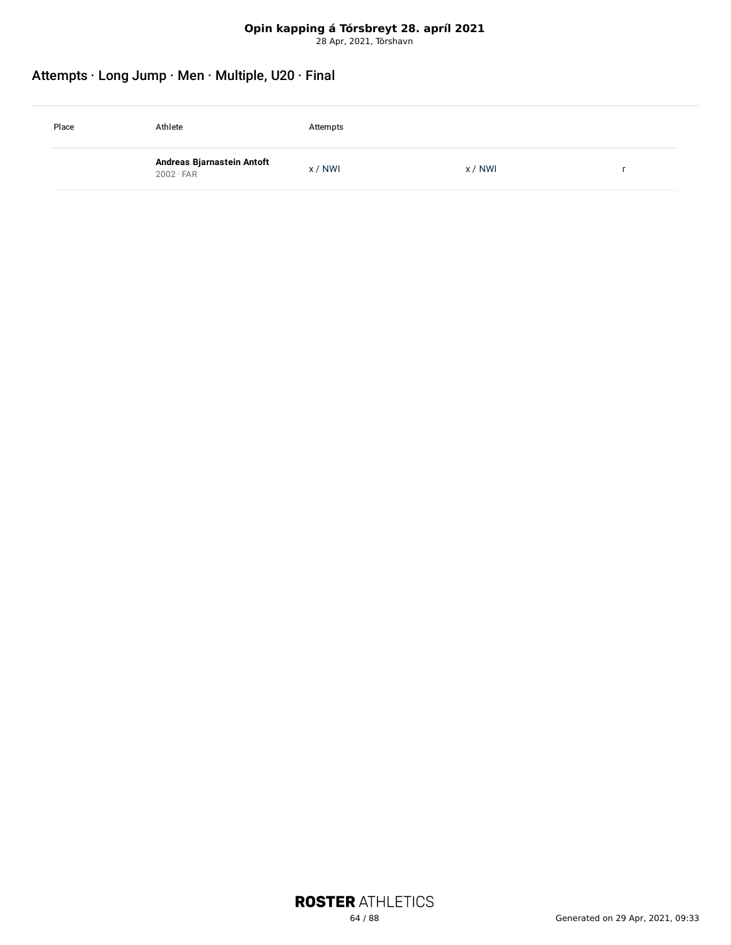# Attempts · Long Jump · Men · Multiple, U20 · Final

| Place | Athlete                                        | Attempts |       |  |
|-------|------------------------------------------------|----------|-------|--|
|       | Andreas Bjarnastein Antoft<br>$2002 \cdot FAR$ | x / NWI  | x/NWI |  |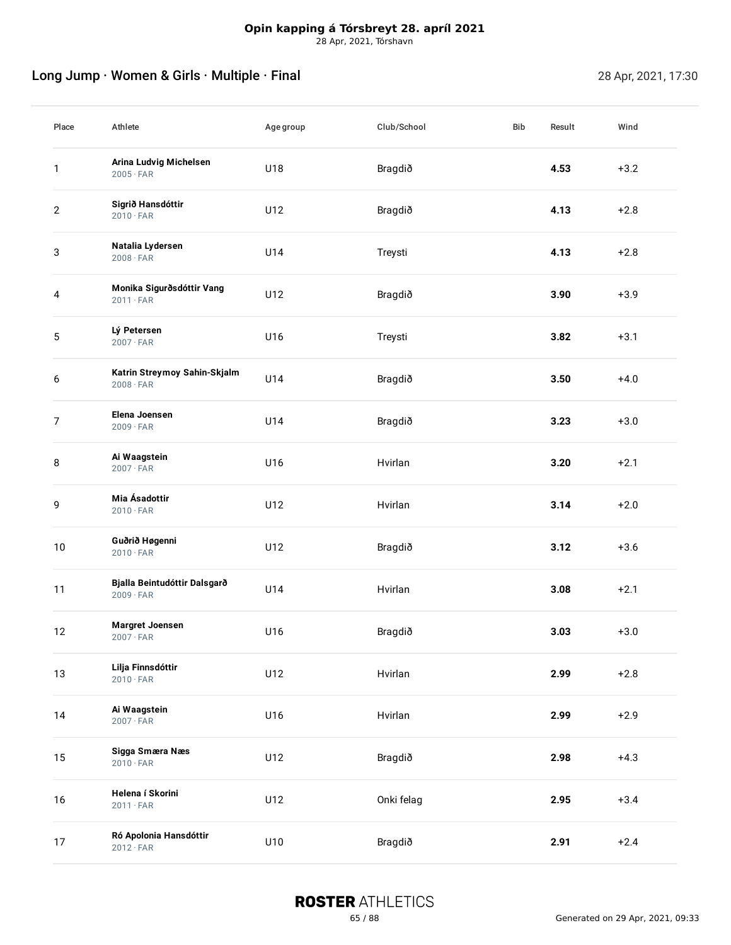# Long Jump · Women & Girls · Multiple · Final 28 Apr, 2021, 17:30

| Place            | Athlete                                          | Agegroup | Club/School | Bib | Result | Wind   |
|------------------|--------------------------------------------------|----------|-------------|-----|--------|--------|
| 1                | Arina Ludvig Michelsen<br>$2005 \cdot FAR$       | U18      | Bragdið     |     | 4.53   | $+3.2$ |
| $\overline{2}$   | Sigrið Hansdóttir<br>$2010 \cdot FAR$            | U12      | Bragdið     |     | 4.13   | $+2.8$ |
| 3                | Natalia Lydersen<br>$2008 \cdot FAR$             | U14      | Treysti     |     | 4.13   | $+2.8$ |
| 4                | Monika Sigurðsdóttir Vang<br>$2011 \cdot FAR$    | U12      | Bragdið     |     | 3.90   | $+3.9$ |
| 5                | Lý Petersen<br>$2007 \cdot FAR$                  | U16      | Treysti     |     | 3.82   | $+3.1$ |
| 6                | Katrin Streymoy Sahin-Skjalm<br>$2008 \cdot FAR$ | U14      | Bragdið     |     | 3.50   | $+4.0$ |
| $\boldsymbol{7}$ | Elena Joensen<br>$2009 \cdot FAR$                | U14      | Bragdið     |     | 3.23   | $+3.0$ |
| 8                | Ai Waagstein<br>$2007 \cdot FAR$                 | U16      | Hvirlan     |     | 3.20   | $+2.1$ |
| 9                | Mia Ásadottir<br>$2010 \cdot FAR$                | U12      | Hvirlan     |     | 3.14   | $+2.0$ |
| 10               | Guðrið Høgenni<br>$2010 \cdot FAR$               | U12      | Bragdið     |     | 3.12   | $+3.6$ |
| 11               | Bjalla Beintudóttir Dalsgarð<br>$2009 \cdot FAR$ | U14      | Hvirlan     |     | 3.08   | $+2.1$ |
| 12               | <b>Margret Joensen</b><br>$2007 \cdot FAR$       | U16      | Bragdið     |     | 3.03   | $+3.0$ |
| 13               | Lilja Finnsdóttir<br>$2010 \cdot FAR$            | U12      | Hvirlan     |     | 2.99   | $+2.8$ |
| 14               | Ai Waagstein<br>$2007 \cdot FAR$                 | U16      | Hvirlan     |     | 2.99   | $+2.9$ |
| 15               | Sigga Smæra Næs<br>$2010 \cdot FAR$              | U12      | Bragdið     |     | 2.98   | $+4.3$ |
| 16               | Helena í Skorini<br>$2011 \cdot FAR$             | U12      | Onki felag  |     | 2.95   | $+3.4$ |
| 17               | Ró Apolonia Hansdóttir<br>$2012 \cdot FAR$       | U10      | Bragdið     |     | 2.91   | $+2.4$ |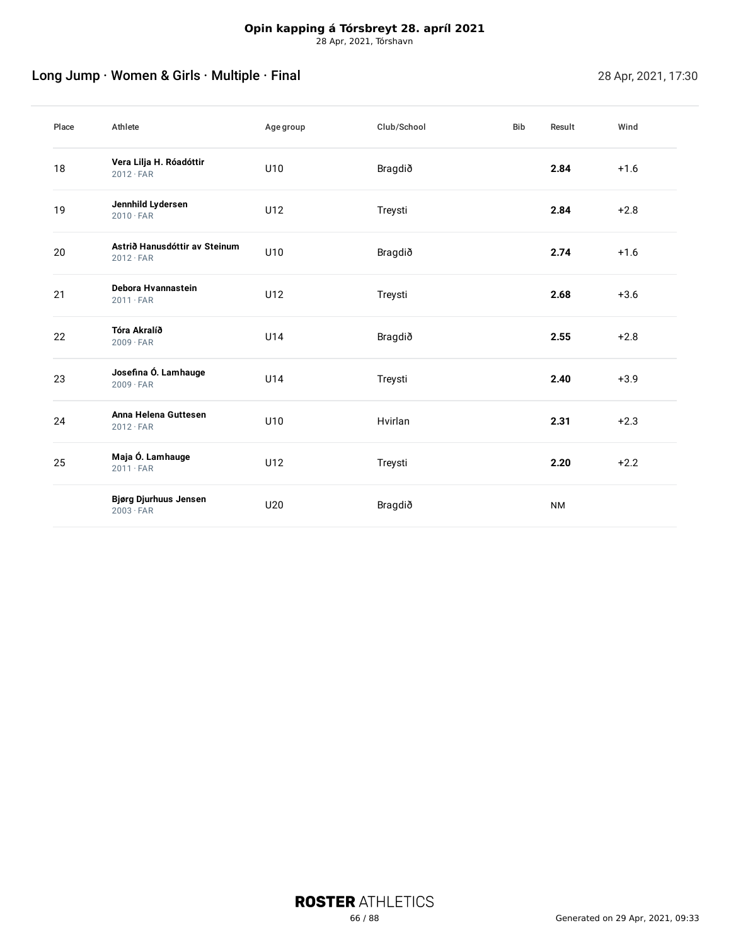# Long Jump · Women & Girls · Multiple · Final 28 Apr, 2021, 17:30

| Place | Athlete                                           | Agegroup | Club/School | <b>Bib</b> | Result    | Wind   |
|-------|---------------------------------------------------|----------|-------------|------------|-----------|--------|
| 18    | Vera Lilja H. Róadóttir<br>$2012 \cdot FAR$       | U10      | Bragdið     |            | 2.84      | $+1.6$ |
| 19    | Jennhild Lydersen<br>$2010 \cdot FAR$             | U12      | Treysti     |            | 2.84      | $+2.8$ |
| 20    | Astrið Hanusdóttir av Steinum<br>$2012 \cdot FAR$ | U10      | Bragdið     |            | 2.74      | $+1.6$ |
| 21    | Debora Hvannastein<br>$2011 \cdot FAR$            | U12      | Treysti     |            | 2.68      | $+3.6$ |
| 22    | Tóra Akralíð<br>$2009 \cdot FAR$                  | U14      | Bragdið     |            | 2.55      | $+2.8$ |
| 23    | Josefina Ó. Lamhauge<br>$2009 \cdot FAR$          | U14      | Treysti     |            | 2.40      | $+3.9$ |
| 24    | Anna Helena Guttesen<br>$2012 \cdot FAR$          | U10      | Hvirlan     |            | 2.31      | $+2.3$ |
| 25    | Maja Ó. Lamhauge<br>$2011 \cdot FAR$              | U12      | Treysti     |            | 2.20      | $+2.2$ |
|       | <b>Bjørg Djurhuus Jensen</b><br>$2003 \cdot FAR$  | U20      | Bragdið     |            | <b>NM</b> |        |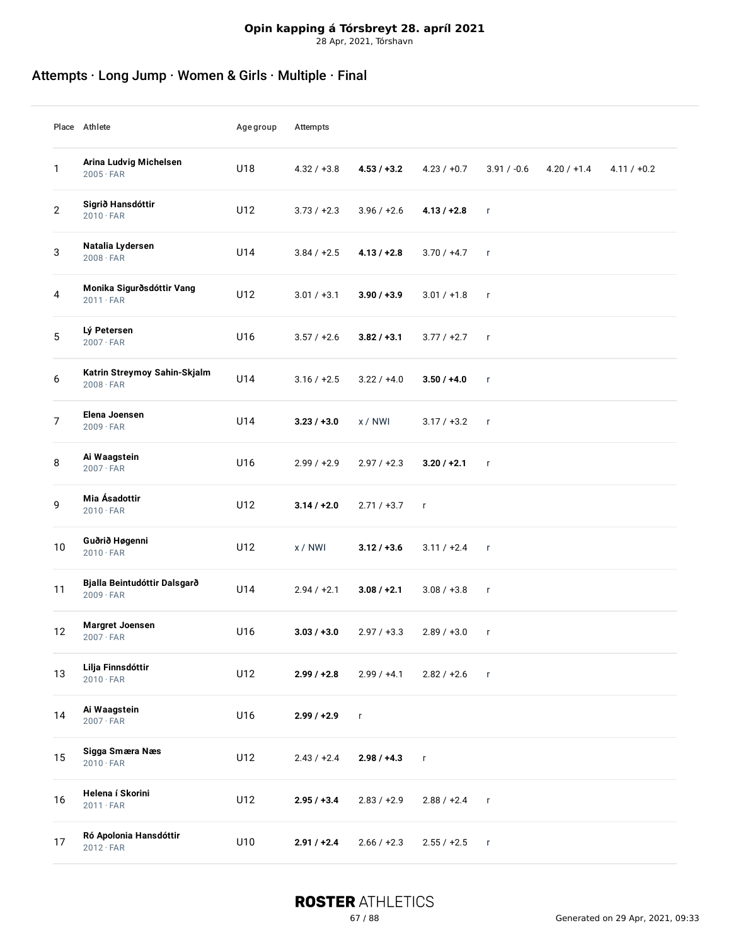# **Opin kapping á Tórsbreyt 28. apríl 2021**

28 Apr, 2021, Tórshavn

# Attempts · Long Jump · Women & Girls · Multiple · Final

|    | Place Athlete                                    | Agegroup | Attempts      |               |               |               |               |               |
|----|--------------------------------------------------|----------|---------------|---------------|---------------|---------------|---------------|---------------|
| 1  | Arina Ludvig Michelsen<br>$2005 \cdot FAR$       | U18      | $4.32 / +3.8$ | $4.53 / +3.2$ | $4.23 / +0.7$ | $3.91 / -0.6$ | $4.20 / +1.4$ | $4.11 / +0.2$ |
| 2  | Sigrið Hansdóttir<br>$2010 \cdot FAR$            | U12      | $3.73 / +2.3$ | $3.96 / +2.6$ | $4.13 / +2.8$ | $\mathbf{r}$  |               |               |
| 3  | Natalia Lydersen<br>$2008 \cdot FAR$             | U14      | $3.84 / +2.5$ | $4.13 / +2.8$ | $3.70 / +4.7$ | $\mathsf{r}$  |               |               |
| 4  | Monika Sigurðsdóttir Vang<br>$2011 \cdot FAR$    | U12      | $3.01 / +3.1$ | $3.90 / +3.9$ | $3.01 / +1.8$ | $\mathsf{r}$  |               |               |
| 5  | Lý Petersen<br>$2007 \cdot FAR$                  | U16      | $3.57 / +2.6$ | $3.82 / +3.1$ | $3.77 / +2.7$ | $\mathsf{r}$  |               |               |
| 6  | Katrin Streymoy Sahin-Skjalm<br>$2008 \cdot FAR$ | U14      | $3.16 / +2.5$ | $3.22 / +4.0$ | $3.50 / +4.0$ | $\mathbf{r}$  |               |               |
| 7  | Elena Joensen<br>$2009 \cdot FAR$                | U14      | $3.23 / +3.0$ | x/NWI         | $3.17 / +3.2$ | $\mathsf{r}$  |               |               |
| 8  | Ai Waagstein<br>$2007 \cdot FAR$                 | U16      | $2.99 / +2.9$ | $2.97 / +2.3$ | $3.20 / +2.1$ | $\mathsf{r}$  |               |               |
| 9  | Mia Ásadottir<br>$2010 \cdot FAR$                | U12      | $3.14 / +2.0$ | $2.71 / +3.7$ | $\mathsf{r}$  |               |               |               |
| 10 | Guðrið Høgenni<br>$2010 \cdot FAR$               | U12      | x/NWI         | $3.12 / +3.6$ | $3.11 / +2.4$ | $\mathsf{r}$  |               |               |
| 11 | Bjalla Beintudóttir Dalsgarð<br>$2009 \cdot FAR$ | U14      | $2.94 / +2.1$ | $3.08 / +2.1$ | $3.08 / +3.8$ | $\mathsf{r}$  |               |               |
| 12 | <b>Margret Joensen</b><br>$2007 \cdot FAR$       | U16      | $3.03 / +3.0$ | $2.97 / +3.3$ | $2.89 / +3.0$ | $\mathsf{r}$  |               |               |
| 13 | Lilja Finnsdóttir<br>$2010 \cdot FAR$            | U12      | $2.99 / +2.8$ | $2.99 / +4.1$ | $2.82 / +2.6$ | $\mathsf{r}$  |               |               |
| 14 | Ai Waagstein<br>$2007 \cdot FAR$                 | U16      | $2.99 / +2.9$ | $\mathsf{r}$  |               |               |               |               |
| 15 | Sigga Smæra Næs<br>$2010 \cdot FAR$              | U12      | $2.43 / +2.4$ | $2.98 / +4.3$ | r             |               |               |               |
| 16 | Helena í Skorini<br>$2011 \cdot FAR$             | U12      | $2.95 / +3.4$ | $2.83 / +2.9$ | $2.88 / +2.4$ | $\mathsf{r}$  |               |               |
| 17 | Ró Apolonia Hansdóttir<br>$2012 \cdot FAR$       | U10      | $2.91 / +2.4$ | $2.66 / +2.3$ | $2.55 / +2.5$ | $\mathsf{r}$  |               |               |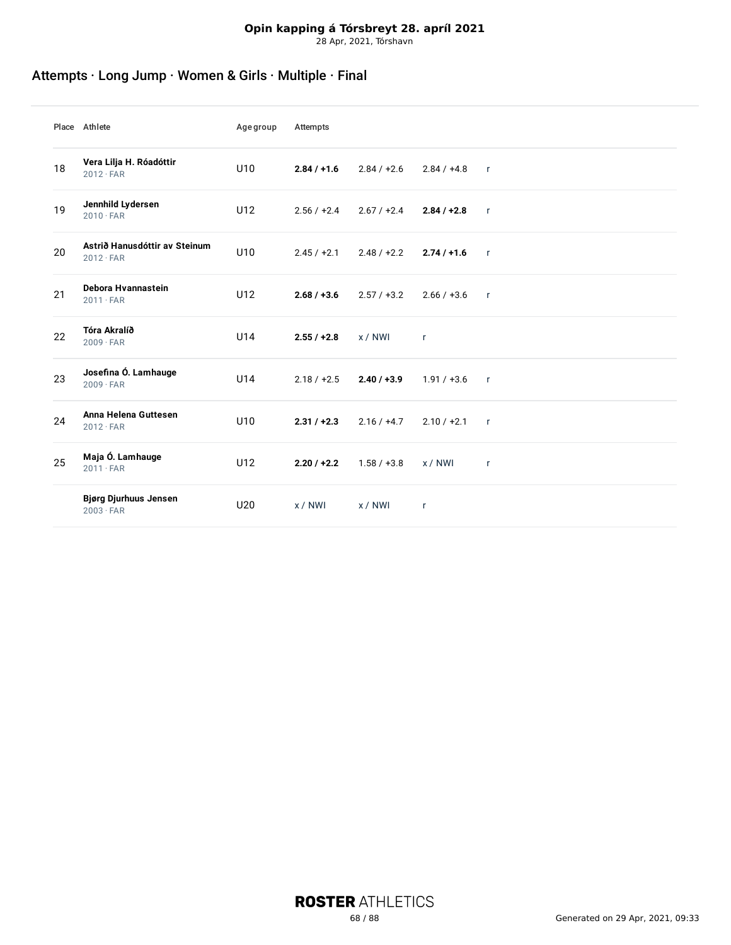# **Opin kapping á Tórsbreyt 28. apríl 2021**

28 Apr, 2021, Tórshavn

# Attempts · Long Jump · Women & Girls · Multiple · Final

|    | Place Athlete                                     | Agegroup | Attempts      |               |               |              |
|----|---------------------------------------------------|----------|---------------|---------------|---------------|--------------|
| 18 | Vera Lilja H. Róadóttir<br>$2012 \cdot FAR$       | U10      | $2.84 / +1.6$ | $2.84 / +2.6$ | $2.84 / +4.8$ | $\mathsf{r}$ |
| 19 | Jennhild Lydersen<br>$2010 \cdot FAR$             | U12      | $2.56 / +2.4$ | $2.67 / +2.4$ | $2.84 / +2.8$ | $\mathsf{r}$ |
| 20 | Astrið Hanusdóttir av Steinum<br>$2012 \cdot FAR$ | U10      | $2.45 / +2.1$ | $2.48 / +2.2$ | $2.74/+1.6$   | $\mathbf{r}$ |
| 21 | Debora Hvannastein<br>$2011 \cdot FAR$            | U12      | $2.68 / +3.6$ | $2.57 / +3.2$ | $2.66 / +3.6$ | $\mathsf{r}$ |
| 22 | Tóra Akralíð<br>$2009 \cdot FAR$                  | U14      | $2.55 / +2.8$ | x / NWI       | $\mathsf{r}$  |              |
| 23 | Josefina Ó. Lamhauge<br>$2009 \cdot FAR$          | U14      | $2.18 / +2.5$ | $2.40 / +3.9$ | $1.91 / +3.6$ | $\mathsf{r}$ |
| 24 | Anna Helena Guttesen<br>$2012 \cdot FAR$          | U10      | $2.31 / +2.3$ | $2.16 / +4.7$ | $2.10 / +2.1$ | $\mathsf{r}$ |
| 25 | Maja Ó. Lamhauge<br>$2011 \cdot FAR$              | U12      | $2.20 / +2.2$ | $1.58 / +3.8$ | x / NWI       | $\mathsf{r}$ |
|    | <b>Bjørg Djurhuus Jensen</b><br>$2003 \cdot FAR$  | U20      | x/NWI         | x / NWI       | r             |              |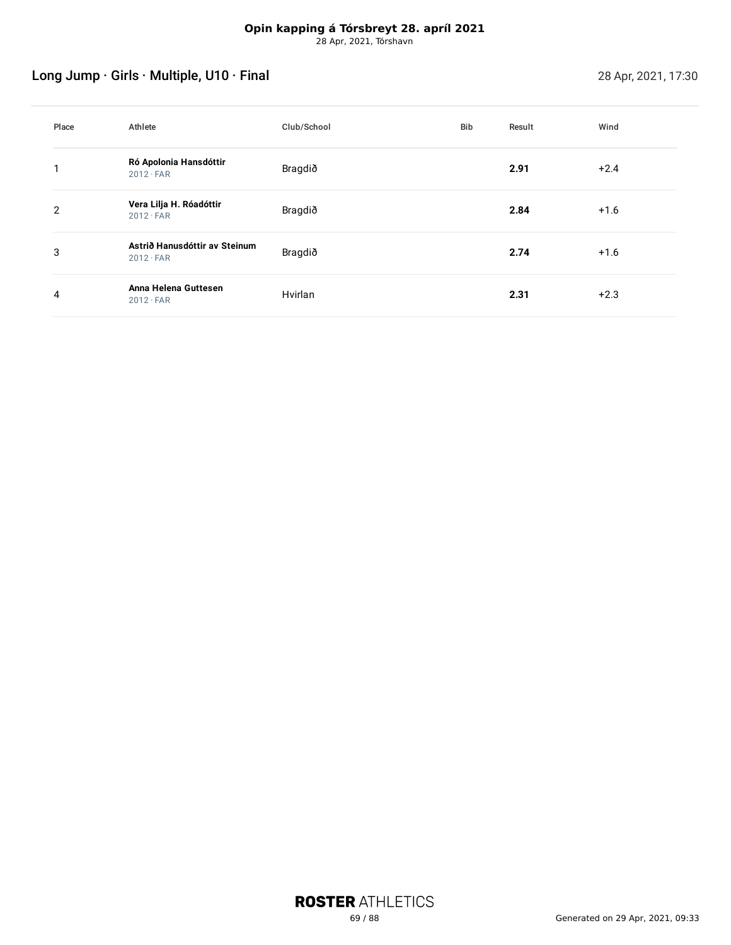# Long Jump · Girls · Multiple, U10 · Final 28 Apr, 2021, 17:30

| Place          | Athlete                                           | Club/School | Bib | Result | Wind   |
|----------------|---------------------------------------------------|-------------|-----|--------|--------|
|                | Ró Apolonia Hansdóttir<br>$2012 \cdot FAR$        | Bragdið     |     | 2.91   | $+2.4$ |
| $\overline{2}$ | Vera Lilja H. Róadóttir<br>$2012 \cdot FAR$       | Bragdið     |     | 2.84   | $+1.6$ |
| 3              | Astrið Hanusdóttir av Steinum<br>$2012 \cdot FAR$ | Bragdið     |     | 2.74   | $+1.6$ |
| 4              | Anna Helena Guttesen<br>$2012 \cdot FAR$          | Hvirlan     |     | 2.31   | $+2.3$ |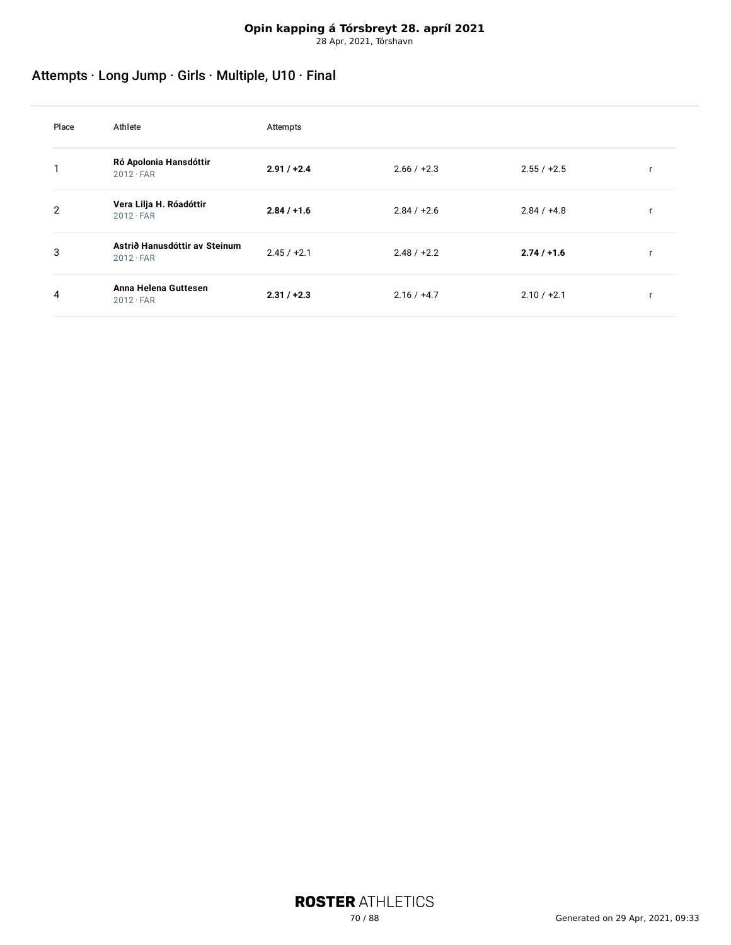# Attempts · Long Jump · Girls · Multiple, U10 · Final

| Place | Athlete                                           | Attempts      |               |               |  |
|-------|---------------------------------------------------|---------------|---------------|---------------|--|
|       | Ró Apolonia Hansdóttir<br>$2012 \cdot FAR$        | $2.91 / +2.4$ | $2.66 / +2.3$ | $2.55 / +2.5$ |  |
| 2     | Vera Lilja H. Róadóttir<br>$2012 \cdot FAR$       | $2.84 / +1.6$ | $2.84 / +2.6$ | $2.84 / +4.8$ |  |
| 3     | Astrið Hanusdóttir av Steinum<br>$2012 \cdot FAR$ | $2.45 / +2.1$ | $2.48 / +2.2$ | $2.74/+1.6$   |  |
| 4     | Anna Helena Guttesen<br>$2012 \cdot FAR$          | $2.31 / +2.3$ | $2.16 / +4.7$ | $2.10 / +2.1$ |  |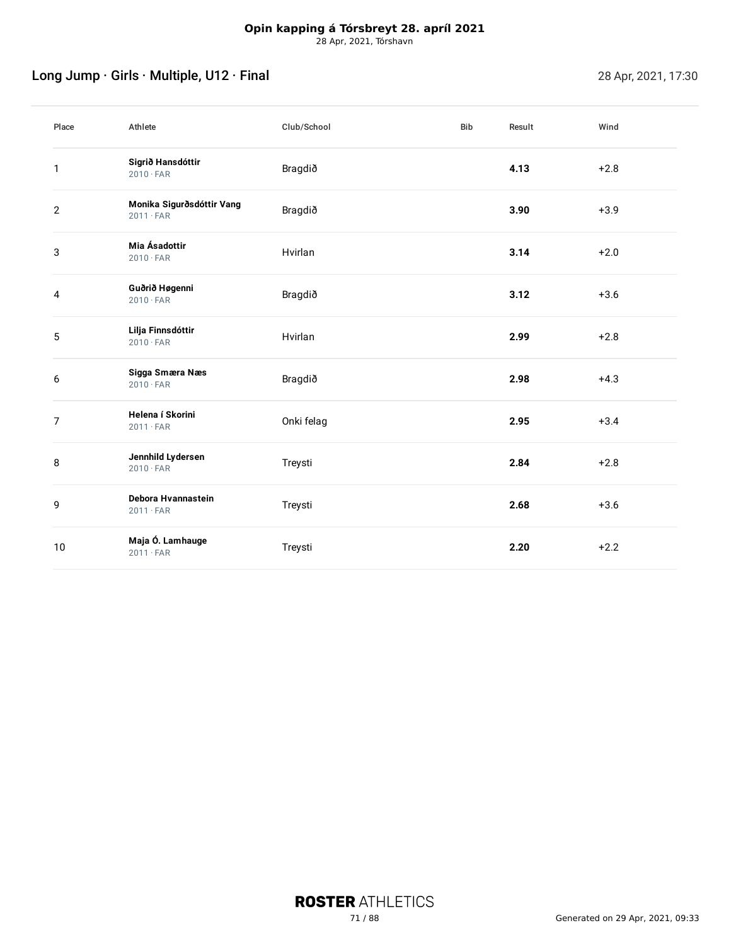# Long Jump · Girls · Multiple, U12 · Final 28 Apr, 2021, 17:30

| Place          | Athlete                                       | Club/School | <b>Bib</b> | Result | Wind   |
|----------------|-----------------------------------------------|-------------|------------|--------|--------|
| $\mathbf{1}$   | Sigrið Hansdóttir<br>$2010 \cdot FAR$         | Bragdið     |            | 4.13   | $+2.8$ |
| $\overline{2}$ | Monika Sigurðsdóttir Vang<br>$2011 \cdot FAR$ | Bragdið     |            | 3.90   | $+3.9$ |
| 3              | Mia Ásadottir<br>$2010 \cdot FAR$             | Hvirlan     |            | 3.14   | $+2.0$ |
| 4              | Guðrið Høgenni<br>$2010 \cdot FAR$            | Bragdið     |            | 3.12   | $+3.6$ |
| 5              | Lilja Finnsdóttir<br>$2010 \cdot FAR$         | Hvirlan     |            | 2.99   | $+2.8$ |
| 6              | Sigga Smæra Næs<br>$2010 \cdot FAR$           | Bragdið     |            | 2.98   | $+4.3$ |
| $\overline{7}$ | Helena í Skorini<br>$2011 \cdot FAR$          | Onki felag  |            | 2.95   | $+3.4$ |
| 8              | Jennhild Lydersen<br>$2010 \cdot FAR$         | Treysti     |            | 2.84   | $+2.8$ |
| 9              | Debora Hvannastein<br>$2011 \cdot FAR$        | Treysti     |            | 2.68   | $+3.6$ |
| 10             | Maja Ó. Lamhauge<br>$2011 \cdot FAR$          | Treysti     |            | 2.20   | $+2.2$ |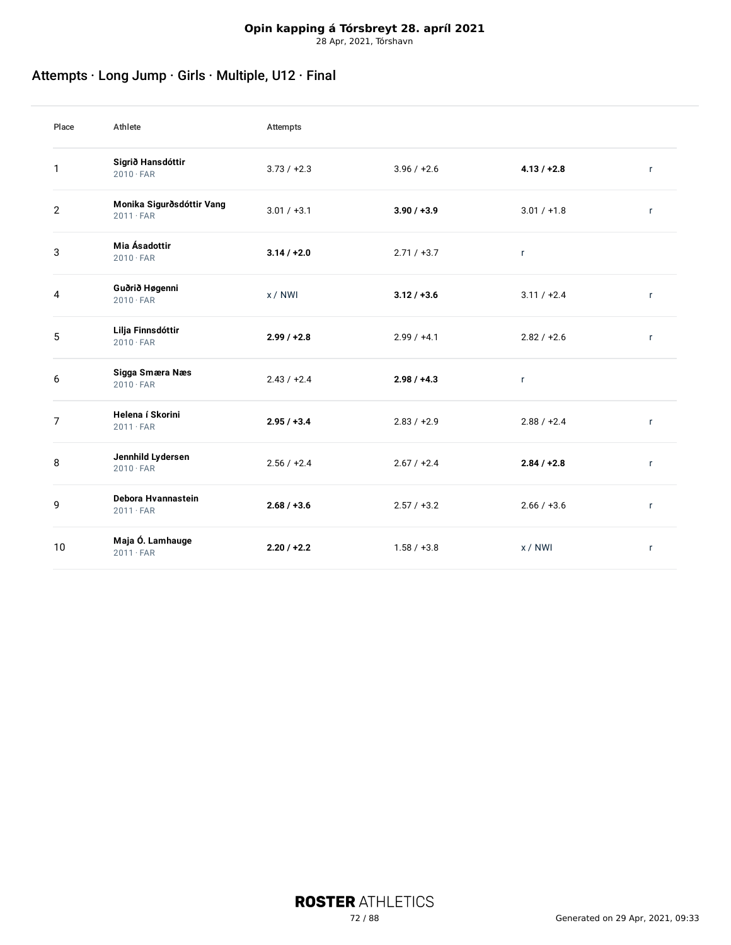# Attempts · Long Jump · Girls · Multiple, U12 · Final

| Place          | Athlete                                       | Attempts      |               |               |              |
|----------------|-----------------------------------------------|---------------|---------------|---------------|--------------|
| 1              | Sigrið Hansdóttir<br>$2010 \cdot FAR$         | $3.73 / +2.3$ | $3.96 / +2.6$ | $4.13 / +2.8$ | $\mathsf{r}$ |
| $\overline{2}$ | Monika Sigurðsdóttir Vang<br>$2011 \cdot FAR$ | $3.01 / +3.1$ | $3.90 / +3.9$ | $3.01 / +1.8$ | $\mathsf{r}$ |
| 3              | Mia Ásadottir<br>$2010 \cdot FAR$             | $3.14 / +2.0$ | $2.71 / +3.7$ | $\mathsf{r}$  |              |
| 4              | Guðrið Høgenni<br>$2010 \cdot FAR$            | x / NWI       | $3.12 / +3.6$ | $3.11 / +2.4$ | $\mathsf{r}$ |
| 5              | Lilja Finnsdóttir<br>$2010 \cdot FAR$         | $2.99 / +2.8$ | $2.99 / +4.1$ | $2.82 / +2.6$ | $\mathbf{r}$ |
| 6              | Sigga Smæra Næs<br>$2010 \cdot FAR$           | $2.43 / +2.4$ | $2.98 / +4.3$ | $\mathsf{r}$  |              |
| $\overline{7}$ | Helena í Skorini<br>$2011 \cdot FAR$          | $2.95 / +3.4$ | $2.83 / +2.9$ | $2.88 / +2.4$ | $\mathsf{r}$ |
| 8              | Jennhild Lydersen<br>$2010 \cdot FAR$         | $2.56 / +2.4$ | $2.67 / +2.4$ | $2.84 / +2.8$ | r            |
| 9              | Debora Hvannastein<br>$2011 \cdot FAR$        | $2.68 / +3.6$ | $2.57 / +3.2$ | $2.66 / +3.6$ | $\mathbf{r}$ |
| 10             | Maja Ó. Lamhauge<br>$2011 \cdot FAR$          | $2.20 / +2.2$ | $1.58 / +3.8$ | x / NWI       | $\mathsf{r}$ |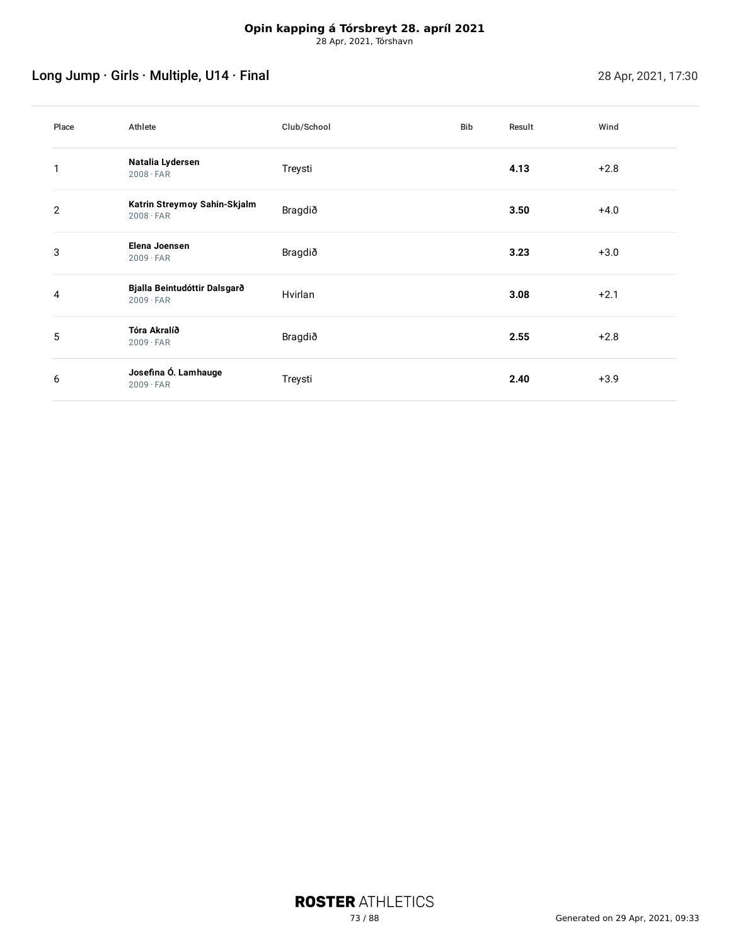# Long Jump · Girls · Multiple, U14 · Final 28 Apr, 2021, 17:30

| Place          | Athlete                                          | Club/School | Bib | Result | Wind   |
|----------------|--------------------------------------------------|-------------|-----|--------|--------|
|                | Natalia Lydersen<br>$2008 \cdot FAR$             | Treysti     |     | 4.13   | $+2.8$ |
| $\overline{2}$ | Katrin Streymoy Sahin-Skjalm<br>$2008 \cdot FAR$ | Bragdið     |     | 3.50   | $+4.0$ |
| 3              | Elena Joensen<br>$2009 \cdot FAR$                | Bragdið     |     | 3.23   | $+3.0$ |
| 4              | Bjalla Beintudóttir Dalsgarð<br>$2009 \cdot FAR$ | Hvirlan     |     | 3.08   | $+2.1$ |
| 5              | Tóra Akralíð<br>$2009 \cdot FAR$                 | Bragdið     |     | 2.55   | $+2.8$ |
| 6              | Josefina Ó. Lamhauge<br>$2009 \cdot FAR$         | Treysti     |     | 2.40   | $+3.9$ |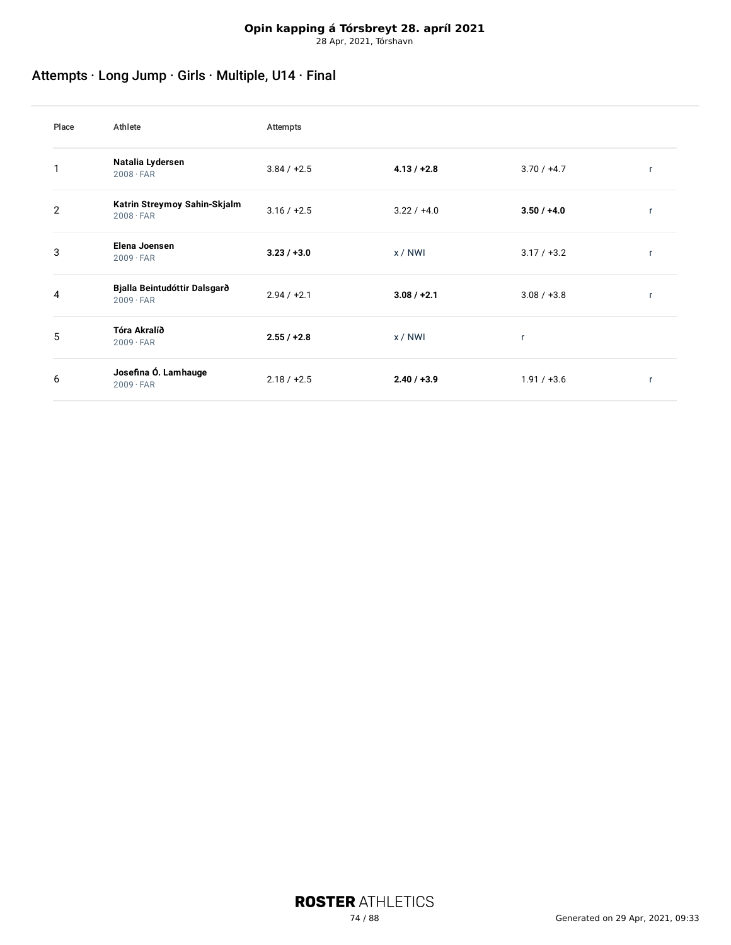# Attempts · Long Jump · Girls · Multiple, U14 · Final

| Place          | Athlete                                          | Attempts      |               |               |   |
|----------------|--------------------------------------------------|---------------|---------------|---------------|---|
|                | Natalia Lydersen<br>$2008 \cdot FAR$             | $3.84 / +2.5$ | $4.13 / +2.8$ | $3.70 / +4.7$ | r |
| $\overline{2}$ | Katrin Streymoy Sahin-Skjalm<br>$2008 \cdot FAR$ | $3.16 / +2.5$ | $3.22 / +4.0$ | $3.50 / +4.0$ | r |
| 3              | Elena Joensen<br>$2009 \cdot FAR$                | $3.23 / +3.0$ | x/NWI         | $3.17 / +3.2$ | r |
| 4              | Bjalla Beintudóttir Dalsgarð<br>$2009 \cdot FAR$ | $2.94 / +2.1$ | $3.08 / +2.1$ | $3.08 / +3.8$ | r |
| 5              | Tóra Akralíð<br>$2009 \cdot FAR$                 | $2.55 / +2.8$ | x/NWI         | r             |   |
| 6              | Josefina Ó. Lamhauge<br>$2009 \cdot FAR$         | $2.18 / +2.5$ | $2.40 / +3.9$ | $1.91 / +3.6$ |   |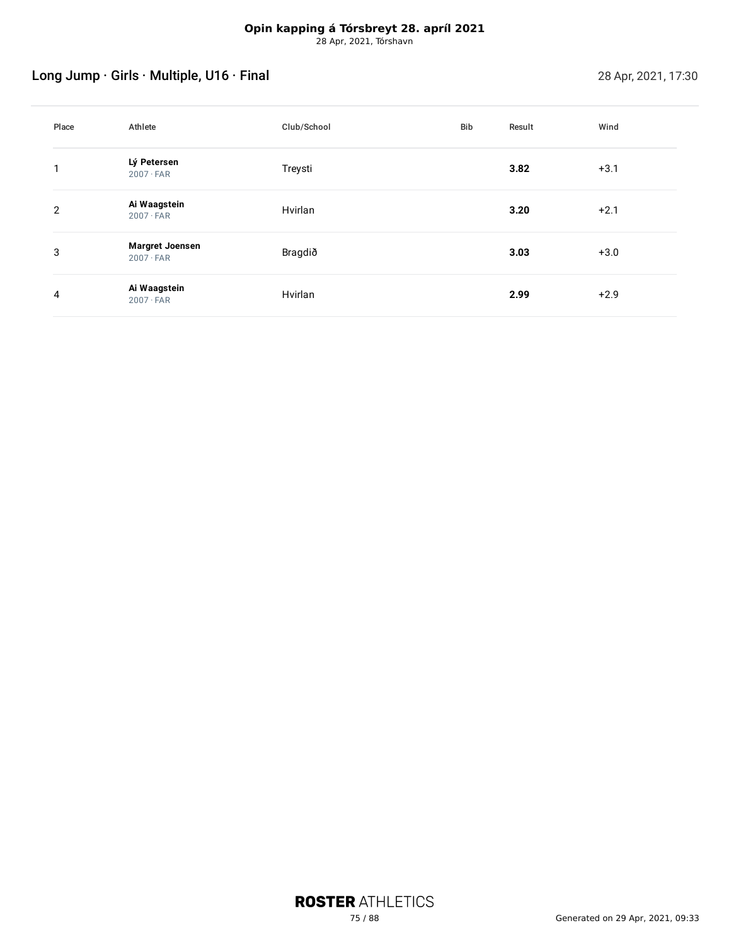# Long Jump · Girls · Multiple, U16 · Final 28 Apr, 2021, 17:30

| Place          | Athlete                                    | Club/School | Bib | Result | Wind   |
|----------------|--------------------------------------------|-------------|-----|--------|--------|
|                | Lý Petersen<br>$2007 \cdot FAR$            | Treysti     |     | 3.82   | $+3.1$ |
| $\overline{2}$ | Ai Waagstein<br>$2007 \cdot FAR$           | Hvirlan     |     | 3.20   | $+2.1$ |
| 3              | <b>Margret Joensen</b><br>$2007 \cdot FAR$ | Bragdið     |     | 3.03   | $+3.0$ |
| 4              | Ai Waagstein<br>$2007 \cdot FAR$           | Hvirlan     |     | 2.99   | $+2.9$ |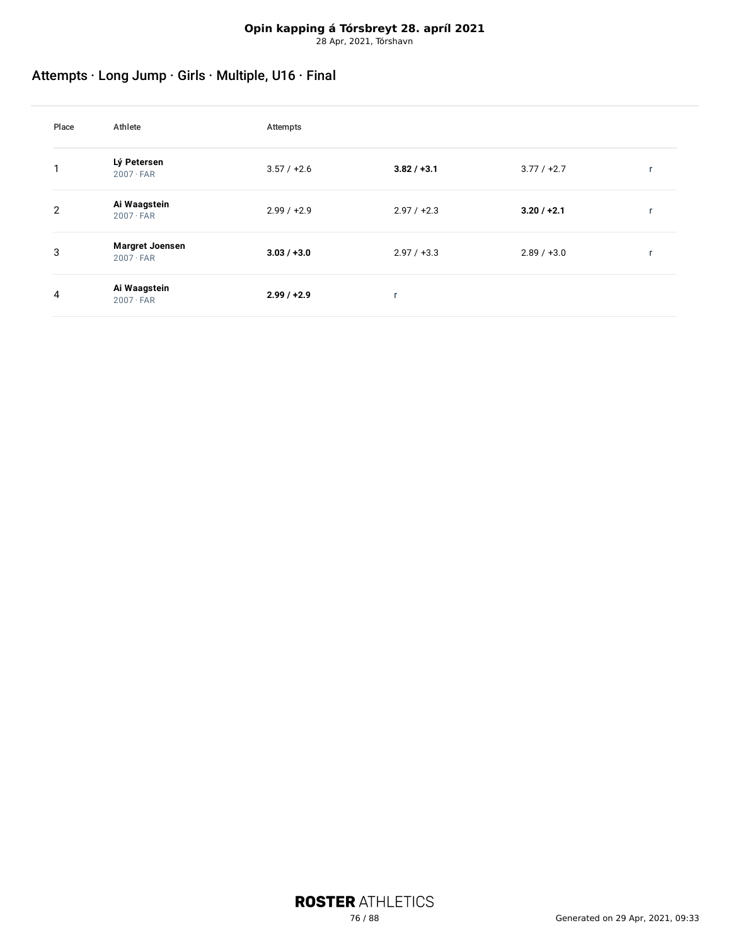# Attempts · Long Jump · Girls · Multiple, U16 · Final

| Place | Athlete                                    | Attempts      |               |               |  |
|-------|--------------------------------------------|---------------|---------------|---------------|--|
|       | Lý Petersen<br>$2007 \cdot FAR$            | $3.57 / +2.6$ | $3.82 / +3.1$ | $3.77 / +2.7$ |  |
| 2     | Ai Waagstein<br>$2007 \cdot FAR$           | $2.99 / +2.9$ | $2.97 / +2.3$ | $3.20 / +2.1$ |  |
| 3     | <b>Margret Joensen</b><br>$2007 \cdot FAR$ | $3.03 / +3.0$ | $2.97 / +3.3$ | $2.89 / +3.0$ |  |
| 4     | Ai Waagstein<br>$2007 \cdot FAR$           | $2.99 / +2.9$ | ۰.            |               |  |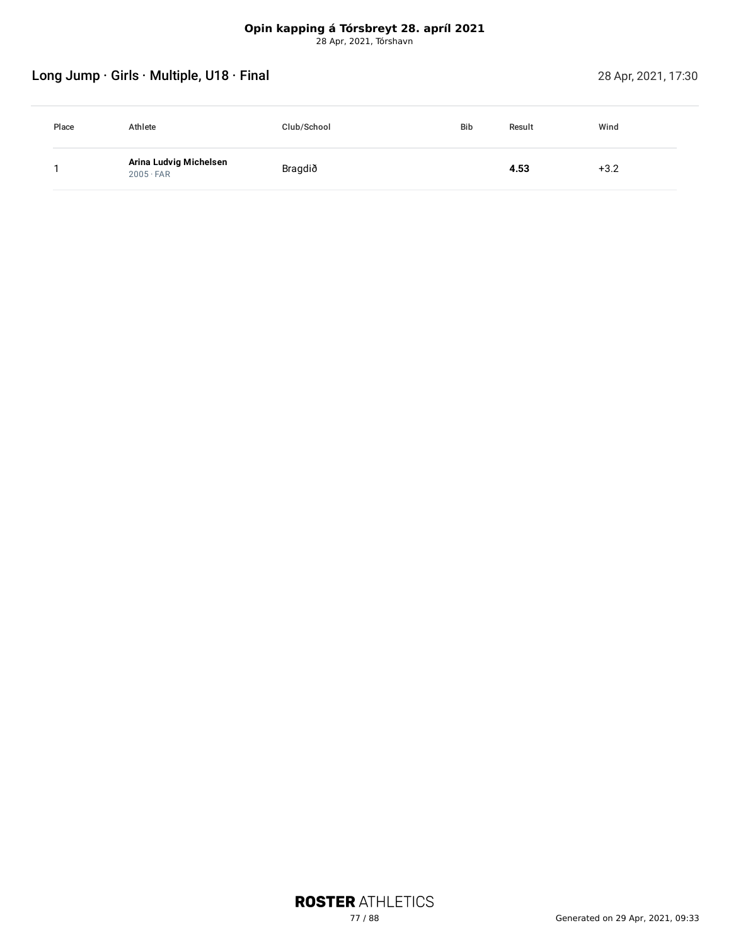# Long Jump · Girls · Multiple, U18 · Final 28 Apr, 2021, 17:30

| Place | Athlete                                    | Club/School | <b>Bib</b> | Result | Wind   |
|-------|--------------------------------------------|-------------|------------|--------|--------|
|       | Arina Ludvig Michelsen<br>$2005 \cdot FAR$ | Bragdið     |            | 4.53   | $+3.2$ |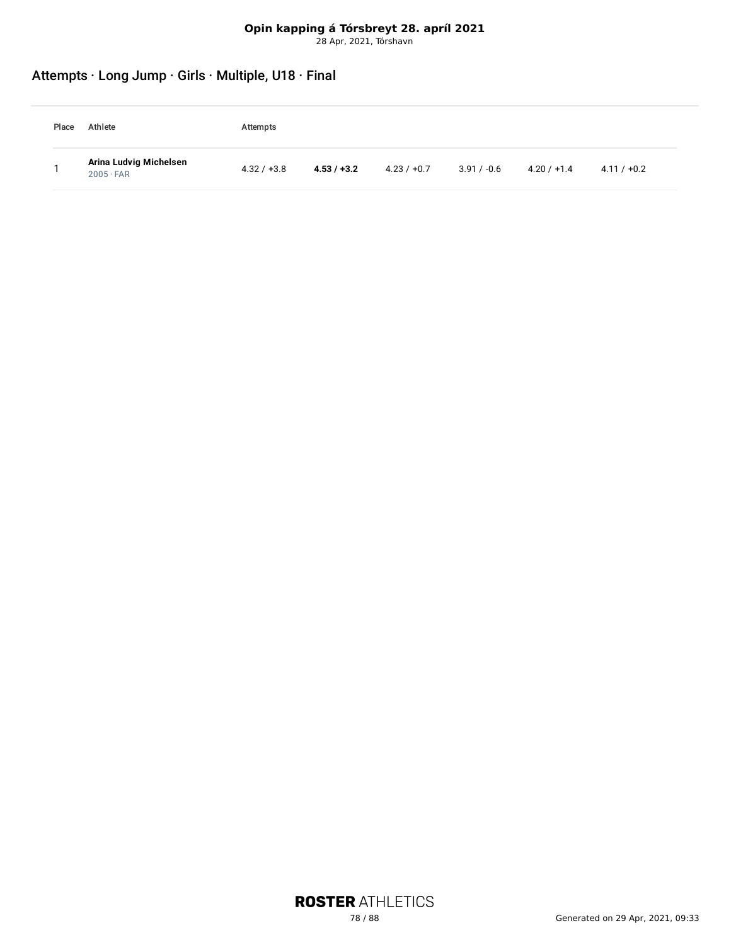# Attempts · Long Jump · Girls · Multiple, U18 · Final

| Place | Athlete                                    | Attempts      |               |               |               |               |               |
|-------|--------------------------------------------|---------------|---------------|---------------|---------------|---------------|---------------|
|       | Arina Ludvig Michelsen<br>$2005 \cdot FAR$ | $4.32 / +3.8$ | $4.53 / +3.2$ | $4.23 / +0.7$ | $3.91 / -0.6$ | $4.20 / +1.4$ | $4.11 / +0.2$ |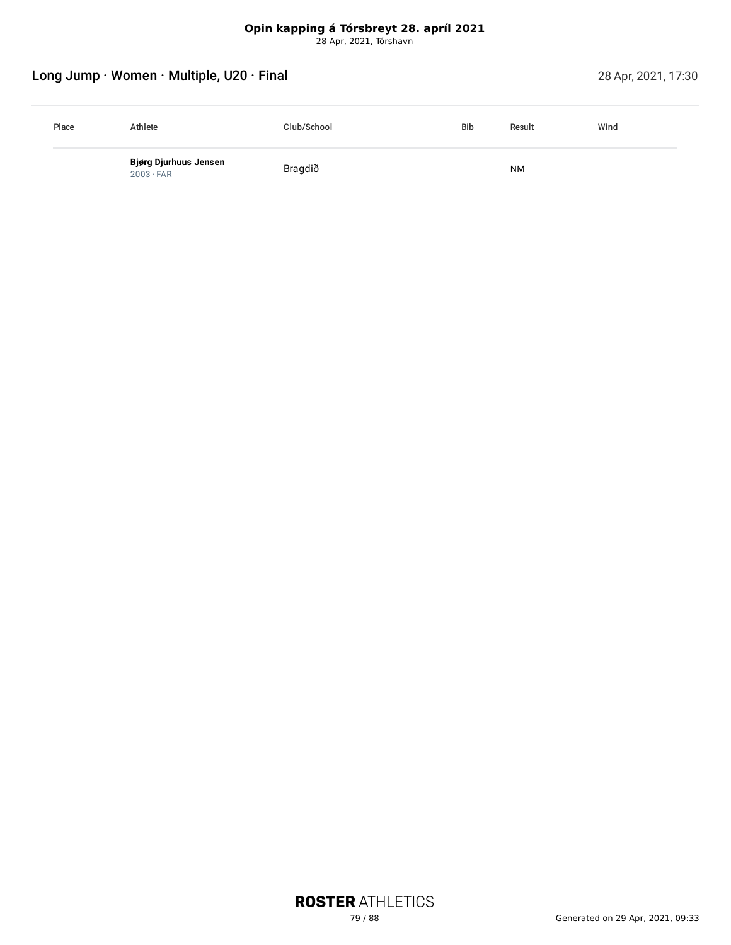# Long Jump · Women · Multiple, U20 · Final 28 Apr, 2021, 17:30

| Place | Athlete                                   | Club/School | <b>Bib</b> | Result | Wind |
|-------|-------------------------------------------|-------------|------------|--------|------|
|       | Bjørg Djurhuus Jensen<br>$2003 \cdot FAR$ | Bragdið     |            | NM     |      |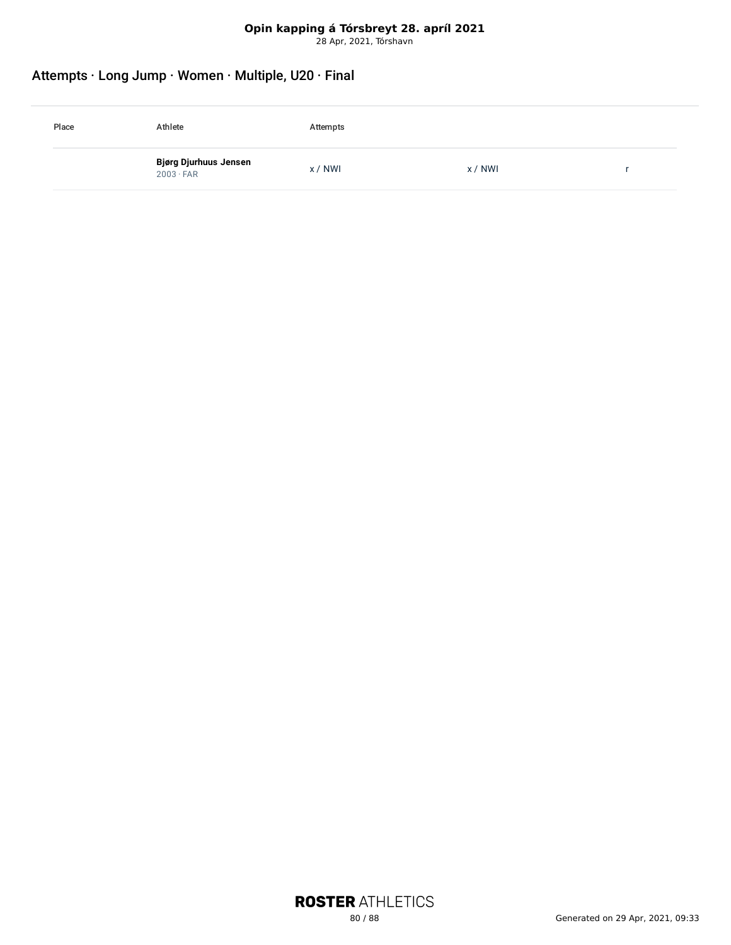# **Opin kapping á Tórsbreyt 28. apríl 2021**

28 Apr, 2021, Tórshavn

### Attempts · Long Jump · Women · Multiple, U20 · Final

| Place | Athlete                                   | Attempts |       |  |
|-------|-------------------------------------------|----------|-------|--|
|       | Bjørg Djurhuus Jensen<br>$2003 \cdot FAR$ | x / NWI  | x/NWI |  |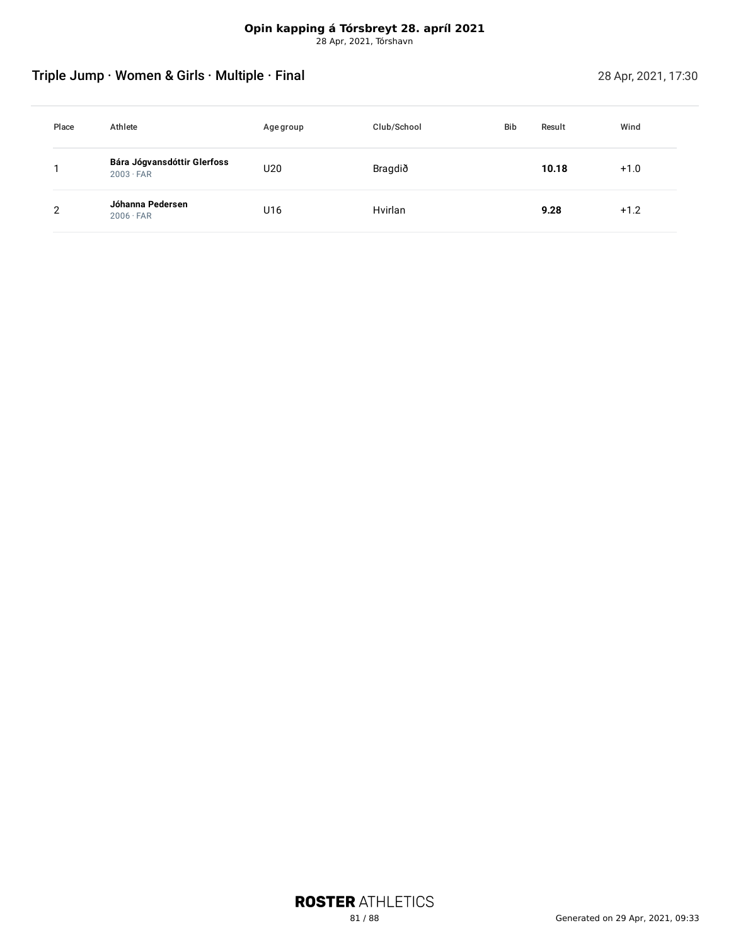# Triple Jump · Women & Girls · Multiple · Final 28 Apr, 2021, 17:30

| Place | Athlete                                         | Age group | Club/School | <b>Bib</b> | Result | Wind   |
|-------|-------------------------------------------------|-----------|-------------|------------|--------|--------|
|       | Bára Jógvansdóttir Glerfoss<br>$2003 \cdot FAR$ | U20       | Bragdið     |            | 10.18  | $+1.0$ |
| າ     | Jóhanna Pedersen<br>$2006 \cdot FAR$            | U16       | Hvirlan     |            | 9.28   | $+1.2$ |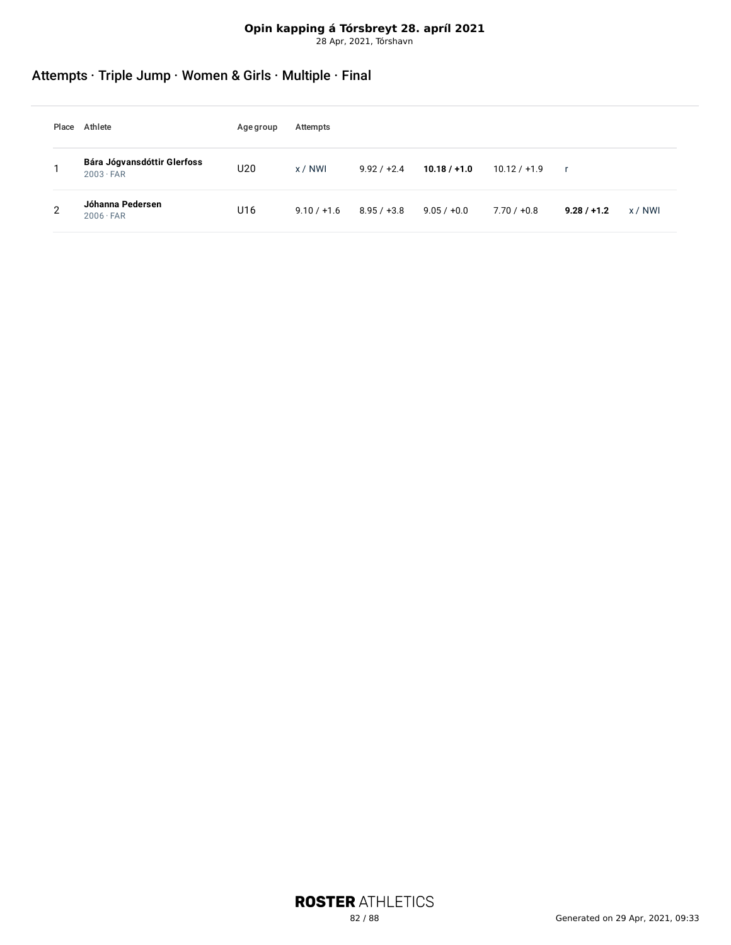# **Opin kapping á Tórsbreyt 28. apríl 2021**

28 Apr, 2021, Tórshavn

# Attempts · Triple Jump · Women & Girls · Multiple · Final

| Place | Athlete                                         | Age group | Attempts      |               |                |                |               |         |
|-------|-------------------------------------------------|-----------|---------------|---------------|----------------|----------------|---------------|---------|
|       | Bára Jógvansdóttir Glerfoss<br>$2003 \cdot FAR$ | U20       | $x / N$ WI    | $9.92 / +2.4$ | $10.18 / +1.0$ | $10.12 / +1.9$ | $\mathbf{r}$  |         |
| റ     | Jóhanna Pedersen<br>$2006 \cdot FAR$            | U16       | $9.10 / +1.6$ | $8.95 / +3.8$ | $9.05 / +0.0$  | $7.70 / +0.8$  | $9.28 / +1.2$ | x / NWI |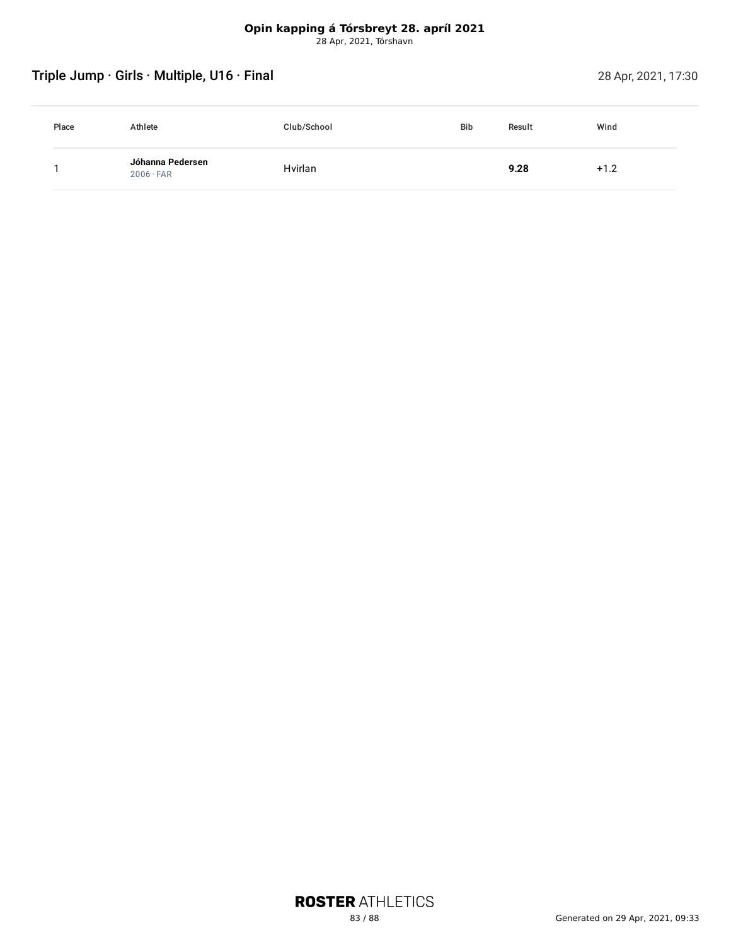# Triple Jump · Girls · Multiple, U16 · Final 28 Apr, 2021, 17:30

| Place | Athlete                              | Club/School | <b>Bib</b> | Result | Wind   |
|-------|--------------------------------------|-------------|------------|--------|--------|
|       | Jóhanna Pedersen<br>$2006 \cdot FAR$ | Hvirlan     |            | 9.28   | $+1.2$ |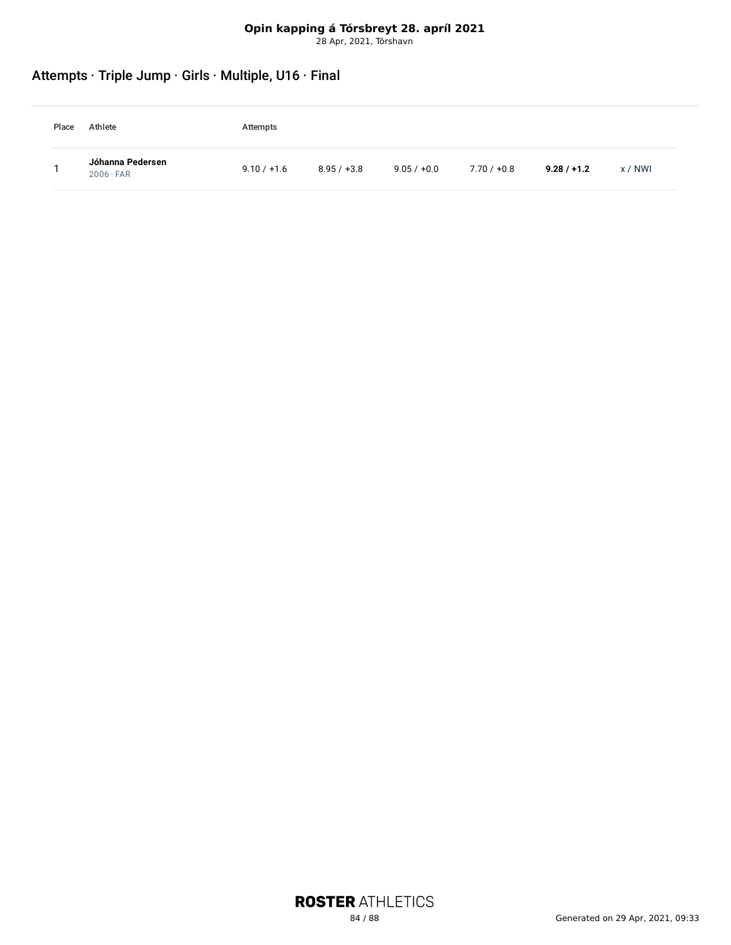# Attempts · Triple Jump · Girls · Multiple, U16 · Final

| Place | Athlete                              | Attempts      |               |               |             |               |         |
|-------|--------------------------------------|---------------|---------------|---------------|-------------|---------------|---------|
|       | Jóhanna Pedersen<br>$2006 \cdot FAR$ | $9.10 / +1.6$ | $8.95 / +3.8$ | $9.05 / +0.0$ | 7.70 / +0.8 | $9.28 / +1.2$ | x / NWI |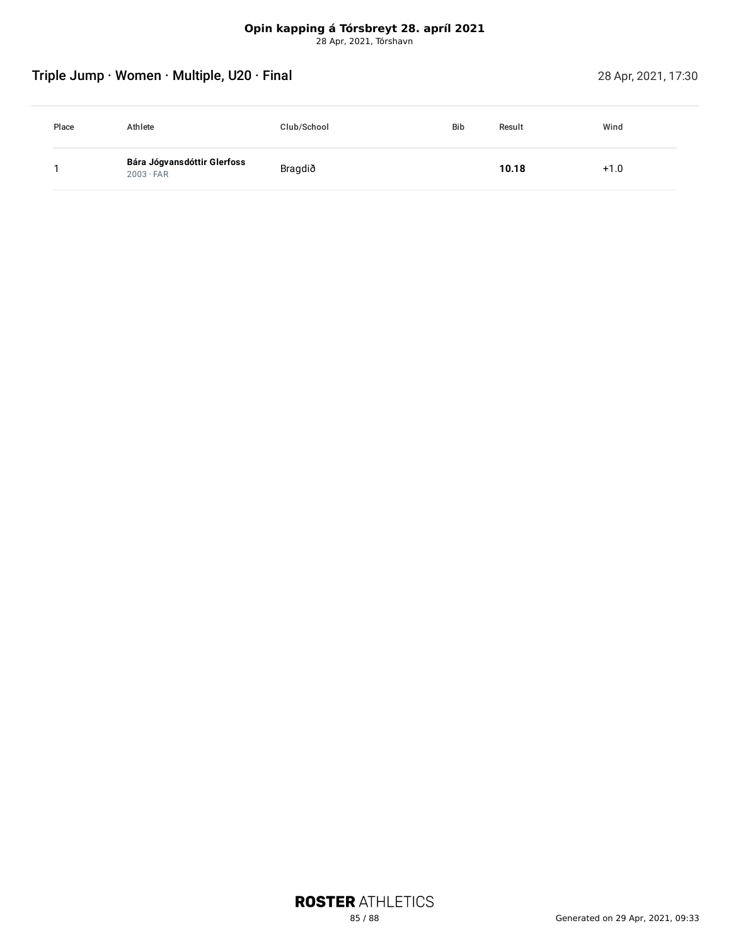# Triple Jump · Women · Multiple, U20 · Final 28 Apr, 2021, 17:30

| Place | Athlete                                         | Club/School | <b>Bib</b> | Result | Wind |
|-------|-------------------------------------------------|-------------|------------|--------|------|
|       | Bára Jógvansdóttir Glerfoss<br>$2003 \cdot FAR$ | Bragdið     |            | 10.18  | +1.0 |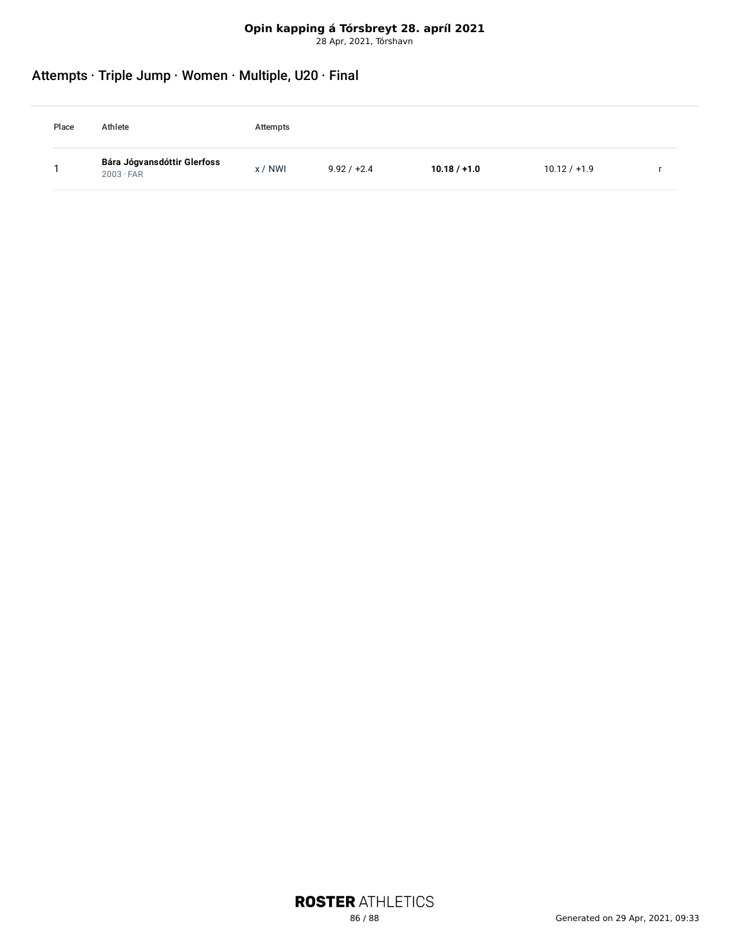### Attempts · Triple Jump · Women · Multiple, U20 · Final

| Place | Athlete                                         | Attempts |               |                |                |  |
|-------|-------------------------------------------------|----------|---------------|----------------|----------------|--|
|       | Bára Jógvansdóttir Glerfoss<br>$2003 \cdot FAR$ | x / NWI  | $9.92 / +2.4$ | $10.18 / +1.0$ | $10.12 / +1.9$ |  |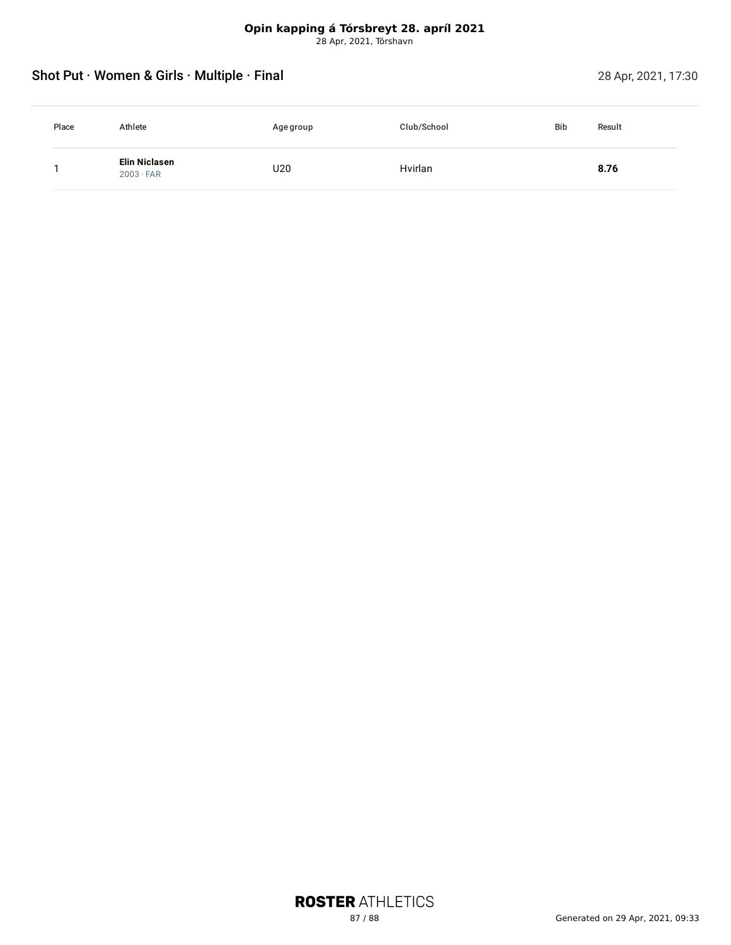### Shot Put · Women & Girls · Multiple · Final 28 Apr, 2021, 17:30

| Place | Athlete                           | Age group | Club/School | <b>Bib</b><br>Result |
|-------|-----------------------------------|-----------|-------------|----------------------|
|       | Elin Niclasen<br>$2003 \cdot FAR$ | U20       | Hvirlan     | 8.76                 |